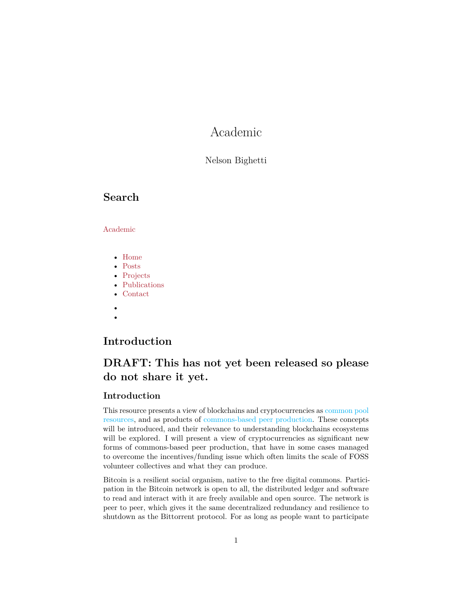# Academic

#### Nelson Bighetti

### <span id="page-0-0"></span>**Search**

#### Academic

- Home
- Posts
- Projects
- Publications
- Contact
- •

# **Introduction**

# **DRAFT: This has not yet been released so please do not share it yet.**

#### **Introduction**

This resource presents a view of blockchains and cryptocurrencies as [common pool](https://en.wikipedia.org/wiki/Common-pool_resource) [resources,](https://en.wikipedia.org/wiki/Common-pool_resource) and as products of [commons-based peer production.](https://en.wikipedia.org/wiki/Commons-based_peer_production) These concepts will be introduced, and their relevance to understanding blockchains ecosystems will be explored. I will present a view of cryptocurrencies as significant new forms of commons-based peer production, that have in some cases managed to overcome the incentives/funding issue which often limits the scale of FOSS volunteer collectives and what they can produce.

Bitcoin is a resilient social organism, native to the free digital commons. Participation in the Bitcoin network is open to all, the distributed ledger and software to read and interact with it are freely available and open source. The network is peer to peer, which gives it the same decentralized redundancy and resilience to shutdown as the Bittorrent protocol. For as long as people want to participate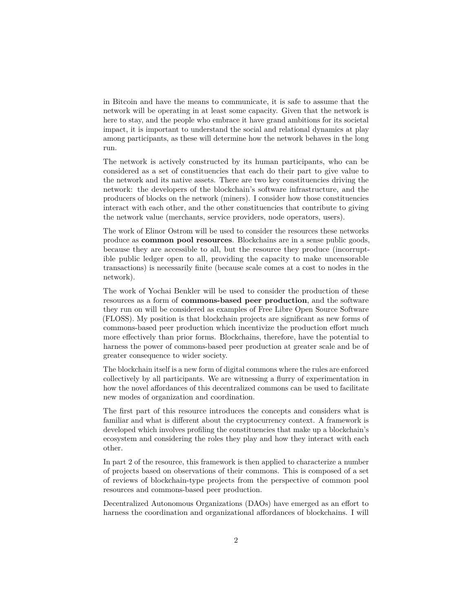in Bitcoin and have the means to communicate, it is safe to assume that the network will be operating in at least some capacity. Given that the network is here to stay, and the people who embrace it have grand ambitions for its societal impact, it is important to understand the social and relational dynamics at play among participants, as these will determine how the network behaves in the long run.

The network is actively constructed by its human participants, who can be considered as a set of constituencies that each do their part to give value to the network and its native assets. There are two key constituencies driving the network: the developers of the blockchain's software infrastructure, and the producers of blocks on the network (miners). I consider how those constituencies interact with each other, and the other constituencies that contribute to giving the network value (merchants, service providers, node operators, users).

The work of Elinor Ostrom will be used to consider the resources these networks produce as **common pool resources**. Blockchains are in a sense public goods, because they are accessible to all, but the resource they produce (incorruptible public ledger open to all, providing the capacity to make uncensorable transactions) is necessarily finite (because scale comes at a cost to nodes in the network).

The work of Yochai Benkler will be used to consider the production of these resources as a form of **commons-based peer production**, and the software they run on will be considered as examples of Free Libre Open Source Software (FLOSS). My position is that blockchain projects are significant as new forms of commons-based peer production which incentivize the production effort much more effectively than prior forms. Blockchains, therefore, have the potential to harness the power of commons-based peer production at greater scale and be of greater consequence to wider society.

The blockchain itself is a new form of digital commons where the rules are enforced collectively by all participants. We are witnessing a flurry of experimentation in how the novel affordances of this decentralized commons can be used to facilitate new modes of organization and coordination.

The first part of this resource introduces the concepts and considers what is familiar and what is different about the cryptocurrency context. A framework is developed which involves profiling the constituencies that make up a blockchain's ecosystem and considering the roles they play and how they interact with each other.

In part 2 of the resource, this framework is then applied to characterize a number of projects based on observations of their commons. This is composed of a set of reviews of blockchain-type projects from the perspective of common pool resources and commons-based peer production.

Decentralized Autonomous Organizations (DAOs) have emerged as an effort to harness the coordination and organizational affordances of blockchains. I will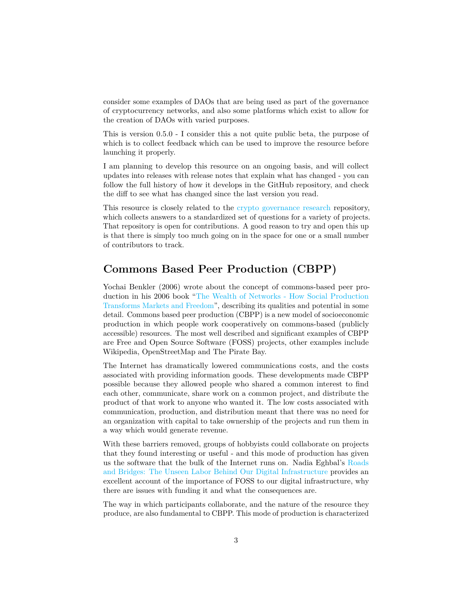consider some examples of DAOs that are being used as part of the governance of cryptocurrency networks, and also some platforms which exist to allow for the creation of DAOs with varied purposes.

This is version 0.5.0 - I consider this a not quite public beta, the purpose of which is to collect feedback which can be used to improve the resource before launching it properly.

I am planning to develop this resource on an ongoing basis, and will collect updates into releases with release notes that explain what has changed - you can follow the full history of how it develops in the GitHub repository, and check the diff to see what has changed since the last version you read.

This resource is closely related to the [crypto governance research](https://github.com/RichardRed0x/crypto-governance-research) repository, which collects answers to a standardized set of questions for a variety of projects. That repository is open for contributions. A good reason to try and open this up is that there is simply too much going on in the space for one or a small number of contributors to track.

## **Commons Based Peer Production (CBPP)**

Yochai Benkler (2006) wrote about the concept of commons-based peer production in his 2006 book ["The Wealth of Networks - How Social Production](https://cyber.harvard.edu/wealth_of_networks/Download_PDFs_of_the_book) [Transforms Markets and Freedom"](https://cyber.harvard.edu/wealth_of_networks/Download_PDFs_of_the_book), describing its qualities and potential in some detail. Commons based peer production (CBPP) is a new model of socioeconomic production in which people work cooperatively on commons-based (publicly accessible) resources. The most well described and significant examples of CBPP are Free and Open Source Software (FOSS) projects, other examples include Wikipedia, OpenStreetMap and The Pirate Bay.

The Internet has dramatically lowered communications costs, and the costs associated with providing information goods. These developments made CBPP possible because they allowed people who shared a common interest to find each other, communicate, share work on a common project, and distribute the product of that work to anyone who wanted it. The low costs associated with communication, production, and distribution meant that there was no need for an organization with capital to take ownership of the projects and run them in a way which would generate revenue.

With these barriers removed, groups of hobbyists could collaborate on projects that they found interesting or useful - and this mode of production has given us the software that the bulk of the Internet runs on. Nadia Eghbal's [Roads](https://www.fordfoundation.org/about/library/reports-and-studies/roads-and-bridges-the-unseen-labor-behind-our-digital-infrastructure/) [and Bridges: The Unseen Labor Behind Our Digital Infrastructure](https://www.fordfoundation.org/about/library/reports-and-studies/roads-and-bridges-the-unseen-labor-behind-our-digital-infrastructure/) provides an excellent account of the importance of FOSS to our digital infrastructure, why there are issues with funding it and what the consequences are.

The way in which participants collaborate, and the nature of the resource they produce, are also fundamental to CBPP. This mode of production is characterized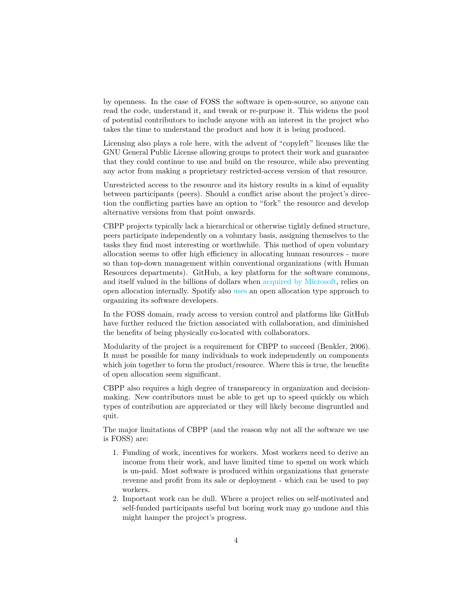by openness. In the case of FOSS the software is open-source, so anyone can read the code, understand it, and tweak or re-purpose it. This widens the pool of potential contributors to include anyone with an interest in the project who takes the time to understand the product and how it is being produced.

Licensing also plays a role here, with the advent of "copyleft" licenses like the GNU General Public License allowing groups to protect their work and guarantee that they could continue to use and build on the resource, while also preventing any actor from making a proprietary restricted-access version of that resource.

Unrestricted access to the resource and its history results in a kind of equality between participants (peers). Should a conflict arise about the project's direction the conflicting parties have an option to "fork" the resource and develop alternative versions from that point onwards.

CBPP projects typically lack a hierarchical or otherwise tightly defined structure, peers participate independently on a voluntary basis, assigning themselves to the tasks they find most interesting or worthwhile. This method of open voluntary allocation seems to offer high efficiency in allocating human resources - more so than top-down management within conventional organizations (with Human Resources departments). GitHub, a key platform for the software commons, and itself valued in the billions of dollars when [acquired by Microsoft,](https://techcrunch.com/2018/06/04/microsoft-has-acquired-github-for-7-5b-in-microsoft-stock/?guccounter=1&guce_referrer_us=aHR0cHM6Ly93d3cuZ29vZ2xlLmNvbS8&guce_referrer_cs=xmp_96homgEdg4lgjjDBvg) relies on open allocation internally. Spotify also [uses](https://www.youtube.com/watch?v=4GK1NDTWbkY) an open allocation type approach to organizing its software developers.

In the FOSS domain, ready access to version control and platforms like GitHub have further reduced the friction associated with collaboration, and diminished the benefits of being physically co-located with collaborators.

Modularity of the project is a requirement for CBPP to succeed (Benkler, 2006). It must be possible for many individuals to work independently on components which join together to form the product/resource. Where this is true, the benefits of open allocation seem significant.

CBPP also requires a high degree of transparency in organization and decisionmaking. New contributors must be able to get up to speed quickly on which types of contribution are appreciated or they will likely become disgruntled and quit.

The major limitations of CBPP (and the reason why not all the software we use is FOSS) are:

- 1. Funding of work, incentives for workers. Most workers need to derive an income from their work, and have limited time to spend on work which is un-paid. Most software is produced within organizations that generate revenue and profit from its sale or deployment - which can be used to pay workers.
- 2. Important work can be dull. Where a project relies on self-motivated and self-funded participants useful but boring work may go undone and this might hamper the project's progress.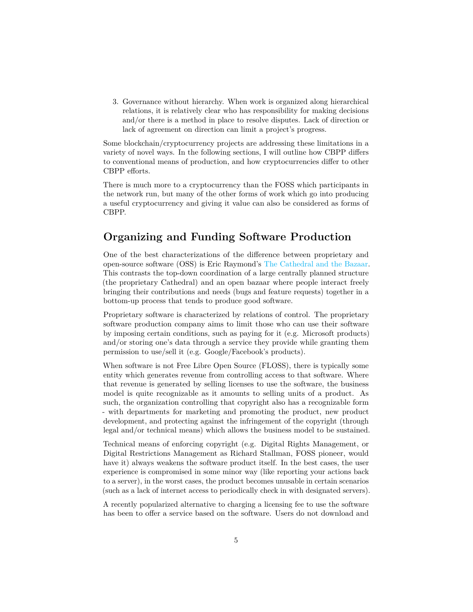3. Governance without hierarchy. When work is organized along hierarchical relations, it is relatively clear who has responsibility for making decisions and/or there is a method in place to resolve disputes. Lack of direction or lack of agreement on direction can limit a project's progress.

Some blockchain/cryptocurrency projects are addressing these limitations in a variety of novel ways. In the following sections, I will outline how CBPP differs to conventional means of production, and how cryptocurrencies differ to other CBPP efforts.

There is much more to a cryptocurrency than the FOSS which participants in the network run, but many of the other forms of work which go into producing a useful cryptocurrency and giving it value can also be considered as forms of CBPP.

## **Organizing and Funding Software Production**

One of the best characterizations of the difference between proprietary and open-source software (OSS) is Eric Raymond's [The Cathedral and the Bazaar.](http://www.unterstein.net/su/docs/CathBaz.pdf) This contrasts the top-down coordination of a large centrally planned structure (the proprietary Cathedral) and an open bazaar where people interact freely bringing their contributions and needs (bugs and feature requests) together in a bottom-up process that tends to produce good software.

Proprietary software is characterized by relations of control. The proprietary software production company aims to limit those who can use their software by imposing certain conditions, such as paying for it (e.g. Microsoft products) and/or storing one's data through a service they provide while granting them permission to use/sell it (e.g. Google/Facebook's products).

When software is not Free Libre Open Source (FLOSS), there is typically some entity which generates revenue from controlling access to that software. Where that revenue is generated by selling licenses to use the software, the business model is quite recognizable as it amounts to selling units of a product. As such, the organization controlling that copyright also has a recognizable form - with departments for marketing and promoting the product, new product development, and protecting against the infringement of the copyright (through legal and/or technical means) which allows the business model to be sustained.

Technical means of enforcing copyright (e.g. Digital Rights Management, or Digital Restrictions Management as Richard Stallman, FOSS pioneer, would have it) always weakens the software product itself. In the best cases, the user experience is compromised in some minor way (like reporting your actions back to a server), in the worst cases, the product becomes unusable in certain scenarios (such as a lack of internet access to periodically check in with designated servers).

A recently popularized alternative to charging a licensing fee to use the software has been to offer a service based on the software. Users do not download and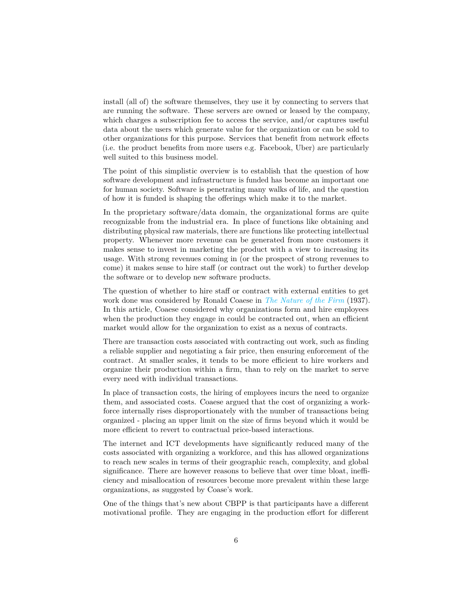install (all of) the software themselves, they use it by connecting to servers that are running the software. These servers are owned or leased by the company, which charges a subscription fee to access the service, and/or captures useful data about the users which generate value for the organization or can be sold to other organizations for this purpose. Services that benefit from network effects (i.e. the product benefits from more users e.g. Facebook, Uber) are particularly well suited to this business model.

The point of this simplistic overview is to establish that the question of how software development and infrastructure is funded has become an important one for human society. Software is penetrating many walks of life, and the question of how it is funded is shaping the offerings which make it to the market.

In the proprietary software/data domain, the organizational forms are quite recognizable from the industrial era. In place of functions like obtaining and distributing physical raw materials, there are functions like protecting intellectual property. Whenever more revenue can be generated from more customers it makes sense to invest in marketing the product with a view to increasing its usage. With strong revenues coming in (or the prospect of strong revenues to come) it makes sense to hire staff (or contract out the work) to further develop the software or to develop new software products.

The question of whether to hire staff or contract with external entities to get work done was considered by Ronald Coaese in *[The Nature of the Firm](https://onlinelibrary.wiley.com/doi/full/10.1111/j.1468-0335.1937.tb00002.x)* (1937). In this article, Coaese considered why organizations form and hire employees when the production they engage in could be contracted out, when an efficient market would allow for the organization to exist as a nexus of contracts.

There are transaction costs associated with contracting out work, such as finding a reliable supplier and negotiating a fair price, then ensuring enforcement of the contract. At smaller scales, it tends to be more efficient to hire workers and organize their production within a firm, than to rely on the market to serve every need with individual transactions.

In place of transaction costs, the hiring of employees incurs the need to organize them, and associated costs. Coaese argued that the cost of organizing a workforce internally rises disproportionately with the number of transactions being organized - placing an upper limit on the size of firms beyond which it would be more efficient to revert to contractual price-based interactions.

The internet and ICT developments have significantly reduced many of the costs associated with organizing a workforce, and this has allowed organizations to reach new scales in terms of their geographic reach, complexity, and global significance. There are however reasons to believe that over time bloat, inefficiency and misallocation of resources become more prevalent within these large organizations, as suggested by Coase's work.

One of the things that's new about CBPP is that participants have a different motivational profile. They are engaging in the production effort for different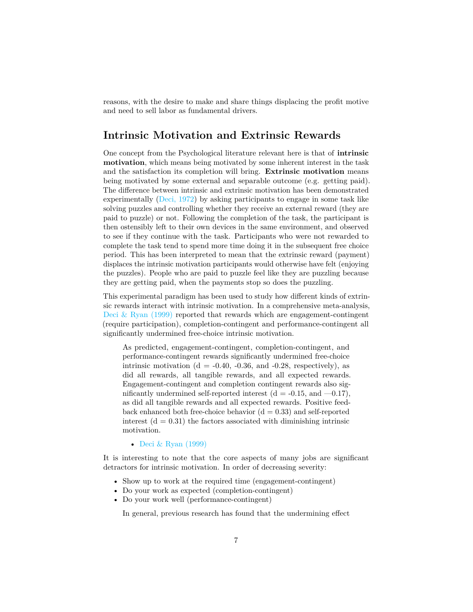reasons, with the desire to make and share things displacing the profit motive and need to sell labor as fundamental drivers.

### **Intrinsic Motivation and Extrinsic Rewards**

One concept from the Psychological literature relevant here is that of **intrinsic motivation**, which means being motivated by some inherent interest in the task and the satisfaction its completion will bring. **Extrinsic motivation** means being motivated by some external and separable outcome (e.g. getting paid). The difference between intrinsic and extrinsic motivation has been demonstrated experimentally [\(Deci, 1972\)](https://selfdeterminationtheory.org/SDT/documents/1972_Deci_JPSP.pdf) by asking participants to engage in some task like solving puzzles and controlling whether they receive an external reward (they are paid to puzzle) or not. Following the completion of the task, the participant is then ostensibly left to their own devices in the same environment, and observed to see if they continue with the task. Participants who were not rewarded to complete the task tend to spend more time doing it in the subsequent free choice period. This has been interpreted to mean that the extrinsic reward (payment) displaces the intrinsic motivation participants would otherwise have felt (enjoying the puzzles). People who are paid to puzzle feel like they are puzzling because they are getting paid, when the payments stop so does the puzzling.

This experimental paradigm has been used to study how different kinds of extrinsic rewards interact with intrinsic motivation. In a comprehensive meta-analysis, Deci  $\&$  Ryan (1999) reported that rewards which are engagement-contingent (require participation), completion-contingent and performance-contingent all significantly undermined free-choice intrinsic motivation.

As predicted, engagement-contingent, completion-contingent, and performance-contingent rewards significantly undermined free-choice intrinsic motivation ( $d = -0.40, -0.36,$  and  $-0.28$ , respectively), as did all rewards, all tangible rewards, and all expected rewards. Engagement-contingent and completion contingent rewards also significantly undermined self-reported interest  $(d = -0.15, and -0.17)$ , as did all tangible rewards and all expected rewards. Positive feedback enhanced both free-choice behavior  $(d = 0.33)$  and self-reported interest  $(d = 0.31)$  the factors associated with diminishing intrinsic motivation.

• [Deci & Ryan \(1999\)](https://pdfs.semanticscholar.org/3374/fde0f00aa20810beaba27f1fe4bd54529dae.pdf)

It is interesting to note that the core aspects of many jobs are significant detractors for intrinsic motivation. In order of decreasing severity:

- Show up to work at the required time (engagement-contingent)
- Do your work as expected (completion-contingent)
- Do your work well (performance-contingent)

In general, previous research has found that the undermining effect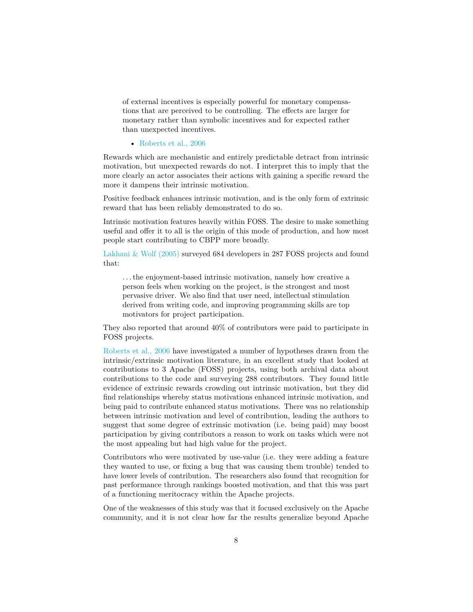of external incentives is especially powerful for monetary compensations that are perceived to be controlling. The effects are larger for monetary rather than symbolic incentives and for expected rather than unexpected incentives.

• [Roberts et al., 2006](https://pdfs.semanticscholar.org/ee89/0a32879bd4209a695c44bf260052c9318b12.pdf)

Rewards which are mechanistic and entirely predictable detract from intrinsic motivation, but unexpected rewards do not. I interpret this to imply that the more clearly an actor associates their actions with gaining a specific reward the more it dampens their intrinsic motivation.

Positive feedback enhances intrinsic motivation, and is the only form of extrinsic reward that has been reliably demonstrated to do so.

Intrinsic motivation features heavily within FOSS. The desire to make something useful and offer it to all is the origin of this mode of production, and how most people start contributing to CBPP more broadly.

[Lakhani & Wolf \(2005\)](http://www.ocw.nur.ac.rw/NR/rdonlyres/Sloan-School-of-Management/15-352Spring-2005/D2C127A9-B712-4ACD-AA82-C57DE2844B8B/0/lakhaniwolf.pdf) surveyed 684 developers in 287 FOSS projects and found that:

. . . the enjoyment-based intrinsic motivation, namely how creative a person feels when working on the project, is the strongest and most pervasive driver. We also find that user need, intellectual stimulation derived from writing code, and improving programming skills are top motivators for project participation.

They also reported that around 40% of contributors were paid to participate in FOSS projects.

[Roberts et al., 2006](https://pdfs.semanticscholar.org/ee89/0a32879bd4209a695c44bf260052c9318b12.pdf) have investigated a number of hypotheses drawn from the intrinsic/extrinsic motivation literature, in an excellent study that looked at contributions to 3 Apache (FOSS) projects, using both archival data about contributions to the code and surveying 288 contributors. They found little evidence of extrinsic rewards crowding out intrinsic motivation, but they did find relationships whereby status motivations enhanced intrinsic motivation, and being paid to contribute enhanced status motivations. There was no relationship between intrinsic motivation and level of contribution, leading the authors to suggest that some degree of extrinsic motivation (i.e. being paid) may boost participation by giving contributors a reason to work on tasks which were not the most appealing but had high value for the project.

Contributors who were motivated by use-value (i.e. they were adding a feature they wanted to use, or fixing a bug that was causing them trouble) tended to have lower levels of contribution. The researchers also found that recognition for past performance through rankings boosted motivation, and that this was part of a functioning meritocracy within the Apache projects.

One of the weaknesses of this study was that it focused exclusively on the Apache community, and it is not clear how far the results generalize beyond Apache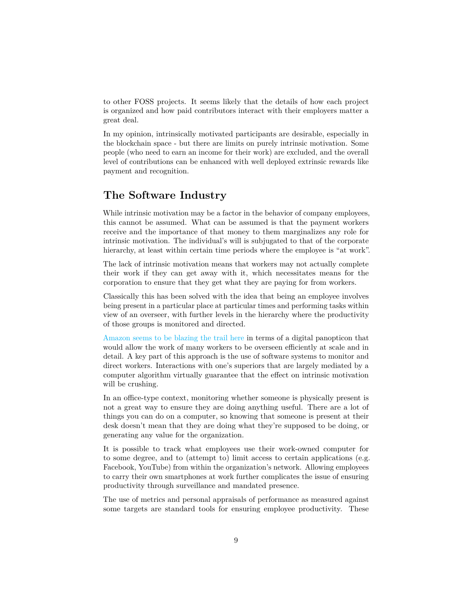to other FOSS projects. It seems likely that the details of how each project is organized and how paid contributors interact with their employers matter a great deal.

In my opinion, intrinsically motivated participants are desirable, especially in the blockchain space - but there are limits on purely intrinsic motivation. Some people (who need to earn an income for their work) are excluded, and the overall level of contributions can be enhanced with well deployed extrinsic rewards like payment and recognition.

## **The Software Industry**

While intrinsic motivation may be a factor in the behavior of company employees, this cannot be assumed. What can be assumed is that the payment workers receive and the importance of that money to them marginalizes any role for intrinsic motivation. The individual's will is subjugated to that of the corporate hierarchy, at least within certain time periods where the employee is "at work".

The lack of intrinsic motivation means that workers may not actually complete their work if they can get away with it, which necessitates means for the corporation to ensure that they get what they are paying for from workers.

Classically this has been solved with the idea that being an employee involves being present in a particular place at particular times and performing tasks within view of an overseer, with further levels in the hierarchy where the productivity of those groups is monitored and directed.

[Amazon seems to be blazing the trail here](https://www.nytimes.com/2019/07/03/business/economy/amazon-warehouse-labor-robots.html) in terms of a digital panopticon that would allow the work of many workers to be overseen efficiently at scale and in detail. A key part of this approach is the use of software systems to monitor and direct workers. Interactions with one's superiors that are largely mediated by a computer algorithm virtually guarantee that the effect on intrinsic motivation will be crushing.

In an office-type context, monitoring whether someone is physically present is not a great way to ensure they are doing anything useful. There are a lot of things you can do on a computer, so knowing that someone is present at their desk doesn't mean that they are doing what they're supposed to be doing, or generating any value for the organization.

It is possible to track what employees use their work-owned computer for to some degree, and to (attempt to) limit access to certain applications (e.g. Facebook, YouTube) from within the organization's network. Allowing employees to carry their own smartphones at work further complicates the issue of ensuring productivity through surveillance and mandated presence.

The use of metrics and personal appraisals of performance as measured against some targets are standard tools for ensuring employee productivity. These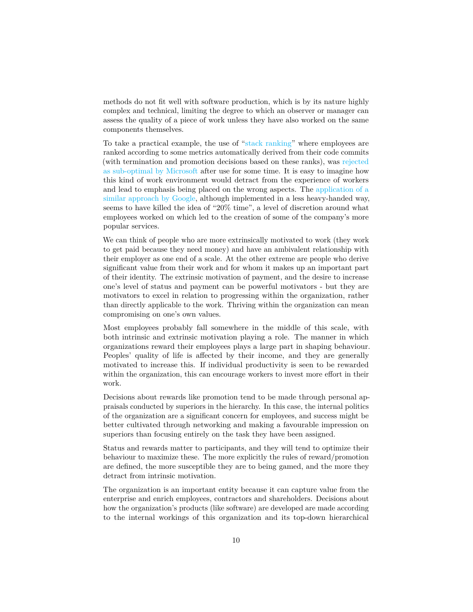methods do not fit well with software production, which is by its nature highly complex and technical, limiting the degree to which an observer or manager can assess the quality of a piece of work unless they have also worked on the same components themselves.

To take a practical example, the use of ["stack ranking"](https://www.forbes.com/sites/petercohan/2012/07/13/why-stack-ranking-worked-better-at-ge-than-microsoft/#2eadb5b53236) where employees are ranked according to some metrics automatically derived from their code commits (with termination and promotion decisions based on these ranks), was [rejected](https://www.forbes.com/sites/petercohan/2012/07/13/why-stack-ranking-worked-better-at-ge-than-microsoft/#2eadb5b53236) [as sub-optimal by Microsoft](https://www.forbes.com/sites/petercohan/2012/07/13/why-stack-ranking-worked-better-at-ge-than-microsoft/#2eadb5b53236) after use for some time. It is easy to imagine how this kind of work environment would detract from the experience of workers and lead to emphasis being placed on the wrong aspects. The [application of a](https://qz.com/116196/google-engineers-insist-20-time-is-not-dead-its-just-turned-into-120-time/) [similar approach by Google,](https://qz.com/116196/google-engineers-insist-20-time-is-not-dead-its-just-turned-into-120-time/) although implemented in a less heavy-handed way, seems to have killed the idea of "20% time", a level of discretion around what employees worked on which led to the creation of some of the company's more popular services.

We can think of people who are more extrinsically motivated to work (they work to get paid because they need money) and have an ambivalent relationship with their employer as one end of a scale. At the other extreme are people who derive significant value from their work and for whom it makes up an important part of their identity. The extrinsic motivation of payment, and the desire to increase one's level of status and payment can be powerful motivators - but they are motivators to excel in relation to progressing within the organization, rather than directly applicable to the work. Thriving within the organization can mean compromising on one's own values.

Most employees probably fall somewhere in the middle of this scale, with both intrinsic and extrinsic motivation playing a role. The manner in which organizations reward their employees plays a large part in shaping behaviour. Peoples' quality of life is affected by their income, and they are generally motivated to increase this. If individual productivity is seen to be rewarded within the organization, this can encourage workers to invest more effort in their work.

Decisions about rewards like promotion tend to be made through personal appraisals conducted by superiors in the hierarchy. In this case, the internal politics of the organization are a significant concern for employees, and success might be better cultivated through networking and making a favourable impression on superiors than focusing entirely on the task they have been assigned.

Status and rewards matter to participants, and they will tend to optimize their behaviour to maximize these. The more explicitly the rules of reward/promotion are defined, the more susceptible they are to being gamed, and the more they detract from intrinsic motivation.

The organization is an important entity because it can capture value from the enterprise and enrich employees, contractors and shareholders. Decisions about how the organization's products (like software) are developed are made according to the internal workings of this organization and its top-down hierarchical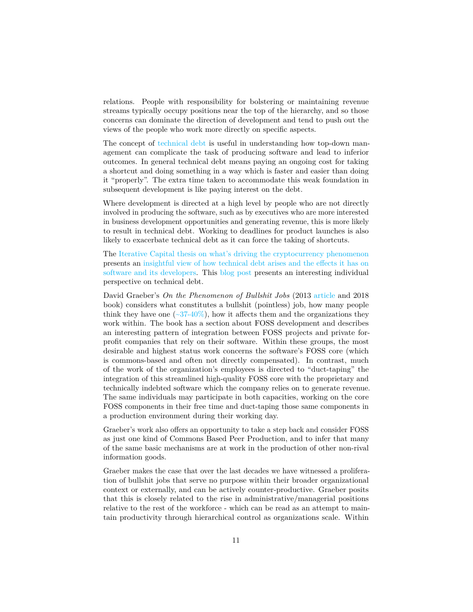relations. People with responsibility for bolstering or maintaining revenue streams typically occupy positions near the top of the hierarchy, and so those concerns can dominate the direction of development and tend to push out the views of the people who work more directly on specific aspects.

The concept of [technical debt](https://en.wikipedia.org/wiki/Technical_debt) is useful in understanding how top-down management can complicate the task of producing software and lead to inferior outcomes. In general technical debt means paying an ongoing cost for taking a shortcut and doing something in a way which is faster and easier than doing it "properly". The extra time taken to accommodate this weak foundation in subsequent development is like paying interest on the debt.

Where development is directed at a high level by people who are not directly involved in producing the software, such as by executives who are more interested in business development opportunities and generating revenue, this is more likely to result in technical debt. Working to deadlines for product launches is also likely to exacerbate technical debt as it can force the taking of shortcuts.

The [Iterative Capital thesis on what's driving the cryptocurrency phenomenon](https://iterative.capital/thesis/) presents an [insightful view of how technical debt arises and the effects it has on](https://iterative.capital/section-ii/) [software and its developers.](https://iterative.capital/section-ii/) This [blog post](https://daedtech.com/human-cost-tech-debt/) presents an interesting individual perspective on technical debt.

David Graeber's *On the Phenomenon of Bullshit Jobs* (2013 [article](https://strikemag.org/bullshit-jobs) and 2018 book) considers what constitutes a bullshit (pointless) job, how many people think they have one  $\left(\frac{-37-40\%}{2}\right)$ , how it affects them and the organizations they work within. The book has a section about FOSS development and describes an interesting pattern of integration between FOSS projects and private forprofit companies that rely on their software. Within these groups, the most desirable and highest status work concerns the software's FOSS core (which is commons-based and often not directly compensated). In contrast, much of the work of the organization's employees is directed to "duct-taping" the integration of this streamlined high-quality FOSS core with the proprietary and technically indebted software which the company relies on to generate revenue. The same individuals may participate in both capacities, working on the core FOSS components in their free time and duct-taping those same components in a production environment during their working day.

Graeber's work also offers an opportunity to take a step back and consider FOSS as just one kind of Commons Based Peer Production, and to infer that many of the same basic mechanisms are at work in the production of other non-rival information goods.

Graeber makes the case that over the last decades we have witnessed a proliferation of bullshit jobs that serve no purpose within their broader organizational context or externally, and can be actively counter-productive. Graeber posits that this is closely related to the rise in administrative/managerial positions relative to the rest of the workforce - which can be read as an attempt to maintain productivity through hierarchical control as organizations scale. Within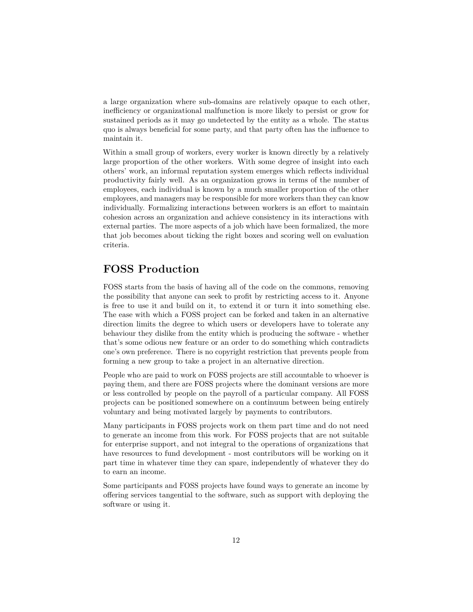a large organization where sub-domains are relatively opaque to each other, inefficiency or organizational malfunction is more likely to persist or grow for sustained periods as it may go undetected by the entity as a whole. The status quo is always beneficial for some party, and that party often has the influence to maintain it.

Within a small group of workers, every worker is known directly by a relatively large proportion of the other workers. With some degree of insight into each others' work, an informal reputation system emerges which reflects individual productivity fairly well. As an organization grows in terms of the number of employees, each individual is known by a much smaller proportion of the other employees, and managers may be responsible for more workers than they can know individually. Formalizing interactions between workers is an effort to maintain cohesion across an organization and achieve consistency in its interactions with external parties. The more aspects of a job which have been formalized, the more that job becomes about ticking the right boxes and scoring well on evaluation criteria.

## **FOSS Production**

FOSS starts from the basis of having all of the code on the commons, removing the possibility that anyone can seek to profit by restricting access to it. Anyone is free to use it and build on it, to extend it or turn it into something else. The ease with which a FOSS project can be forked and taken in an alternative direction limits the degree to which users or developers have to tolerate any behaviour they dislike from the entity which is producing the software - whether that's some odious new feature or an order to do something which contradicts one's own preference. There is no copyright restriction that prevents people from forming a new group to take a project in an alternative direction.

People who are paid to work on FOSS projects are still accountable to whoever is paying them, and there are FOSS projects where the dominant versions are more or less controlled by people on the payroll of a particular company. All FOSS projects can be positioned somewhere on a continuum between being entirely voluntary and being motivated largely by payments to contributors.

Many participants in FOSS projects work on them part time and do not need to generate an income from this work. For FOSS projects that are not suitable for enterprise support, and not integral to the operations of organizations that have resources to fund development - most contributors will be working on it part time in whatever time they can spare, independently of whatever they do to earn an income.

Some participants and FOSS projects have found ways to generate an income by offering services tangential to the software, such as support with deploying the software or using it.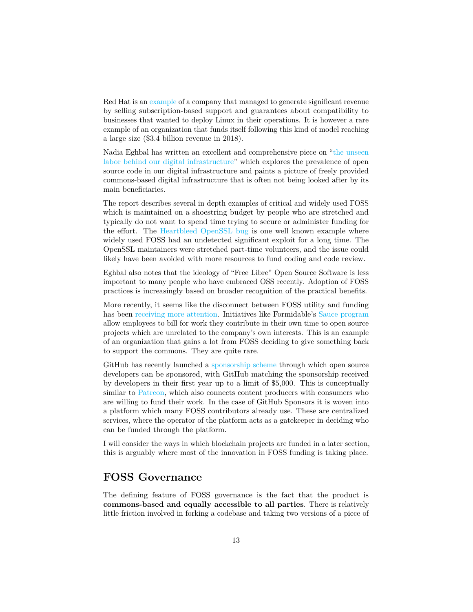Red Hat is an [example](https://www.wired.com/2012/03/red-hat/) of a company that managed to generate significant revenue by selling subscription-based support and guarantees about compatibility to businesses that wanted to deploy Linux in their operations. It is however a rare example of an organization that funds itself following this kind of model reaching a large size (\$3.4 billion revenue in 2018).

Nadia Eghbal has written an excellent and comprehensive piece on ["the unseen](https://www.fordfoundation.org/about/library/reports-and-studies/roads-and-bridges-the-unseen-labor-behind-our-digital-infrastructure) [labor behind our digital infrastructure"](https://www.fordfoundation.org/about/library/reports-and-studies/roads-and-bridges-the-unseen-labor-behind-our-digital-infrastructure) which explores the prevalence of open source code in our digital infrastructure and paints a picture of freely provided commons-based digital infrastructure that is often not being looked after by its main beneficiaries.

The report describes several in depth examples of critical and widely used FOSS which is maintained on a shoestring budget by people who are stretched and typically do not want to spend time trying to secure or administer funding for the effort. The [Heartbleed OpenSSL bug](http://heartbleed.com/) is one well known example where widely used FOSS had an undetected significant exploit for a long time. The OpenSSL maintainers were stretched part-time volunteers, and the issue could likely have been avoided with more resources to fund coding and code review.

Eghbal also notes that the ideology of "Free Libre" Open Source Software is less important to many people who have embraced OSS recently. Adoption of FOSS practices is increasingly based on broader recognition of the practical benefits.

More recently, it seems like the disconnect between FOSS utility and funding has been [receiving more attention.](https://www.vice.com/en_us/article/43zak3/the-internet-was-built-on-the-free-labor-of-open-source-developers-is-that-sustainable) Initiatives like Formidable's [Sauce program](https://www.formidable.com/blog/2019/sauce-program/) allow employees to bill for work they contribute in their own time to open source projects which are unrelated to the company's own interests. This is an example of an organization that gains a lot from FOSS deciding to give something back to support the commons. They are quite rare.

GitHub has recently launched a [sponsorship scheme](https://github.com/sponsors) through which open source developers can be sponsored, with GitHub matching the sponsorship received by developers in their first year up to a limit of \$5,000. This is conceptually similar to [Patreon,](https://www.patreon.com/) which also connects content producers with consumers who are willing to fund their work. In the case of GitHub Sponsors it is woven into a platform which many FOSS contributors already use. These are centralized services, where the operator of the platform acts as a gatekeeper in deciding who can be funded through the platform.

I will consider the ways in which blockchain projects are funded in a later section, this is arguably where most of the innovation in FOSS funding is taking place.

## **FOSS Governance**

The defining feature of FOSS governance is the fact that the product is **commons-based and equally accessible to all parties**. There is relatively little friction involved in forking a codebase and taking two versions of a piece of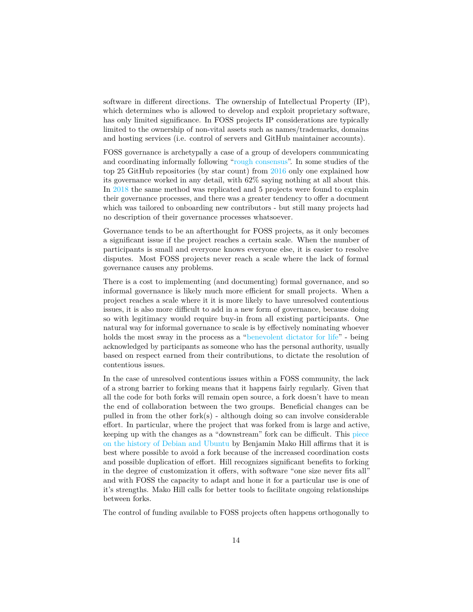software in different directions. The ownership of Intellectual Property (IP), which determines who is allowed to develop and exploit proprietary software, has only limited significance. In FOSS projects IP considerations are typically limited to the ownership of non-vital assets such as names/trademarks, domains and hosting services (i.e. control of servers and GitHub maintainer accounts).

FOSS governance is archetypally a case of a group of developers communicating and coordinating informally following ["rough consensus"](https://en.wikipedia.org/wiki/Rough_consensus). In some studies of the top 25 GitHub repositories (by star count) from [2016](https://livablesoftware.com/transparency-democracy-open-source-not-thought/) only one explained how its governance worked in any detail, with 62% saying nothing at all about this. In [2018](https://opensource.com/open-organization/18/4/new-governance-model-research) the same method was replicated and 5 projects were found to explain their governance processes, and there was a greater tendency to offer a document which was tailored to onboarding new contributors - but still many projects had no description of their governance processes whatsoever.

Governance tends to be an afterthought for FOSS projects, as it only becomes a significant issue if the project reaches a certain scale. When the number of participants is small and everyone knows everyone else, it is easier to resolve disputes. Most FOSS projects never reach a scale where the lack of formal governance causes any problems.

There is a cost to implementing (and documenting) formal governance, and so informal governance is likely much more efficient for small projects. When a project reaches a scale where it it is more likely to have unresolved contentious issues, it is also more difficult to add in a new form of governance, because doing so with legitimacy would require buy-in from all existing participants. One natural way for informal governance to scale is by effectively nominating whoever holds the most sway in the process as a ["benevolent dictator for life"](https://en.wikipedia.org/wiki/Benevolent_dictator_for_life) - being acknowledged by participants as someone who has the personal authority, usually based on respect earned from their contributions, to dictate the resolution of contentious issues.

In the case of unresolved contentious issues within a FOSS community, the lack of a strong barrier to forking means that it happens fairly regularly. Given that all the code for both forks will remain open source, a fork doesn't have to mean the end of collaboration between the two groups. Beneficial changes can be pulled in from the other fork(s) - although doing so can involve considerable effort. In particular, where the project that was forked from is large and active, keeping up with the changes as a "downstream" fork can be difficult. This [piece](https://mako.cc/writing/to_fork_or_not_to_fork.html) [on the history of Debian and Ubuntu](https://mako.cc/writing/to_fork_or_not_to_fork.html) by Benjamin Mako Hill affirms that it is best where possible to avoid a fork because of the increased coordination costs and possible duplication of effort. Hill recognizes significant benefits to forking in the degree of customization it offers, with software "one size never fits all" and with FOSS the capacity to adapt and hone it for a particular use is one of it's strengths. Mako Hill calls for better tools to facilitate ongoing relationships between forks.

The control of funding available to FOSS projects often happens orthogonally to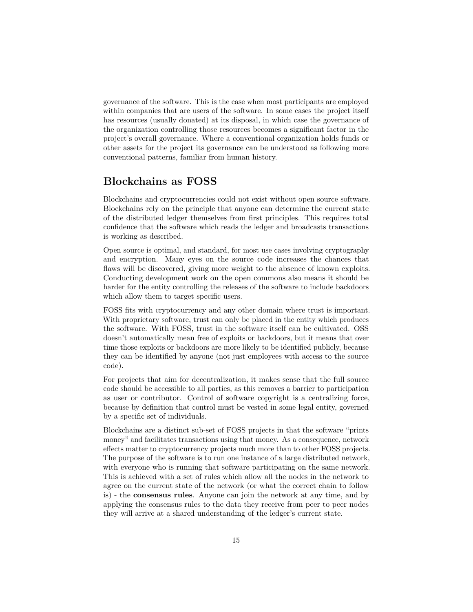governance of the software. This is the case when most participants are employed within companies that are users of the software. In some cases the project itself has resources (usually donated) at its disposal, in which case the governance of the organization controlling those resources becomes a significant factor in the project's overall governance. Where a conventional organization holds funds or other assets for the project its governance can be understood as following more conventional patterns, familiar from human history.

#### **Blockchains as FOSS**

Blockchains and cryptocurrencies could not exist without open source software. Blockchains rely on the principle that anyone can determine the current state of the distributed ledger themselves from first principles. This requires total confidence that the software which reads the ledger and broadcasts transactions is working as described.

Open source is optimal, and standard, for most use cases involving cryptography and encryption. Many eyes on the source code increases the chances that flaws will be discovered, giving more weight to the absence of known exploits. Conducting development work on the open commons also means it should be harder for the entity controlling the releases of the software to include backdoors which allow them to target specific users.

FOSS fits with cryptocurrency and any other domain where trust is important. With proprietary software, trust can only be placed in the entity which produces the software. With FOSS, trust in the software itself can be cultivated. OSS doesn't automatically mean free of exploits or backdoors, but it means that over time those exploits or backdoors are more likely to be identified publicly, because they can be identified by anyone (not just employees with access to the source code).

For projects that aim for decentralization, it makes sense that the full source code should be accessible to all parties, as this removes a barrier to participation as user or contributor. Control of software copyright is a centralizing force, because by definition that control must be vested in some legal entity, governed by a specific set of individuals.

Blockchains are a distinct sub-set of FOSS projects in that the software "prints money" and facilitates transactions using that money. As a consequence, network effects matter to cryptocurrency projects much more than to other FOSS projects. The purpose of the software is to run one instance of a large distributed network, with everyone who is running that software participating on the same network. This is achieved with a set of rules which allow all the nodes in the network to agree on the current state of the network (or what the correct chain to follow is) - the **consensus rules**. Anyone can join the network at any time, and by applying the consensus rules to the data they receive from peer to peer nodes they will arrive at a shared understanding of the ledger's current state.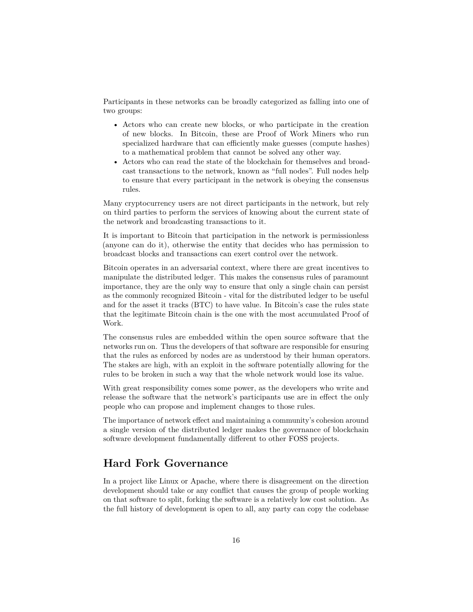Participants in these networks can be broadly categorized as falling into one of two groups:

- Actors who can create new blocks, or who participate in the creation of new blocks. In Bitcoin, these are Proof of Work Miners who run specialized hardware that can efficiently make guesses (compute hashes) to a mathematical problem that cannot be solved any other way.
- Actors who can read the state of the blockchain for themselves and broadcast transactions to the network, known as "full nodes". Full nodes help to ensure that every participant in the network is obeying the consensus rules.

Many cryptocurrency users are not direct participants in the network, but rely on third parties to perform the services of knowing about the current state of the network and broadcasting transactions to it.

It is important to Bitcoin that participation in the network is permissionless (anyone can do it), otherwise the entity that decides who has permission to broadcast blocks and transactions can exert control over the network.

Bitcoin operates in an adversarial context, where there are great incentives to manipulate the distributed ledger. This makes the consensus rules of paramount importance, they are the only way to ensure that only a single chain can persist as the commonly recognized Bitcoin - vital for the distributed ledger to be useful and for the asset it tracks (BTC) to have value. In Bitcoin's case the rules state that the legitimate Bitcoin chain is the one with the most accumulated Proof of Work.

The consensus rules are embedded within the open source software that the networks run on. Thus the developers of that software are responsible for ensuring that the rules as enforced by nodes are as understood by their human operators. The stakes are high, with an exploit in the software potentially allowing for the rules to be broken in such a way that the whole network would lose its value.

With great responsibility comes some power, as the developers who write and release the software that the network's participants use are in effect the only people who can propose and implement changes to those rules.

The importance of network effect and maintaining a community's cohesion around a single version of the distributed ledger makes the governance of blockchain software development fundamentally different to other FOSS projects.

#### **Hard Fork Governance**

In a project like Linux or Apache, where there is disagreement on the direction development should take or any conflict that causes the group of people working on that software to split, forking the software is a relatively low cost solution. As the full history of development is open to all, any party can copy the codebase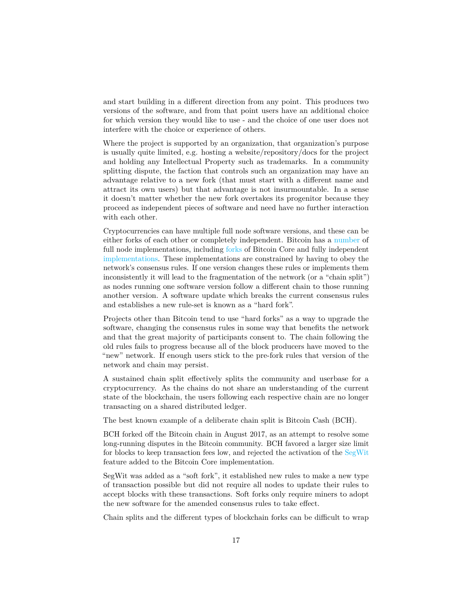and start building in a different direction from any point. This produces two versions of the software, and from that point users have an additional choice for which version they would like to use - and the choice of one user does not interfere with the choice or experience of others.

Where the project is supported by an organization, that organization's purpose is usually quite limited, e.g. hosting a website/repository/docs for the project and holding any Intellectual Property such as trademarks. In a community splitting dispute, the faction that controls such an organization may have an advantage relative to a new fork (that must start with a different name and attract its own users) but that advantage is not insurmountable. In a sense it doesn't matter whether the new fork overtakes its progenitor because they proceed as independent pieces of software and need have no further interaction with each other.

Cryptocurrencies can have multiple full node software versions, and these can be either forks of each other or completely independent. Bitcoin has a [number](https://coin.dance/nodes) of full node implementations, including [forks](https://github.com/BitcoinUnlimited/BitcoinUnlimited) of Bitcoin Core and fully independent [implementations.](https://github.com/btcsuite/btcd) These implementations are constrained by having to obey the network's consensus rules. If one version changes these rules or implements them inconsistently it will lead to the fragmentation of the network (or a "chain split") as nodes running one software version follow a different chain to those running another version. A software update which breaks the current consensus rules and establishes a new rule-set is known as a "hard fork".

Projects other than Bitcoin tend to use "hard forks" as a way to upgrade the software, changing the consensus rules in some way that benefits the network and that the great majority of participants consent to. The chain following the old rules fails to progress because all of the block producers have moved to the "new" network. If enough users stick to the pre-fork rules that version of the network and chain may persist.

A sustained chain split effectively splits the community and userbase for a cryptocurrency. As the chains do not share an understanding of the current state of the blockchain, the users following each respective chain are no longer transacting on a shared distributed ledger.

The best known example of a deliberate chain split is Bitcoin Cash (BCH).

BCH forked off the Bitcoin chain in August 2017, as an attempt to resolve some long-running disputes in the Bitcoin community. BCH favored a larger size limit for blocks to keep transaction fees low, and rejected the activation of the [SegWit](https://en.wikipedia.org/wiki/SegWit) feature added to the Bitcoin Core implementation.

SegWit was added as a "soft fork", it established new rules to make a new type of transaction possible but did not require all nodes to update their rules to accept blocks with these transactions. Soft forks only require miners to adopt the new software for the amended consensus rules to take effect.

Chain splits and the different types of blockchain forks can be difficult to wrap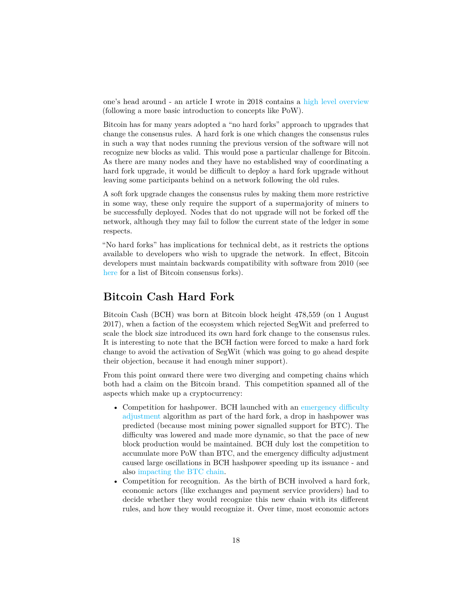one's head around - an article I wrote in 2018 contains a [high level overview](https://github.com/RichardRed0x/writing/blob/master/blockchain-governance-introduction.md#4-soft-forks-hard-forks-chain-splits-and-free-coins) (following a more basic introduction to concepts like PoW).

Bitcoin has for many years adopted a "no hard forks" approach to upgrades that change the consensus rules. A hard fork is one which changes the consensus rules in such a way that nodes running the previous version of the software will not recognize new blocks as valid. This would pose a particular challenge for Bitcoin. As there are many nodes and they have no established way of coordinating a hard fork upgrade, it would be difficult to deploy a hard fork upgrade without leaving some participants behind on a network following the old rules.

A soft fork upgrade changes the consensus rules by making them more restrictive in some way, these only require the support of a supermajority of miners to be successfully deployed. Nodes that do not upgrade will not be forked off the network, although they may fail to follow the current state of the ledger in some respects.

"No hard forks" has implications for technical debt, as it restricts the options available to developers who wish to upgrade the network. In effect, Bitcoin developers must maintain backwards compatibility with software from 2010 (see [here](https://blog.bitmex.com/bitcoins-consensus-forks/) for a list of Bitcoin consensus forks).

#### **Bitcoin Cash Hard Fork**

Bitcoin Cash (BCH) was born at Bitcoin block height 478,559 (on 1 August 2017), when a faction of the ecosystem which rejected SegWit and preferred to scale the block size introduced its own hard fork change to the consensus rules. It is interesting to note that the BCH faction were forced to make a hard fork change to avoid the activation of SegWit (which was going to go ahead despite their objection, because it had enough miner support).

From this point onward there were two diverging and competing chains which both had a claim on the Bitcoin brand. This competition spanned all of the aspects which make up a cryptocurrency:

- Competition for hashpower. BCH launched with an [emergency difficulty](https://papers.ssrn.com/sol3/papers.cfm?abstract_id=3383739) [adjustment](https://papers.ssrn.com/sol3/papers.cfm?abstract_id=3383739) algorithm as part of the hard fork, a drop in hashpower was predicted (because most mining power signalled support for BTC). The difficulty was lowered and made more dynamic, so that the pace of new block production would be maintained. BCH duly lost the competition to accumulate more PoW than BTC, and the emergency difficulty adjustment caused large oscillations in BCH hashpower speeding up its issuance - and also [impacting the BTC chain.](https://themerkle.com/bch-eda-was-designed-to-cause-bitcoin-network-congestion-former-dev-claims/)
- Competition for recognition. As the birth of BCH involved a hard fork, economic actors (like exchanges and payment service providers) had to decide whether they would recognize this new chain with its different rules, and how they would recognize it. Over time, most economic actors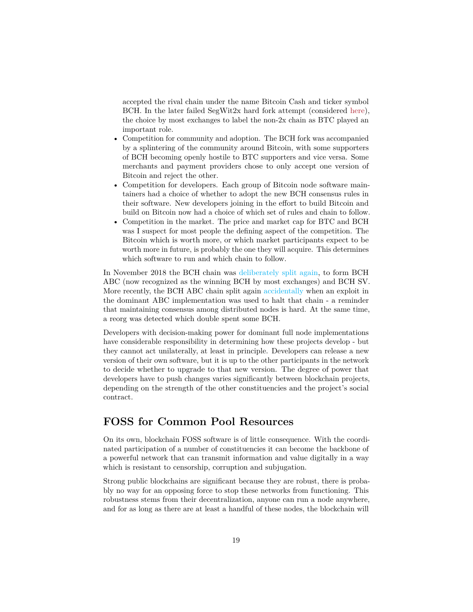accepted the rival chain under the name Bitcoin Cash and ticker symbol BCH. In the later failed SegWit2x hard fork attempt (considered [here\)](#page-0-0), the choice by most exchanges to label the non-2x chain as BTC played an important role.

- Competition for community and adoption. The BCH fork was accompanied by a splintering of the community around Bitcoin, with some supporters of BCH becoming openly hostile to BTC supporters and vice versa. Some merchants and payment providers chose to only accept one version of Bitcoin and reject the other.
- Competition for developers. Each group of Bitcoin node software maintainers had a choice of whether to adopt the new BCH consensus rules in their software. New developers joining in the effort to build Bitcoin and build on Bitcoin now had a choice of which set of rules and chain to follow.
- Competition in the market. The price and market cap for BTC and BCH was I suspect for most people the defining aspect of the competition. The Bitcoin which is worth more, or which market participants expect to be worth more in future, is probably the one they will acquire. This determines which software to run and which chain to follow.

In November 2018 the BCH chain was [deliberately split again,](https://medium.com/@richardred/hash-war-theater-67d3fcac3e97) to form BCH ABC (now recognized as the winning BCH by most exchanges) and BCH SV. More recently, the BCH ABC chain split again [accidentally](https://blog.bitmex.com/the-bitcoin-cash-hardfork-three-interrelated-incidents/) when an exploit in the dominant ABC implementation was used to halt that chain - a reminder that maintaining consensus among distributed nodes is hard. At the same time, a reorg was detected which double spent some BCH.

Developers with decision-making power for dominant full node implementations have considerable responsibility in determining how these projects develop - but they cannot act unilaterally, at least in principle. Developers can release a new version of their own software, but it is up to the other participants in the network to decide whether to upgrade to that new version. The degree of power that developers have to push changes varies significantly between blockchain projects, depending on the strength of the other constituencies and the project's social contract.

## **FOSS for Common Pool Resources**

On its own, blockchain FOSS software is of little consequence. With the coordinated participation of a number of constituencies it can become the backbone of a powerful network that can transmit information and value digitally in a way which is resistant to censorship, corruption and subjugation.

Strong public blockchains are significant because they are robust, there is probably no way for an opposing force to stop these networks from functioning. This robustness stems from their decentralization, anyone can run a node anywhere, and for as long as there are at least a handful of these nodes, the blockchain will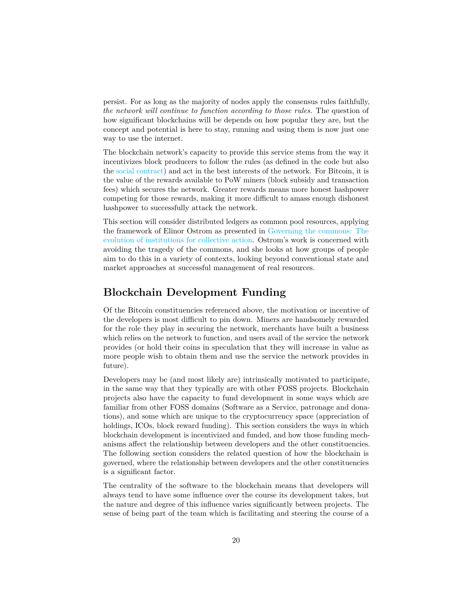persist. For as long as the majority of nodes apply the consensus rules faithfully, *the network will continue to function according to those rules*. The question of how significant blockchains will be depends on how popular they are, but the concept and potential is here to stay, running and using them is now just one way to use the internet.

The blockchain network's capacity to provide this service stems from the way it incentivizes block producers to follow the rules (as defined in the code but also the [social contract\)](https://medium.com/s/story/bitcoins-social-contract-1f8b05ee24a9) and act in the best interests of the network. For Bitcoin, it is the value of the rewards available to PoW miners (block subsidy and transaction fees) which secures the network. Greater rewards means more honest hashpower competing for those rewards, making it more difficult to amass enough dishonest hashpower to successfully attack the network.

This section will consider distributed ledgers as common pool resources, applying the framework of Elinor Ostrom as presented in [Governing the commons: The](https://wtf.tw/ref/ostrom_1990.pdf) [evolution of institutions for collective action.](https://wtf.tw/ref/ostrom_1990.pdf) Ostrom's work is concerned with avoiding the tragedy of the commons, and she looks at how groups of people aim to do this in a variety of contexts, looking beyond conventional state and market approaches at successful management of real resources.

## **Blockchain Development Funding**

Of the Bitcoin constituencies referenced above, the motivation or incentive of the developers is most difficult to pin down. Miners are handsomely rewarded for the role they play in securing the network, merchants have built a business which relies on the network to function, and users avail of the service the network provides (or hold their coins in speculation that they will increase in value as more people wish to obtain them and use the service the network provides in future).

Developers may be (and most likely are) intrinsically motivated to participate, in the same way that they typically are with other FOSS projects. Blockchain projects also have the capacity to fund development in some ways which are familiar from other FOSS domains (Software as a Service, patronage and donations), and some which are unique to the cryptocurrency space (appreciation of holdings, ICOs, block reward funding). This section considers the ways in which blockchain development is incentivized and funded, and how those funding mechanisms affect the relationship between developers and the other constituencies. The following section considers the related question of how the blockchain is governed, where the relationship between developers and the other constituencies is a significant factor.

The centrality of the software to the blockchain means that developers will always tend to have some influence over the course its development takes, but the nature and degree of this influence varies significantly between projects. The sense of being part of the team which is facilitating and steering the course of a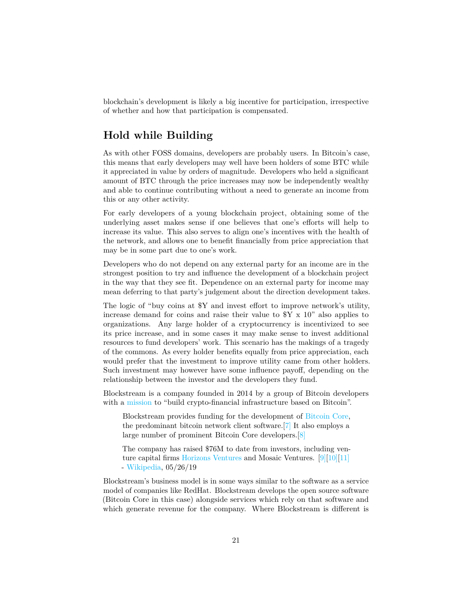blockchain's development is likely a big incentive for participation, irrespective of whether and how that participation is compensated.

## **Hold while Building**

As with other FOSS domains, developers are probably users. In Bitcoin's case, this means that early developers may well have been holders of some BTC while it appreciated in value by orders of magnitude. Developers who held a significant amount of BTC through the price increases may now be independently wealthy and able to continue contributing without a need to generate an income from this or any other activity.

For early developers of a young blockchain project, obtaining some of the underlying asset makes sense if one believes that one's efforts will help to increase its value. This also serves to align one's incentives with the health of the network, and allows one to benefit financially from price appreciation that may be in some part due to one's work.

Developers who do not depend on any external party for an income are in the strongest position to try and influence the development of a blockchain project in the way that they see fit. Dependence on an external party for income may mean deferring to that party's judgement about the direction development takes.

The logic of "buy coins at \$Y and invest effort to improve network's utility, increase demand for coins and raise their value to \$Y x 10" also applies to organizations. Any large holder of a cryptocurrency is incentivized to see its price increase, and in some cases it may make sense to invest additional resources to fund developers' work. This scenario has the makings of a tragedy of the commons. As every holder benefits equally from price appreciation, each would prefer that the investment to improve utility came from other holders. Such investment may however have some influence payoff, depending on the relationship between the investor and the developers they fund.

Blockstream is a company founded in 2014 by a group of Bitcoin developers with a [mission](https://blockstream.com/about/) to "build crypto-financial infrastructure based on Bitcoin".

Blockstream provides funding for the development of [Bitcoin Core,](https://en.wikipedia.org/wiki/Bitcoin_Core) the predominant bitcoin network client software.[\[7\]](https://en.wikipedia.org/wiki/Blockstream#cite_note-CoinDesk-7) It also employs a large number of prominent Bitcoin Core developers.[\[8\]](https://en.wikipedia.org/wiki/Blockstream#cite_note-:1-8)

The company has raised \$76M to date from investors, including venture capital firms [Horizons Ventures](https://en.wikipedia.org/wiki/Horizons_Ventures) and Mosaic Ventures. [\[9\]\[](https://en.wikipedia.org/wiki/Blockstream#cite_note-mosa_OurI-9)[10\]\[](https://en.wikipedia.org/wiki/Blockstream#cite_note-10)[11\]](https://en.wikipedia.org/wiki/Blockstream#cite_note-11) - [Wikipedia,](https://en.wikipedia.org/wiki/Blockstream) 05/26/19

Blockstream's business model is in some ways similar to the software as a service model of companies like RedHat. Blockstream develops the open source software (Bitcoin Core in this case) alongside services which rely on that software and which generate revenue for the company. Where Blockstream is different is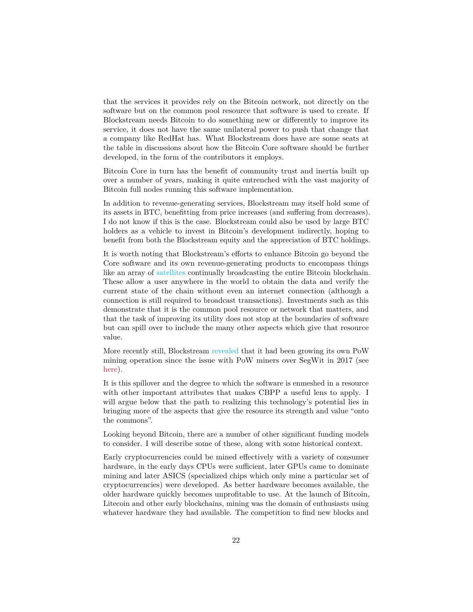that the services it provides rely on the Bitcoin network, not directly on the software but on the common pool resource that software is used to create. If Blockstream needs Bitcoin to do something new or differently to improve its service, it does not have the same unilateral power to push that change that a company like RedHat has. What Blockstream does have are some seats at the table in discussions about how the Bitcoin Core software should be further developed, in the form of the contributors it employs.

Bitcoin Core in turn has the benefit of community trust and inertia built up over a number of years, making it quite entrenched with the vast majority of Bitcoin full nodes running this software implementation.

In addition to revenue-generating services, Blockstream may itself hold some of its assets in BTC, benefitting from price increases (and suffering from decreases). I do not know if this is the case. Blockstream could also be used by large BTC holders as a vehicle to invest in Bitcoin's development indirectly, hoping to benefit from both the Blockstream equity and the appreciation of BTC holdings.

It is worth noting that Blockstream's efforts to enhance Bitcoin go beyond the Core software and its own revenue-generating products to encompass things like an array of [satellites](https://www.forbes.com/sites/michaeldelcastillo/2018/12/17/who-needs-verizon-blockstream-broadcasts-entire-bitcoin-blockchain-from-space/#7536a7a95a80) continually broadcasting the entire Bitcoin blockchain. These allow a user anywhere in the world to obtain the data and verify the current state of the chain without even an internet connection (although a connection is still required to broadcast transactions). Investments such as this demonstrate that it is the common pool resource or network that matters, and that the task of improving its utility does not stop at the boundaries of software but can spill over to include the many other aspects which give that resource value.

More recently still, Blockstream [revealed](https://blockstream.com/2019/08/08/en-mining-launch/) that it had been growing its own PoW mining operation since the issue with PoW miners over SegWit in 2017 (see [here\)](#page-0-0).

It is this spillover and the degree to which the software is enmeshed in a resource with other important attributes that makes CBPP a useful lens to apply. I will argue below that the path to realizing this technology's potential lies in bringing more of the aspects that give the resource its strength and value "onto the commons".

Looking beyond Bitcoin, there are a number of other significant funding models to consider. I will describe some of these, along with some historical context.

Early cryptocurrencies could be mined effectively with a variety of consumer hardware, in the early days CPUs were sufficient, later GPUs came to dominate mining and later ASICS (specialized chips which only mine a particular set of cryptocurrencies) were developed. As better hardware becomes available, the older hardware quickly becomes unprofitable to use. At the launch of Bitcoin, Litecoin and other early blockchains, mining was the domain of enthusiasts using whatever hardware they had available. The competition to find new blocks and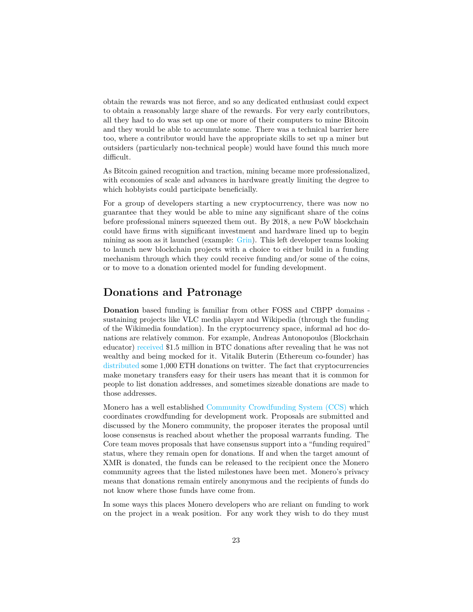obtain the rewards was not fierce, and so any dedicated enthusiast could expect to obtain a reasonably large share of the rewards. For very early contributors, all they had to do was set up one or more of their computers to mine Bitcoin and they would be able to accumulate some. There was a technical barrier here too, where a contributor would have the appropriate skills to set up a miner but outsiders (particularly non-technical people) would have found this much more difficult.

As Bitcoin gained recognition and traction, mining became more professionalized, with economies of scale and advances in hardware greatly limiting the degree to which hobbyists could participate beneficially.

For a group of developers starting a new cryptocurrency, there was now no guarantee that they would be able to mine any significant share of the coins before professional miners squeezed them out. By 2018, a new PoW blockchain could have firms with significant investment and hardware lined up to begin mining as soon as it launched (example: [Grin\)](https://www.coindesk.com/grin-launch-crypto-interest-from-deep-pocketed-investors). This left developer teams looking to launch new blockchain projects with a choice to either build in a funding mechanism through which they could receive funding and/or some of the coins, or to move to a donation oriented model for funding development.

#### **Donations and Patronage**

**Donation** based funding is familiar from other FOSS and CBPP domains sustaining projects like VLC media player and Wikipedia (through the funding of the Wikimedia foundation). In the cryptocurrency space, informal ad hoc donations are relatively common. For example, Andreas Antonopoulos (Blockchain educator) [received](https://qz.com/1151233/andreas-antonopoulos-got-1-5-million-in-bitcoin-donations-after-roger-ver-bitshamed-him/) \$1.5 million in BTC donations after revealing that he was not wealthy and being mocked for it. Vitalik Buterin (Ethereum co-founder) has [distributed](https://twitter.com/VitalikButerin/status/1075181710730506240) some 1,000 ETH donations on twitter. The fact that cryptocurrencies make monetary transfers easy for their users has meant that it is common for people to list donation addresses, and sometimes sizeable donations are made to those addresses.

Monero has a well established [Community Crowdfunding System \(CCS\)](https://ccs.getmonero.org/what-is-ccs/) which coordinates crowdfunding for development work. Proposals are submitted and discussed by the Monero community, the proposer iterates the proposal until loose consensus is reached about whether the proposal warrants funding. The Core team moves proposals that have consensus support into a "funding required" status, where they remain open for donations. If and when the target amount of XMR is donated, the funds can be released to the recipient once the Monero community agrees that the listed milestones have been met. Monero's privacy means that donations remain entirely anonymous and the recipients of funds do not know where those funds have come from.

In some ways this places Monero developers who are reliant on funding to work on the project in a weak position. For any work they wish to do they must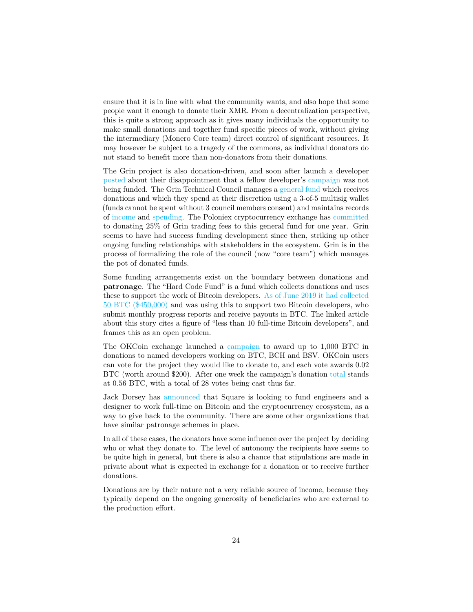ensure that it is in line with what the community wants, and also hope that some people want it enough to donate their XMR. From a decentralization perspective, this is quite a strong approach as it gives many individuals the opportunity to make small donations and together fund specific pieces of work, without giving the intermediary (Monero Core team) direct control of significant resources. It may however be subject to a tragedy of the commons, as individual donators do not stand to benefit more than non-donators from their donations.

The Grin project is also donation-driven, and soon after launch a developer [posted](https://www.grin-forum.org/t/solved-early-disappointments/3682) about their disappointment that a fellow developer's [campaign](https://grin-tech.org/yeastplume) was not being funded. The Grin Technical Council manages a [general fund](https://grin-tech.org/general_funding) which receives donations and which they spend at their discretion using a 3-of-5 multisig wallet (funds cannot be spent without 3 council members consent) and maintains records of [income](https://github.com/mimblewimble/grin-pm/blob/master/financials/income_log.csv) and [spending.](https://github.com/mimblewimble/grin-pm/blob/master/financials/spending_log.csv) The Poloniex cryptocurrency exchange has [committed](https://blog.circle.com/2019/02/14/poloniex-welcomes-grin/) to donating 25% of Grin trading fees to this general fund for one year. Grin seems to have had success funding development since then, striking up other ongoing funding relationships with stakeholders in the ecosystem. Grin is in the process of formalizing the role of the council (now "core team") which manages the pot of donated funds.

Some funding arrangements exist on the boundary between donations and **patronage**. The "Hard Code Fund" is a fund which collects donations and uses these to support the work of Bitcoin developers. [As of June 2019 it had collected](https://www.coindesk.com/hard-core-fund-collects-50-btc-in-china-to-support-bitcoin-developers) [50 BTC \(\\$450,000\)](https://www.coindesk.com/hard-core-fund-collects-50-btc-in-china-to-support-bitcoin-developers) and was using this to support two Bitcoin developers, who submit monthly progress reports and receive payouts in BTC. The linked article about this story cites a figure of "less than 10 full-time Bitcoin developers", and frames this as an open problem.

The OKCoin exchange launched a [campaign](https://www.okcoin.com/1000btc) to award up to 1,000 BTC in donations to named developers working on BTC, BCH and BSV. OKCoin users can vote for the project they would like to donate to, and each vote awards 0.02 BTC (worth around \$200). After one week the campaign's donation [total](https://twitter.com/RichardRed0x/status/1171444718443454466) stands at 0.56 BTC, with a total of 28 votes being cast thus far.

Jack Dorsey has [announced](https://www.coindesk.com/square-hiring-crypto-engineers-bitcoin) that Square is looking to fund engineers and a designer to work full-time on Bitcoin and the cryptocurrency ecosystem, as a way to give back to the community. There are some other organizations that have similar patronage schemes in place.

In all of these cases, the donators have some influence over the project by deciding who or what they donate to. The level of autonomy the recipients have seems to be quite high in general, but there is also a chance that stipulations are made in private about what is expected in exchange for a donation or to receive further donations.

Donations are by their nature not a very reliable source of income, because they typically depend on the ongoing generosity of beneficiaries who are external to the production effort.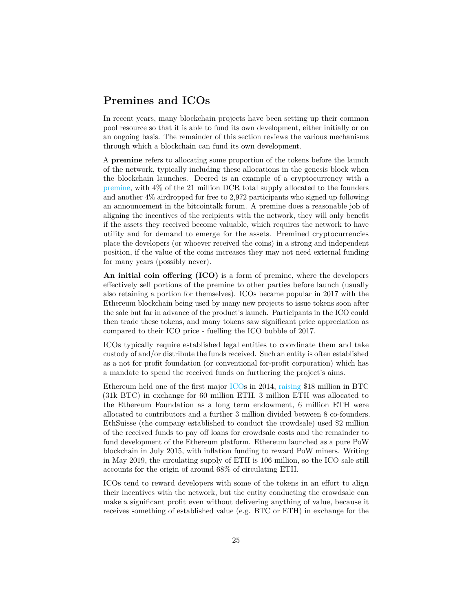## **Premines and ICOs**

In recent years, many blockchain projects have been setting up their common pool resource so that it is able to fund its own development, either initially or on an ongoing basis. The remainder of this section reviews the various mechanisms through which a blockchain can fund its own development.

A **premine** refers to allocating some proportion of the tokens before the launch of the network, typically including these allocations in the genesis block when the blockchain launches. Decred is an example of a cryptocurrency with a [premine,](https://docs.decred.org/advanced/premine/) with 4% of the 21 million DCR total supply allocated to the founders and another 4% airdropped for free to 2,972 participants who signed up following an announcement in the bitcointalk forum. A premine does a reasonable job of aligning the incentives of the recipients with the network, they will only benefit if the assets they received become valuable, which requires the network to have utility and for demand to emerge for the assets. Premined cryptocurrencies place the developers (or whoever received the coins) in a strong and independent position, if the value of the coins increases they may not need external funding for many years (possibly never).

**An initial coin offering (ICO)** is a form of premine, where the developers effectively sell portions of the premine to other parties before launch (usually also retaining a portion for themselves). ICOs became popular in 2017 with the Ethereum blockchain being used by many new projects to issue tokens soon after the sale but far in advance of the product's launch. Participants in the ICO could then trade these tokens, and many tokens saw significant price appreciation as compared to their ICO price - fuelling the ICO bubble of 2017.

ICOs typically require established legal entities to coordinate them and take custody of and/or distribute the funds received. Such an entity is often established as a not for profit foundation (or conventional for-profit corporation) which has a mandate to spend the received funds on furthering the project's aims.

Ethereum held one of the first major [ICOs](https://web.archive.org/web/20140723212709/https://www.ethereum.org/pdfs/TermsAndConditionsOfTheEthereumGenesisSale.pdf) in 2014, [raising](https://www.theblockcrypto.com/2018/12/18/the-ethereum-ico-where-did-all-the-tokens-go/) \$18 million in BTC (31k BTC) in exchange for 60 million ETH. 3 million ETH was allocated to the Ethereum Foundation as a long term endowment, 6 million ETH were allocated to contributors and a further 3 million divided between 8 co-founders. EthSuisse (the company established to conduct the crowdsale) used \$2 million of the received funds to pay off loans for crowdsale costs and the remainder to fund development of the Ethereum platform. Ethereum launched as a pure PoW blockchain in July 2015, with inflation funding to reward PoW miners. Writing in May 2019, the circulating supply of ETH is 106 million, so the ICO sale still accounts for the origin of around 68% of circulating ETH.

ICOs tend to reward developers with some of the tokens in an effort to align their incentives with the network, but the entity conducting the crowdsale can make a significant profit even without delivering anything of value, because it receives something of established value (e.g. BTC or ETH) in exchange for the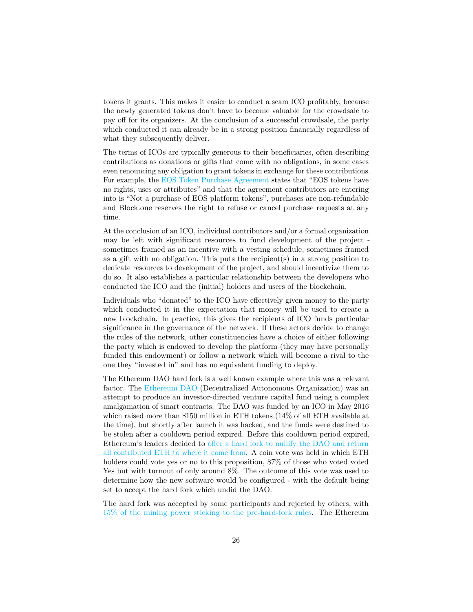tokens it grants. This makes it easier to conduct a scam ICO profitably, because the newly generated tokens don't have to become valuable for the crowdsale to pay off for its organizers. At the conclusion of a successful crowdsale, the party which conducted it can already be in a strong position financially regardless of what they subsequently deliver.

The terms of ICOs are typically generous to their beneficiaries, often describing contributions as donations or gifts that come with no obligations, in some cases even renouncing any obligation to grant tokens in exchange for these contributions. For example, the [EOS Token Purchase Agreement](https://eos.io/documents/block.one%20-%20EOS%20Token%20Purchase%20Agreement%20-%20September%204,%202017.pdf) states that "EOS tokens have no rights, uses or attributes" and that the agreement contributors are entering into is "Not a purchase of EOS platform tokens", purchases are non-refundable and Block.one reserves the right to refuse or cancel purchase requests at any time.

At the conclusion of an ICO, individual contributors and/or a formal organization may be left with significant resources to fund development of the project sometimes framed as an incentive with a vesting schedule, sometimes framed as a gift with no obligation. This puts the recipient(s) in a strong position to dedicate resources to development of the project, and should incentivize them to do so. It also establishes a particular relationship between the developers who conducted the ICO and the (initial) holders and users of the blockchain.

Individuals who "donated" to the ICO have effectively given money to the party which conducted it in the expectation that money will be used to create a new blockchain. In practice, this gives the recipients of ICO funds particular significance in the governance of the network. If these actors decide to change the rules of the network, other constituencies have a choice of either following the party which is endowed to develop the platform (they may have personally funded this endowment) or follow a network which will become a rival to the one they "invested in" and has no equivalent funding to deploy.

The Ethereum DAO hard fork is a well known example where this was a relevant factor. The [Ethereum DAO](https://en.wikipedia.org/wiki/The_DAO_(organization)) (Decentralized Autonomous Organization) was an attempt to produce an investor-directed venture capital fund using a complex amalgamation of smart contracts. The DAO was funded by an ICO in May 2016 which raised more than \$150 million in ETH tokens (14% of all ETH available at the time), but shortly after launch it was hacked, and the funds were destined to be stolen after a cooldown period expired. Before this cooldown period expired, Ethereum's leaders decided to [offer a hard fork to nullify the DAO and return](https://blog.ethereum.org/2016/07/15/to-fork-or-not-to-fork/) [all contributed ETH to where it came from.](https://blog.ethereum.org/2016/07/15/to-fork-or-not-to-fork/) A coin vote was held in which ETH holders could vote yes or no to this proposition, 87% of those who voted voted Yes but with turnout of only around 8%. The outcome of this vote was used to determine how the new software would be configured - with the default being set to accept the hard fork which undid the DAO.

The hard fork was accepted by some participants and rejected by others, with [15% of the mining power sticking to the pre-hard-fork rules.](https://blog.ethereum.org/2016/07/20/hard-fork-completed/) The Ethereum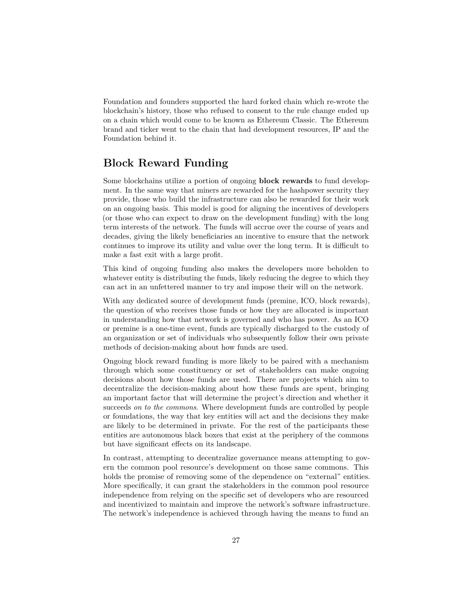Foundation and founders supported the hard forked chain which re-wrote the blockchain's history, those who refused to consent to the rule change ended up on a chain which would come to be known as Ethereum Classic. The Ethereum brand and ticker went to the chain that had development resources, IP and the Foundation behind it.

## **Block Reward Funding**

Some blockchains utilize a portion of ongoing **block rewards** to fund development. In the same way that miners are rewarded for the hashpower security they provide, those who build the infrastructure can also be rewarded for their work on an ongoing basis. This model is good for aligning the incentives of developers (or those who can expect to draw on the development funding) with the long term interests of the network. The funds will accrue over the course of years and decades, giving the likely beneficiaries an incentive to ensure that the network continues to improve its utility and value over the long term. It is difficult to make a fast exit with a large profit.

This kind of ongoing funding also makes the developers more beholden to whatever entity is distributing the funds, likely reducing the degree to which they can act in an unfettered manner to try and impose their will on the network.

With any dedicated source of development funds (premine, ICO, block rewards), the question of who receives those funds or how they are allocated is important in understanding how that network is governed and who has power. As an ICO or premine is a one-time event, funds are typically discharged to the custody of an organization or set of individuals who subsequently follow their own private methods of decision-making about how funds are used.

Ongoing block reward funding is more likely to be paired with a mechanism through which some constituency or set of stakeholders can make ongoing decisions about how those funds are used. There are projects which aim to decentralize the decision-making about how these funds are spent, bringing an important factor that will determine the project's direction and whether it succeeds *on to the commons*. Where development funds are controlled by people or foundations, the way that key entities will act and the decisions they make are likely to be determined in private. For the rest of the participants these entities are autonomous black boxes that exist at the periphery of the commons but have significant effects on its landscape.

In contrast, attempting to decentralize governance means attempting to govern the common pool resource's development on those same commons. This holds the promise of removing some of the dependence on "external" entities. More specifically, it can grant the stakeholders in the common pool resource independence from relying on the specific set of developers who are resourced and incentivized to maintain and improve the network's software infrastructure. The network's independence is achieved through having the means to fund an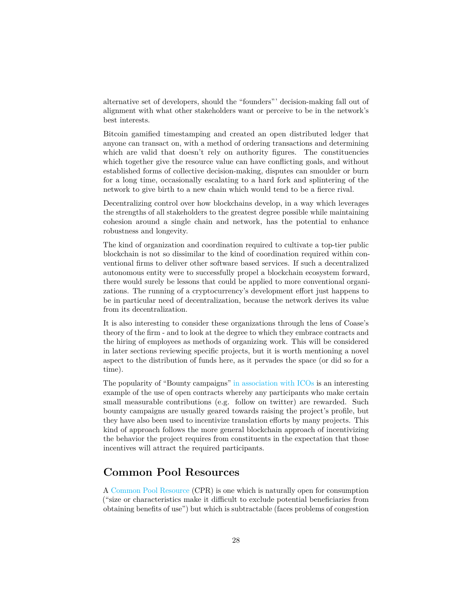alternative set of developers, should the "founders"' decision-making fall out of alignment with what other stakeholders want or perceive to be in the network's best interests.

Bitcoin gamified timestamping and created an open distributed ledger that anyone can transact on, with a method of ordering transactions and determining which are valid that doesn't rely on authority figures. The constituencies which together give the resource value can have conflicting goals, and without established forms of collective decision-making, disputes can smoulder or burn for a long time, occasionally escalating to a hard fork and splintering of the network to give birth to a new chain which would tend to be a fierce rival.

Decentralizing control over how blockchains develop, in a way which leverages the strengths of all stakeholders to the greatest degree possible while maintaining cohesion around a single chain and network, has the potential to enhance robustness and longevity.

The kind of organization and coordination required to cultivate a top-tier public blockchain is not so dissimilar to the kind of coordination required within conventional firms to deliver other software based services. If such a decentralized autonomous entity were to successfully propel a blockchain ecosystem forward, there would surely be lessons that could be applied to more conventional organizations. The running of a cryptocurrency's development effort just happens to be in particular need of decentralization, because the network derives its value from its decentralization.

It is also interesting to consider these organizations through the lens of Coase's theory of the firm - and to look at the degree to which they embrace contracts and the hiring of employees as methods of organizing work. This will be considered in later sections reviewing specific projects, but it is worth mentioning a novel aspect to the distribution of funds here, as it pervades the space (or did so for a time).

The popularity of "Bounty campaigns" [in association with ICOs](https://www.trackico.io/bounties/) is an interesting example of the use of open contracts whereby any participants who make certain small measurable contributions (e.g. follow on twitter) are rewarded. Such bounty campaigns are usually geared towards raising the project's profile, but they have also been used to incentivize translation efforts by many projects. This kind of approach follows the more general blockchain approach of incentivizing the behavior the project requires from constituents in the expectation that those incentives will attract the required participants.

#### **Common Pool Resources**

A [Common Pool Resource](https://en.wikipedia.org/wiki/Common-pool_resource) (CPR) is one which is naturally open for consumption ("size or characteristics make it difficult to exclude potential beneficiaries from obtaining benefits of use") but which is subtractable (faces problems of congestion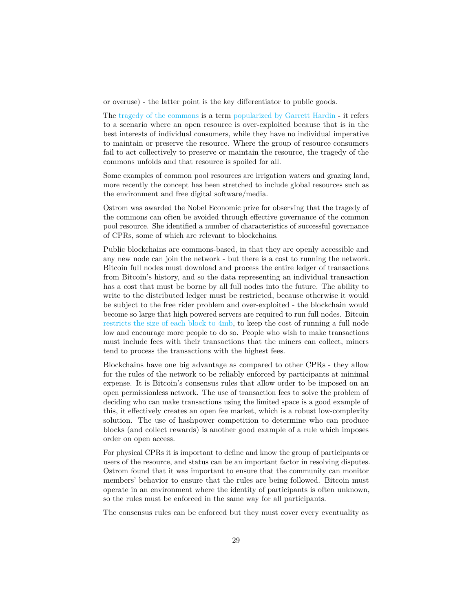or overuse) - the latter point is the key differentiator to public goods.

The [tragedy of the commons](https://en.wikipedia.org/wiki/Tragedy_of_the_commons) is a term [popularized by Garrett Hardin](http://science.sciencemag.org/content/sci/162/3859/1243.full.pdf) - it refers to a scenario where an open resource is over-exploited because that is in the best interests of individual consumers, while they have no individual imperative to maintain or preserve the resource. Where the group of resource consumers fail to act collectively to preserve or maintain the resource, the tragedy of the commons unfolds and that resource is spoiled for all.

Some examples of common pool resources are irrigation waters and grazing land, more recently the concept has been stretched to include global resources such as the environment and free digital software/media.

Ostrom was awarded the Nobel Economic prize for observing that the tragedy of the commons can often be avoided through effective governance of the common pool resource. She identified a number of characteristics of successful governance of CPRs, some of which are relevant to blockchains.

Public blockchains are commons-based, in that they are openly accessible and any new node can join the network - but there is a cost to running the network. Bitcoin full nodes must download and process the entire ledger of transactions from Bitcoin's history, and so the data representing an individual transaction has a cost that must be borne by all full nodes into the future. The ability to write to the distributed ledger must be restricted, because otherwise it would be subject to the free rider problem and over-exploited - the blockchain would become so large that high powered servers are required to run full nodes. Bitcoin [restricts the size of each block to 4mb,](https://medium.com/@jimmysong/understanding-SegWit-block-size-fd901b87c9d4) to keep the cost of running a full node low and encourage more people to do so. People who wish to make transactions must include fees with their transactions that the miners can collect, miners tend to process the transactions with the highest fees.

Blockchains have one big advantage as compared to other CPRs - they allow for the rules of the network to be reliably enforced by participants at minimal expense. It is Bitcoin's consensus rules that allow order to be imposed on an open permissionless network. The use of transaction fees to solve the problem of deciding who can make transactions using the limited space is a good example of this, it effectively creates an open fee market, which is a robust low-complexity solution. The use of hashpower competition to determine who can produce blocks (and collect rewards) is another good example of a rule which imposes order on open access.

For physical CPRs it is important to define and know the group of participants or users of the resource, and status can be an important factor in resolving disputes. Ostrom found that it was important to ensure that the community can monitor members' behavior to ensure that the rules are being followed. Bitcoin must operate in an environment where the identity of participants is often unknown, so the rules must be enforced in the same way for all participants.

The consensus rules can be enforced but they must cover every eventuality as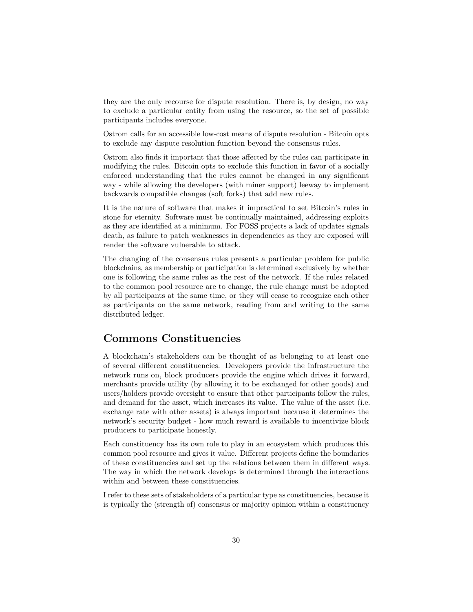they are the only recourse for dispute resolution. There is, by design, no way to exclude a particular entity from using the resource, so the set of possible participants includes everyone.

Ostrom calls for an accessible low-cost means of dispute resolution - Bitcoin opts to exclude any dispute resolution function beyond the consensus rules.

Ostrom also finds it important that those affected by the rules can participate in modifying the rules. Bitcoin opts to exclude this function in favor of a socially enforced understanding that the rules cannot be changed in any significant way - while allowing the developers (with miner support) leeway to implement backwards compatible changes (soft forks) that add new rules.

It is the nature of software that makes it impractical to set Bitcoin's rules in stone for eternity. Software must be continually maintained, addressing exploits as they are identified at a minimum. For FOSS projects a lack of updates signals death, as failure to patch weaknesses in dependencies as they are exposed will render the software vulnerable to attack.

The changing of the consensus rules presents a particular problem for public blockchains, as membership or participation is determined exclusively by whether one is following the same rules as the rest of the network. If the rules related to the common pool resource are to change, the rule change must be adopted by all participants at the same time, or they will cease to recognize each other as participants on the same network, reading from and writing to the same distributed ledger.

#### **Commons Constituencies**

A blockchain's stakeholders can be thought of as belonging to at least one of several different constituencies. Developers provide the infrastructure the network runs on, block producers provide the engine which drives it forward, merchants provide utility (by allowing it to be exchanged for other goods) and users/holders provide oversight to ensure that other participants follow the rules, and demand for the asset, which increases its value. The value of the asset (i.e. exchange rate with other assets) is always important because it determines the network's security budget - how much reward is available to incentivize block producers to participate honestly.

Each constituency has its own role to play in an ecosystem which produces this common pool resource and gives it value. Different projects define the boundaries of these constituencies and set up the relations between them in different ways. The way in which the network develops is determined through the interactions within and between these constituencies.

I refer to these sets of stakeholders of a particular type as constituencies, because it is typically the (strength of) consensus or majority opinion within a constituency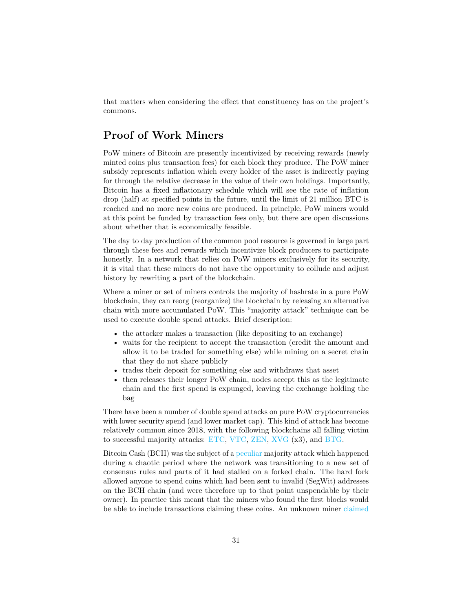that matters when considering the effect that constituency has on the project's commons.

## **Proof of Work Miners**

PoW miners of Bitcoin are presently incentivized by receiving rewards (newly minted coins plus transaction fees) for each block they produce. The PoW miner subsidy represents inflation which every holder of the asset is indirectly paying for through the relative decrease in the value of their own holdings. Importantly, Bitcoin has a fixed inflationary schedule which will see the rate of inflation drop (half) at specified points in the future, until the limit of 21 million BTC is reached and no more new coins are produced. In principle, PoW miners would at this point be funded by transaction fees only, but there are open discussions about whether that is economically feasible.

The day to day production of the common pool resource is governed in large part through these fees and rewards which incentivize block producers to participate honestly. In a network that relies on PoW miners exclusively for its security, it is vital that these miners do not have the opportunity to collude and adjust history by rewriting a part of the blockchain.

Where a miner or set of miners controls the majority of hashrate in a pure PoW blockchain, they can reorg (reorganize) the blockchain by releasing an alternative chain with more accumulated PoW. This "majority attack" technique can be used to execute double spend attacks. Brief description:

- the attacker makes a transaction (like depositing to an exchange)
- waits for the recipient to accept the transaction (credit the amount and allow it to be traded for something else) while mining on a secret chain that they do not share publicly
- trades their deposit for something else and withdraws that asset
- then releases their longer PoW chain, nodes accept this as the legitimate chain and the first spend is expunged, leaving the exchange holding the bag

There have been a number of double spend attacks on pure PoW cryptocurrencies with lower security spend (and lower market cap). This kind of attack has become relatively common since 2018, with the following blockchains all falling victim to successful majority attacks: [ETC,](https://blog.coinbase.com/ethereum-classic-etc-is-currently-being-51-attacked-33be13ce32de) [VTC,](https://medium.com/coinmonks/vertcoin-vtc-is-currently-being-51-attacked-53ab633c08a4) [ZEN,](https://bitcoinist.com/zencash-target-51-attack-loses-500k-double-spend-transactions/) [XVG](https://blockexplorer.com/news/third-times-a-charm-verge-suffers-51-attack-yet-again/) (x3), and [BTG.](http://fortune.com/2018/05/29/bitcoin-gold-hack/)

Bitcoin Cash (BCH) was the subject of a [peculiar](https://blog.bitmex.com/the-bitcoin-cash-hardfork-three-interrelated-incidents/) majority attack which happened during a chaotic period where the network was transitioning to a new set of consensus rules and parts of it had stalled on a forked chain. The hard fork allowed anyone to spend coins which had been sent to invalid (SegWit) addresses on the BCH chain (and were therefore up to that point unspendable by their owner). In practice this meant that the miners who found the first blocks would be able to include transactions claiming these coins. An unknown miner [claimed](https://www.coindesk.com/bitcoin-cash-miners-undo-attackers-transactions-with-51-attack)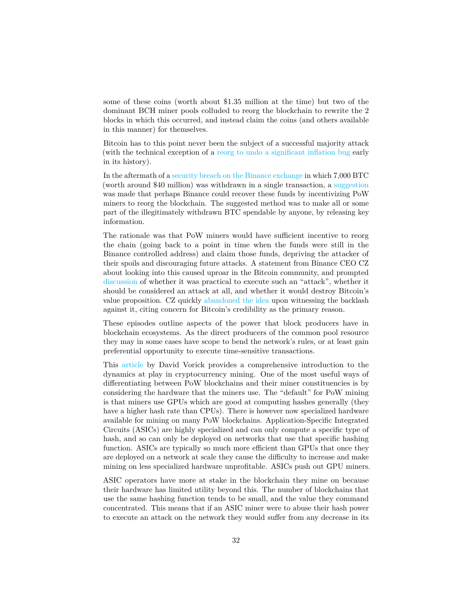some of these coins (worth about \$1.35 million at the time) but two of the dominant BCH miner pools colluded to reorg the blockchain to rewrite the 2 blocks in which this occurred, and instead claim the coins (and others available in this manner) for themselves.

Bitcoin has to this point never been the subject of a successful majority attack (with the technical exception of a [reorg to undo a significant inflation bug](https://news.bitcoin.com/bitcoin-history-part-10-the-184-billion-btc-bug/) early in its history).

In the aftermath of a [security breach on the Binance exchange](https://binance.zendesk.com/hc/en-us/articles/360028031711) in which 7,000 BTC (worth around \$40 million) was withdrawn in a single transaction, a [suggestion](https://twitter.com/JeremyRubin/status/1125919526485254144) was made that perhaps Binance could recover these funds by incentivizing PoW miners to reorg the blockchain. The suggested method was to make all or some part of the illegitimately withdrawn BTC spendable by anyone, by releasing key information.

The rationale was that PoW miners would have sufficient incentive to reorg the chain (going back to a point in time when the funds were still in the Binance controlled address) and claim those funds, depriving the attacker of their spoils and discouraging future attacks. A statement from Binance CEO CZ about looking into this caused uproar in the Bitcoin community, and prompted [discussion](https://research.circle.com/weekly-recaps/weekly-crypto-recap-to-reorg-or-not-to-reorg) of whether it was practical to execute such an "attack", whether it should be considered an attack at all, and whether it would destroy Bitcoin's value proposition. CZ quickly [abandoned the idea](https://twitter.com/cz_binance/status/1125996194734399488) upon witnessing the backlash against it, citing concern for Bitcoin's credibility as the primary reason.

These episodes outline aspects of the power that block producers have in blockchain ecosystems. As the direct producers of the common pool resource they may in some cases have scope to bend the network's rules, or at least gain preferential opportunity to execute time-sensitive transactions.

This [article](https://blog.sia.tech/the-state-of-cryptocurrency-mining-538004a37f9b) by David Vorick provides a comprehensive introduction to the dynamics at play in cryptocurrency mining. One of the most useful ways of differentiating between PoW blockchains and their miner constituencies is by considering the hardware that the miners use. The "default" for PoW mining is that miners use GPUs which are good at computing hashes generally (they have a higher hash rate than CPUs). There is however now specialized hardware available for mining on many PoW blockchains. Application-Specific Integrated Circuits (ASICs) are highly specialized and can only compute a specific type of hash, and so can only be deployed on networks that use that specific hashing function. ASICs are typically so much more efficient than GPUs that once they are deployed on a network at scale they cause the difficulty to increase and make mining on less specialized hardware unprofitable. ASICs push out GPU miners.

ASIC operators have more at stake in the blockchain they mine on because their hardware has limited utility beyond this. The number of blockchains that use the same hashing function tends to be small, and the value they command concentrated. This means that if an ASIC miner were to abuse their hash power to execute an attack on the network they would suffer from any decrease in its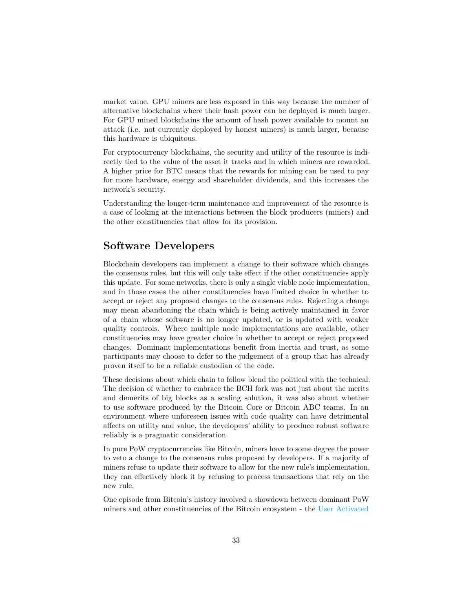market value. GPU miners are less exposed in this way because the number of alternative blockchains where their hash power can be deployed is much larger. For GPU mined blockchains the amount of hash power available to mount an attack (i.e. not currently deployed by honest miners) is much larger, because this hardware is ubiquitous.

For cryptocurrency blockchains, the security and utility of the resource is indirectly tied to the value of the asset it tracks and in which miners are rewarded. A higher price for BTC means that the rewards for mining can be used to pay for more hardware, energy and shareholder dividends, and this increases the network's security.

Understanding the longer-term maintenance and improvement of the resource is a case of looking at the interactions between the block producers (miners) and the other constituencies that allow for its provision.

#### **Software Developers**

Blockchain developers can implement a change to their software which changes the consensus rules, but this will only take effect if the other constituencies apply this update. For some networks, there is only a single viable node implementation, and in those cases the other constituencies have limited choice in whether to accept or reject any proposed changes to the consensus rules. Rejecting a change may mean abandoning the chain which is being actively maintained in favor of a chain whose software is no longer updated, or is updated with weaker quality controls. Where multiple node implementations are available, other constituencies may have greater choice in whether to accept or reject proposed changes. Dominant implementations benefit from inertia and trust, as some participants may choose to defer to the judgement of a group that has already proven itself to be a reliable custodian of the code.

These decisions about which chain to follow blend the political with the technical. The decision of whether to embrace the BCH fork was not just about the merits and demerits of big blocks as a scaling solution, it was also about whether to use software produced by the Bitcoin Core or Bitcoin ABC teams. In an environment where unforeseen issues with code quality can have detrimental affects on utility and value, the developers' ability to produce robust software reliably is a pragmatic consideration.

In pure PoW cryptocurrencies like Bitcoin, miners have to some degree the power to veto a change to the consensus rules proposed by developers. If a majority of miners refuse to update their software to allow for the new rule's implementation, they can effectively block it by refusing to process transactions that rely on the new rule.

One episode from Bitcoin's history involved a showdown between dominant PoW miners and other constituencies of the Bitcoin ecosystem - the [User Activated](https://medium.com/@jimmysong/bitcoin-uasf-and-skin-in-the-game-7695031c5689)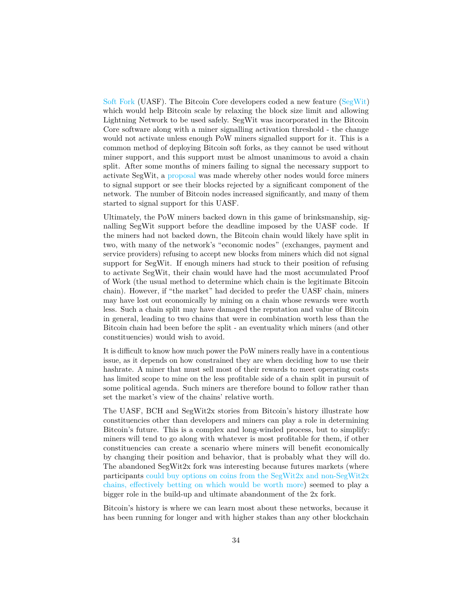[Soft Fork](https://medium.com/@jimmysong/bitcoin-uasf-and-skin-in-the-game-7695031c5689) (UASF). The Bitcoin Core developers coded a new feature [\(SegWit\)](https://en.wikipedia.org/wiki/SegWit) which would help Bitcoin scale by relaxing the block size limit and allowing Lightning Network to be used safely. SegWit was incorporated in the Bitcoin Core software along with a miner signalling activation threshold - the change would not activate unless enough PoW miners signalled support for it. This is a common method of deploying Bitcoin soft forks, as they cannot be used without miner support, and this support must be almost unanimous to avoid a chain split. After some months of miners failing to signal the necessary support to activate SegWit, a [proposal](https://github.com/bitcoin/bips/blob/master/bip-0148.mediawiki) was made whereby other nodes would force miners to signal support or see their blocks rejected by a significant component of the network. The number of Bitcoin nodes increased significantly, and many of them started to signal support for this UASF.

Ultimately, the PoW miners backed down in this game of brinksmanship, signalling SegWit support before the deadline imposed by the UASF code. If the miners had not backed down, the Bitcoin chain would likely have split in two, with many of the network's "economic nodes" (exchanges, payment and service providers) refusing to accept new blocks from miners which did not signal support for SegWit. If enough miners had stuck to their position of refusing to activate SegWit, their chain would have had the most accumulated Proof of Work (the usual method to determine which chain is the legitimate Bitcoin chain). However, if "the market" had decided to prefer the UASF chain, miners may have lost out economically by mining on a chain whose rewards were worth less. Such a chain split may have damaged the reputation and value of Bitcoin in general, leading to two chains that were in combination worth less than the Bitcoin chain had been before the split - an eventuality which miners (and other constituencies) would wish to avoid.

It is difficult to know how much power the PoW miners really have in a contentious issue, as it depends on how constrained they are when deciding how to use their hashrate. A miner that must sell most of their rewards to meet operating costs has limited scope to mine on the less profitable side of a chain split in pursuit of some political agenda. Such miners are therefore bound to follow rather than set the market's view of the chains' relative worth.

The UASF, BCH and SegWit2x stories from Bitcoin's history illustrate how constituencies other than developers and miners can play a role in determining Bitcoin's future. This is a complex and long-winded process, but to simplify: miners will tend to go along with whatever is most profitable for them, if other constituencies can create a scenario where miners will benefit economically by changing their position and behavior, that is probably what they will do. The abandoned SegWit2x fork was interesting because futures markets (where participants [could buy options on coins from the SegWit2x and non-SegWit2x](https://hackernoon.com/why-i-just-bought-90-b2x-bitcoin-SegWit2x-futures-f94d0ee13eb9) [chains, effectively betting on which would be worth more\)](https://hackernoon.com/why-i-just-bought-90-b2x-bitcoin-SegWit2x-futures-f94d0ee13eb9) seemed to play a bigger role in the build-up and ultimate abandonment of the 2x fork.

Bitcoin's history is where we can learn most about these networks, because it has been running for longer and with higher stakes than any other blockchain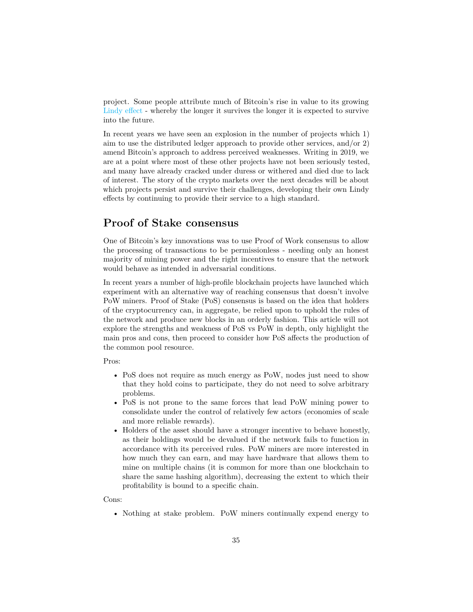project. Some people attribute much of Bitcoin's rise in value to its growing [Lindy effect](https://en.wikipedia.org/wiki/Lindy_effect) - whereby the longer it survives the longer it is expected to survive into the future.

In recent years we have seen an explosion in the number of projects which 1) aim to use the distributed ledger approach to provide other services, and/or 2) amend Bitcoin's approach to address perceived weaknesses. Writing in 2019, we are at a point where most of these other projects have not been seriously tested, and many have already cracked under duress or withered and died due to lack of interest. The story of the crypto markets over the next decades will be about which projects persist and survive their challenges, developing their own Lindy effects by continuing to provide their service to a high standard.

#### **Proof of Stake consensus**

One of Bitcoin's key innovations was to use Proof of Work consensus to allow the processing of transactions to be permissionless - needing only an honest majority of mining power and the right incentives to ensure that the network would behave as intended in adversarial conditions.

In recent years a number of high-profile blockchain projects have launched which experiment with an alternative way of reaching consensus that doesn't involve PoW miners. Proof of Stake (PoS) consensus is based on the idea that holders of the cryptocurrency can, in aggregate, be relied upon to uphold the rules of the network and produce new blocks in an orderly fashion. This article will not explore the strengths and weakness of PoS vs PoW in depth, only highlight the main pros and cons, then proceed to consider how PoS affects the production of the common pool resource.

Pros:

- PoS does not require as much energy as PoW, nodes just need to show that they hold coins to participate, they do not need to solve arbitrary problems.
- PoS is not prone to the same forces that lead PoW mining power to consolidate under the control of relatively few actors (economies of scale and more reliable rewards).
- Holders of the asset should have a stronger incentive to behave honestly, as their holdings would be devalued if the network fails to function in accordance with its perceived rules. PoW miners are more interested in how much they can earn, and may have hardware that allows them to mine on multiple chains (it is common for more than one blockchain to share the same hashing algorithm), decreasing the extent to which their profitability is bound to a specific chain.

Cons:

• Nothing at stake problem. PoW miners continually expend energy to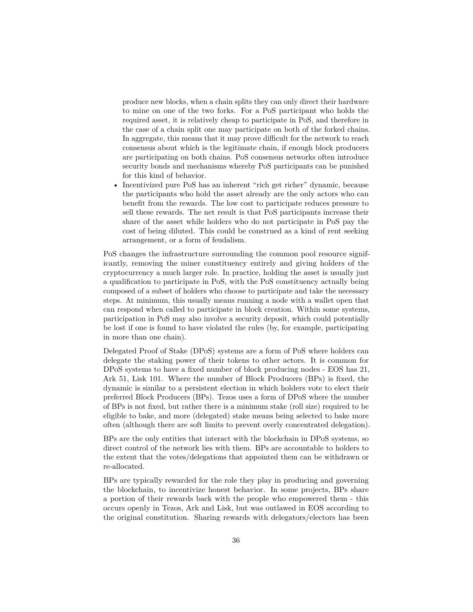produce new blocks, when a chain splits they can only direct their hardware to mine on one of the two forks. For a PoS participant who holds the required asset, it is relatively cheap to participate in PoS, and therefore in the case of a chain split one may participate on both of the forked chains. In aggregate, this means that it may prove difficult for the network to reach consensus about which is the legitimate chain, if enough block producers are participating on both chains. PoS consensus networks often introduce security bonds and mechanisms whereby PoS participants can be punished for this kind of behavior.

• Incentivized pure PoS has an inherent "rich get richer" dynamic, because the participants who hold the asset already are the only actors who can benefit from the rewards. The low cost to participate reduces pressure to sell these rewards. The net result is that PoS participants increase their share of the asset while holders who do not participate in PoS pay the cost of being diluted. This could be construed as a kind of rent seeking arrangement, or a form of feudalism.

PoS changes the infrastructure surrounding the common pool resource significantly, removing the miner constituency entirely and giving holders of the cryptocurrency a much larger role. In practice, holding the asset is usually just a qualification to participate in PoS, with the PoS constituency actually being composed of a subset of holders who choose to participate and take the necessary steps. At minimum, this usually means running a node with a wallet open that can respond when called to participate in block creation. Within some systems, participation in PoS may also involve a security deposit, which could potentially be lost if one is found to have violated the rules (by, for example, participating in more than one chain).

Delegated Proof of Stake (DPoS) systems are a form of PoS where holders can delegate the staking power of their tokens to other actors. It is common for DPoS systems to have a fixed number of block producing nodes - EOS has 21, Ark 51, Lisk 101. Where the number of Block Producers (BPs) is fixed, the dynamic is similar to a persistent election in which holders vote to elect their preferred Block Producers (BPs). Tezos uses a form of DPoS where the number of BPs is not fixed, but rather there is a minimum stake (roll size) required to be eligible to bake, and more (delegated) stake means being selected to bake more often (although there are soft limits to prevent overly concentrated delegation).

BPs are the only entities that interact with the blockchain in DPoS systems, so direct control of the network lies with them. BPs are accountable to holders to the extent that the votes/delegations that appointed them can be withdrawn or re-allocated.

BPs are typically rewarded for the role they play in producing and governing the blockchain, to incentivize honest behavior. In some projects, BPs share a portion of their rewards back with the people who empowered them - this occurs openly in Tezos, Ark and Lisk, but was outlawed in EOS according to the original constitution. Sharing rewards with delegators/electors has been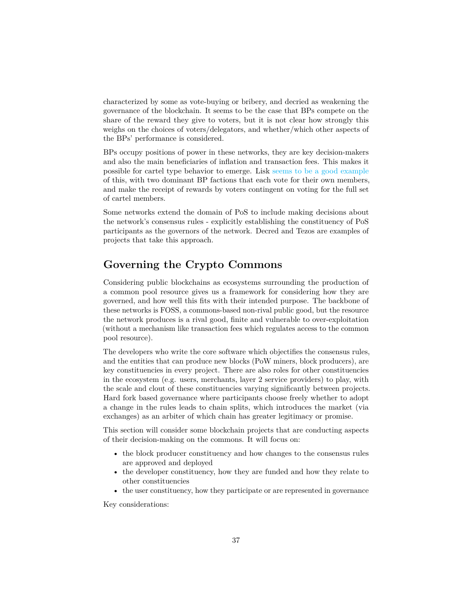characterized by some as vote-buying or bribery, and decried as weakening the governance of the blockchain. It seems to be the case that BPs compete on the share of the reward they give to voters, but it is not clear how strongly this weighs on the choices of voters/delegators, and whether/which other aspects of the BPs' performance is considered.

BPs occupy positions of power in these networks, they are key decision-makers and also the main beneficiaries of inflation and transaction fees. This makes it possible for cartel type behavior to emerge. Lisk [seems to be a good example](https://medium.com/coinmonks/lisk-the-mafia-blockchain-47248915ae2f) of this, with two dominant BP factions that each vote for their own members, and make the receipt of rewards by voters contingent on voting for the full set of cartel members.

Some networks extend the domain of PoS to include making decisions about the network's consensus rules - explicitly establishing the constituency of PoS participants as the governors of the network. Decred and Tezos are examples of projects that take this approach.

# **Governing the Crypto Commons**

Considering public blockchains as ecosystems surrounding the production of a common pool resource gives us a framework for considering how they are governed, and how well this fits with their intended purpose. The backbone of these networks is FOSS, a commons-based non-rival public good, but the resource the network produces is a rival good, finite and vulnerable to over-exploitation (without a mechanism like transaction fees which regulates access to the common pool resource).

The developers who write the core software which objectifies the consensus rules, and the entities that can produce new blocks (PoW miners, block producers), are key constituencies in every project. There are also roles for other constituencies in the ecosystem (e.g. users, merchants, layer 2 service providers) to play, with the scale and clout of these constituencies varying significantly between projects. Hard fork based governance where participants choose freely whether to adopt a change in the rules leads to chain splits, which introduces the market (via exchanges) as an arbiter of which chain has greater legitimacy or promise.

This section will consider some blockchain projects that are conducting aspects of their decision-making on the commons. It will focus on:

- the block producer constituency and how changes to the consensus rules are approved and deployed
- the developer constituency, how they are funded and how they relate to other constituencies
- the user constituency, how they participate or are represented in governance

Key considerations: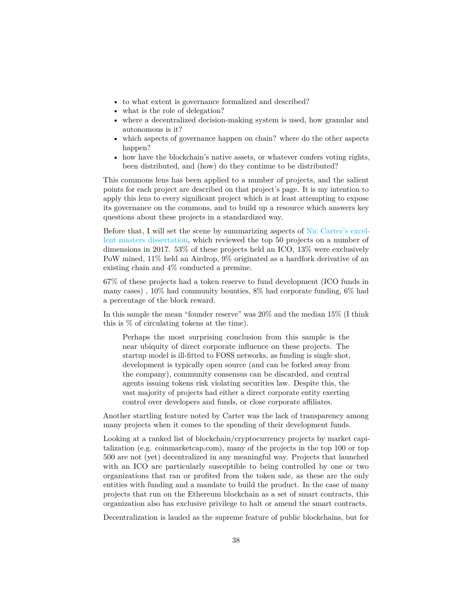- to what extent is governance formalized and described?
- what is the role of delegation?
- where a decentralized decision-making system is used, how granular and autonomous is it?
- which aspects of governance happen on chain? where do the other aspects happen?
- how have the blockchain's native assets, or whatever confers voting rights, been distributed, and (how) do they continue to be distributed?

This commons lens has been applied to a number of projects, and the salient points for each project are described on that project's page. It is my intention to apply this lens to every significant project which is at least attempting to expose its governance on the commons, and to build up a resource which answers key questions about these projects in a standardized way.

Before that, I will set the scene by summarizing aspects of [Nic Carter's excel](https://coinmetrics.io/papers/dissertation.pdf)[lent masters dissertation,](https://coinmetrics.io/papers/dissertation.pdf) which reviewed the top 50 projects on a number of dimensions in 2017. 53% of these projects held an ICO, 13% were exclusively PoW mined, 11% held an Airdrop, 9% originated as a hardfork derivative of an existing chain and 4% conducted a premine.

67% of these projects had a token reserve to fund development (ICO funds in many cases) , 10% had community bounties, 8% had corporate funding, 6% had a percentage of the block reward.

In this sample the mean "founder reserve" was 20% and the median 15% (I think this is % of circulating tokens at the time).

Perhaps the most surprising conclusion from this sample is the near ubiquity of direct corporate influence on these projects. The startup model is ill-fitted to FOSS networks, as funding is single shot, development is typically open source (and can be forked away from the company), community consensus can be discarded, and central agents issuing tokens risk violating securities law. Despite this, the vast majority of projects had either a direct corporate entity exerting control over developers and funds, or close corporate affiliates.

Another startling feature noted by Carter was the lack of transparency among many projects when it comes to the spending of their development funds.

Looking at a ranked list of blockchain/cryptocurrency projects by market capitalization (e.g. coinmarketcap.com), many of the projects in the top 100 or top 500 are not (yet) decentralized in any meaningful way. Projects that launched with an ICO are particularly susceptible to being controlled by one or two organizations that ran or profited from the token sale, as these are the only entities with funding and a mandate to build the product. In the case of many projects that run on the Ethereum blockchain as a set of smart contracts, this organization also has exclusive privilege to halt or amend the smart contracts.

Decentralization is lauded as the supreme feature of public blockchains, but for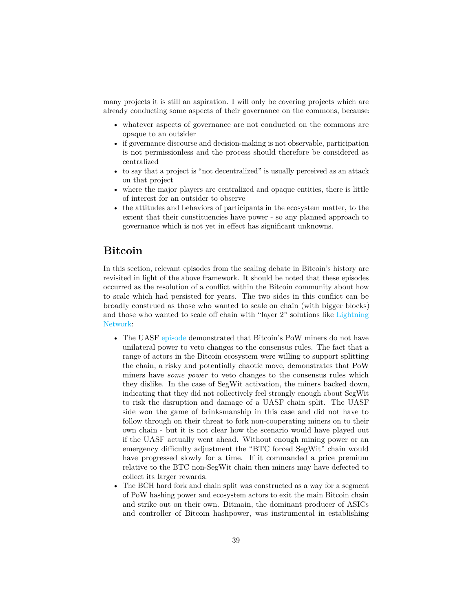many projects it is still an aspiration. I will only be covering projects which are already conducting some aspects of their governance on the commons, because:

- whatever aspects of governance are not conducted on the commons are opaque to an outsider
- if governance discourse and decision-making is not observable, participation is not permissionless and the process should therefore be considered as centralized
- to say that a project is "not decentralized" is usually perceived as an attack on that project
- where the major players are centralized and opaque entities, there is little of interest for an outsider to observe
- the attitudes and behaviors of participants in the ecosystem matter, to the extent that their constituencies have power - so any planned approach to governance which is not yet in effect has significant unknowns.

#### **Bitcoin**

In this section, relevant episodes from the scaling debate in Bitcoin's history are revisited in light of the above framework. It should be noted that these episodes occurred as the resolution of a conflict within the Bitcoin community about how to scale which had persisted for years. The two sides in this conflict can be broadly construed as those who wanted to scale on chain (with bigger blocks) and those who wanted to scale off chain with "layer 2" solutions like [Lightning](https://en.wikipedia.org/wiki/Lightning_Network) [Network:](https://en.wikipedia.org/wiki/Lightning_Network)

- The UASF [episode](https://medium.com/@jimmysong/bitcoin-uasf-and-skin-in-the-game-7695031c5689) demonstrated that Bitcoin's PoW miners do not have unilateral power to veto changes to the consensus rules. The fact that a range of actors in the Bitcoin ecosystem were willing to support splitting the chain, a risky and potentially chaotic move, demonstrates that PoW miners have *some power* to veto changes to the consensus rules which they dislike. In the case of SegWit activation, the miners backed down, indicating that they did not collectively feel strongly enough about SegWit to risk the disruption and damage of a UASF chain split. The UASF side won the game of brinksmanship in this case and did not have to follow through on their threat to fork non-cooperating miners on to their own chain - but it is not clear how the scenario would have played out if the UASF actually went ahead. Without enough mining power or an emergency difficulty adjustment the "BTC forced SegWit" chain would have progressed slowly for a time. If it commanded a price premium relative to the BTC non-SegWit chain then miners may have defected to collect its larger rewards.
- The BCH hard fork and chain split was constructed as a way for a segment of PoW hashing power and ecosystem actors to exit the main Bitcoin chain and strike out on their own. Bitmain, the dominant producer of ASICs and controller of Bitcoin hashpower, was instrumental in establishing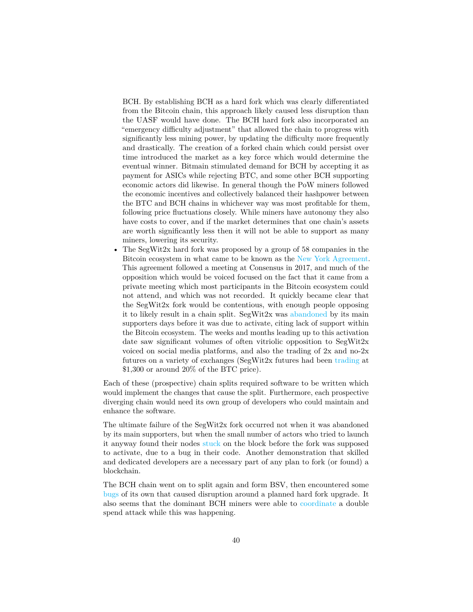BCH. By establishing BCH as a hard fork which was clearly differentiated from the Bitcoin chain, this approach likely caused less disruption than the UASF would have done. The BCH hard fork also incorporated an "emergency difficulty adjustment" that allowed the chain to progress with significantly less mining power, by updating the difficulty more frequently and drastically. The creation of a forked chain which could persist over time introduced the market as a key force which would determine the eventual winner. Bitmain stimulated demand for BCH by accepting it as payment for ASICs while rejecting BTC, and some other BCH supporting economic actors did likewise. In general though the PoW miners followed the economic incentives and collectively balanced their hashpower between the BTC and BCH chains in whichever way was most profitable for them, following price fluctuations closely. While miners have autonomy they also have costs to cover, and if the market determines that one chain's assets are worth significantly less then it will not be able to support as many miners, lowering its security.

• The SegWit2x hard fork was proposed by a group of 58 companies in the Bitcoin ecosystem in what came to be known as the [New York Agreement.](https://medium.com/@DCGco/bitcoin-scaling-agreement-at-consensus-2017-133521fe9a77) This agreement followed a meeting at Consensus in 2017, and much of the opposition which would be voiced focused on the fact that it came from a private meeting which most participants in the Bitcoin ecosystem could not attend, and which was not recorded. It quickly became clear that the SegWit2x fork would be contentious, with enough people opposing it to likely result in a chain split. SegWit2x was [abandoned](https://lists.linuxfoundation.org/pipermail/bitcoin-SegWit2x/2017-November/000685.html) by its main supporters days before it was due to activate, citing lack of support within the Bitcoin ecosystem. The weeks and months leading up to this activation date saw significant volumes of often vitriolic opposition to  $SegWitzx$ voiced on social media platforms, and also the trading of 2x and no-2x futures on a variety of exchanges (SegWit2x futures had been [trading](https://news.bitcoin.com/SegWit2x-futures-continue-to-trade-despite-fork-cancellation/) at \$1,300 or around 20% of the BTC price).

Each of these (prospective) chain splits required software to be written which would implement the changes that cause the split. Furthermore, each prospective diverging chain would need its own group of developers who could maintain and enhance the software.

The ultimate failure of the SegWit2x fork occurred not when it was abandoned by its main supporters, but when the small number of actors who tried to launch it anyway found their nodes [stuck](https://www.coindesk.com/no-fork-no-fire-SegWit2x-nodes-stall-running-abandoned-bitcoin-code) on the block before the fork was supposed to activate, due to a bug in their code. Another demonstration that skilled and dedicated developers are a necessary part of any plan to fork (or found) a blockchain.

The BCH chain went on to split again and form BSV, then encountered some [bugs](https://cryptovest.com/news/bitcoin-cash-bch-chain-underwent-rogue-fork-due-to-normal-bugs/) of its own that caused disruption around a planned hard fork upgrade. It also seems that the dominant BCH miners were able to [coordinate](https://bravenewcoin.com/insights/the-bitcoin-cash-fiasco-a-reorg-or-a-51-percent-attack) a double spend attack while this was happening.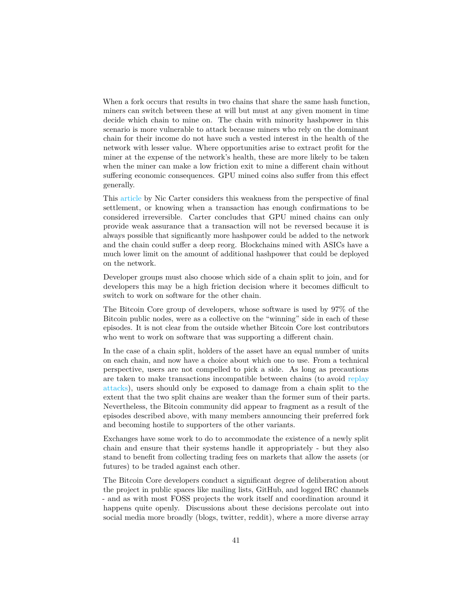When a fork occurs that results in two chains that share the same hash function, miners can switch between these at will but must at any given moment in time decide which chain to mine on. The chain with minority hashpower in this scenario is more vulnerable to attack because miners who rely on the dominant chain for their income do not have such a vested interest in the health of the network with lesser value. Where opportunities arise to extract profit for the miner at the expense of the network's health, these are more likely to be taken when the miner can make a low friction exit to mine a different chain without suffering economic consequences. GPU mined coins also suffer from this effect generally.

This [article](https://medium.com/@nic__carter/its-the-settlement-assurances-stupid-5dcd1c3f4e41) by Nic Carter considers this weakness from the perspective of final settlement, or knowing when a transaction has enough confirmations to be considered irreversible. Carter concludes that GPU mined chains can only provide weak assurance that a transaction will not be reversed because it is always possible that significantly more hashpower could be added to the network and the chain could suffer a deep reorg. Blockchains mined with ASICs have a much lower limit on the amount of additional hashpower that could be deployed on the network.

Developer groups must also choose which side of a chain split to join, and for developers this may be a high friction decision where it becomes difficult to switch to work on software for the other chain.

The Bitcoin Core group of developers, whose software is used by 97% of the Bitcoin public nodes, were as a collective on the "winning" side in each of these episodes. It is not clear from the outside whether Bitcoin Core lost contributors who went to work on software that was supporting a different chain.

In the case of a chain split, holders of the asset have an equal number of units on each chain, and now have a choice about which one to use. From a technical perspective, users are not compelled to pick a side. As long as precautions are taken to make transactions incompatible between chains (to avoid [replay](https://blockonomi.com/replay-attacks/) [attacks\)](https://blockonomi.com/replay-attacks/), users should only be exposed to damage from a chain split to the extent that the two split chains are weaker than the former sum of their parts. Nevertheless, the Bitcoin community did appear to fragment as a result of the episodes described above, with many members announcing their preferred fork and becoming hostile to supporters of the other variants.

Exchanges have some work to do to accommodate the existence of a newly split chain and ensure that their systems handle it appropriately - but they also stand to benefit from collecting trading fees on markets that allow the assets (or futures) to be traded against each other.

The Bitcoin Core developers conduct a significant degree of deliberation about the project in public spaces like mailing lists, GitHub, and logged IRC channels - and as with most FOSS projects the work itself and coordination around it happens quite openly. Discussions about these decisions percolate out into social media more broadly (blogs, twitter, reddit), where a more diverse array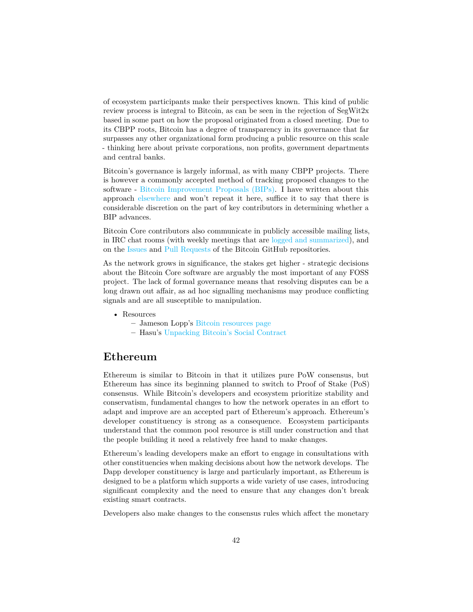of ecosystem participants make their perspectives known. This kind of public review process is integral to Bitcoin, as can be seen in the rejection of SegWit2x based in some part on how the proposal originated from a closed meeting. Due to its CBPP roots, Bitcoin has a degree of transparency in its governance that far surpasses any other organizational form producing a public resource on this scale - thinking here about private corporations, non profits, government departments and central banks.

Bitcoin's governance is largely informal, as with many CBPP projects. There is however a commonly accepted method of tracking proposed changes to the software - [Bitcoin Improvement Proposals \(BIPs\).](https://github.com/bitcoin/bips) I have written about this approach [elsewhere](https://medium.com/@richardred/a-users-perspective-and-introduction-to-blockchain-governance-80fbe2050222) and won't repeat it here, suffice it to say that there is considerable discretion on the part of key contributors in determining whether a BIP advances.

Bitcoin Core contributors also communicate in publicly accessible mailing lists, in IRC chat rooms (with weekly meetings that are [logged and summarized\)](https://github.com/bitcoin/bitcoin/issues), and on the [Issues](https://github.com/bitcoin/bitcoin/issues) and [Pull Requests](https://github.com/bitcoin/bitcoin/pulls) of the Bitcoin GitHub repositories.

As the network grows in significance, the stakes get higher - strategic decisions about the Bitcoin Core software are arguably the most important of any FOSS project. The lack of formal governance means that resolving disputes can be a long drawn out affair, as ad hoc signalling mechanisms may produce conflicting signals and are all susceptible to manipulation.

- Resources
	- **–** Jameson Lopp's [Bitcoin resources page](https://www.lopp.net/bitcoin-information.html)
	- **–** Hasu's [Unpacking Bitcoin's Social Contract](https://medium.com/s/story/bitcoins-social-contract-1f8b05ee24a9)

#### **Ethereum**

Ethereum is similar to Bitcoin in that it utilizes pure PoW consensus, but Ethereum has since its beginning planned to switch to Proof of Stake (PoS) consensus. While Bitcoin's developers and ecosystem prioritize stability and conservatism, fundamental changes to how the network operates in an effort to adapt and improve are an accepted part of Ethereum's approach. Ethereum's developer constituency is strong as a consequence. Ecosystem participants understand that the common pool resource is still under construction and that the people building it need a relatively free hand to make changes.

Ethereum's leading developers make an effort to engage in consultations with other constituencies when making decisions about how the network develops. The Dapp developer constituency is large and particularly important, as Ethereum is designed to be a platform which supports a wide variety of use cases, introducing significant complexity and the need to ensure that any changes don't break existing smart contracts.

Developers also make changes to the consensus rules which affect the monetary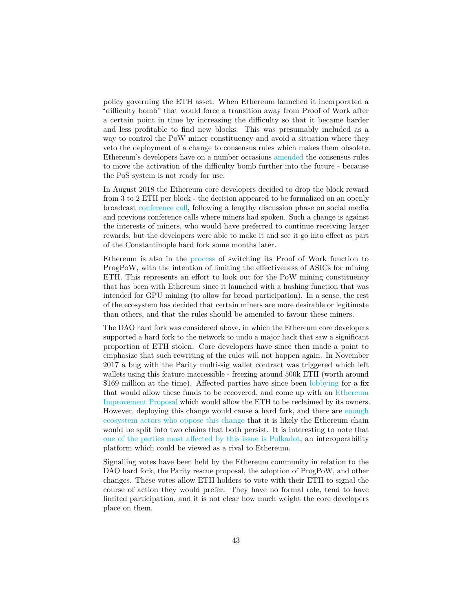policy governing the ETH asset. When Ethereum launched it incorporated a "difficulty bomb" that would force a transition away from Proof of Work after a certain point in time by increasing the difficulty so that it became harder and less profitable to find new blocks. This was presumably included as a way to control the PoW miner constituency and avoid a situation where they veto the deployment of a change to consensus rules which makes them obsolete. Ethereum's developers have on a number occasions [amended](https://www.coindesk.com/ethereum-blockchain-feeling-the-difficulty-bomb-effect) the consensus rules to move the activation of the difficulty bomb further into the future - because the PoS system is not ready for use.

In August 2018 the Ethereum core developers decided to drop the block reward from 3 to 2 ETH per block - the decision appeared to be formalized on an openly broadcast [conference call,](https://www.youtube.com/watch?v=mAs3JZHroKM) following a lengthy discussion phase on social media and previous conference calls where miners had spoken. Such a change is against the interests of miners, who would have preferred to continue receiving larger rewards, but the developers were able to make it and see it go into effect as part of the Constantinople hard fork some months later.

Ethereum is also in the [process](https://www.coindesk.com/ethereum-developers-give-tentative-greenlight-to-asic-blocking-code) of switching its Proof of Work function to ProgPoW, with the intention of limiting the effectiveness of ASICs for mining ETH. This represents an effort to look out for the PoW mining constituency that has been with Ethereum since it launched with a hashing function that was intended for GPU mining (to allow for broad participation). In a sense, the rest of the ecosystem has decided that certain miners are more desirable or legitimate than others, and that the rules should be amended to favour these miners.

The DAO hard fork was considered above, in which the Ethereum core developers supported a hard fork to the network to undo a major hack that saw a significant proportion of ETH stolen. Core developers have since then made a point to emphasize that such rewriting of the rules will not happen again. In November 2017 a bug with the Parity multi-sig wallet contract was triggered which left wallets using this feature inaccessible - freezing around 500k ETH (worth around \$169 million at the time). Affected parties have since been [lobbying](https://www.coindesk.com/parity-proposes-hard-fork-to-reclaim-frozen-160-million) for a fix that would allow these funds to be recovered, and come up with an [Ethereum](https://bitcoinmagazine.com/articles/evolving-debate-over-eip-999-can-or-should-trapped-ether-be-freed) [Improvement Proposal](https://bitcoinmagazine.com/articles/evolving-debate-over-eip-999-can-or-should-trapped-ether-be-freed) which would allow the ETH to be reclaimed by its owners. However, deploying this change would cause a hard fork, and there are [enough](https://bitcoinmagazine.com/articles/evolving-debate-over-eip-999-can-or-should-trapped-ether-be-freed) [ecosystem actors who oppose this change](https://bitcoinmagazine.com/articles/evolving-debate-over-eip-999-can-or-should-trapped-ether-be-freed) that it is likely the Ethereum chain would be split into two chains that both persist. It is interesting to note that [one of the parties most affected by this issue is Polkadot,](https://www.coindesk.com/ico-funds-among-millions-frozen-parity-wallets) an interoperability platform which could be viewed as a rival to Ethereum.

Signalling votes have been held by the Ethereum community in relation to the DAO hard fork, the Parity rescue proposal, the adoption of ProgPoW, and other changes. These votes allow ETH holders to vote with their ETH to signal the course of action they would prefer. They have no formal role, tend to have limited participation, and it is not clear how much weight the core developers place on them.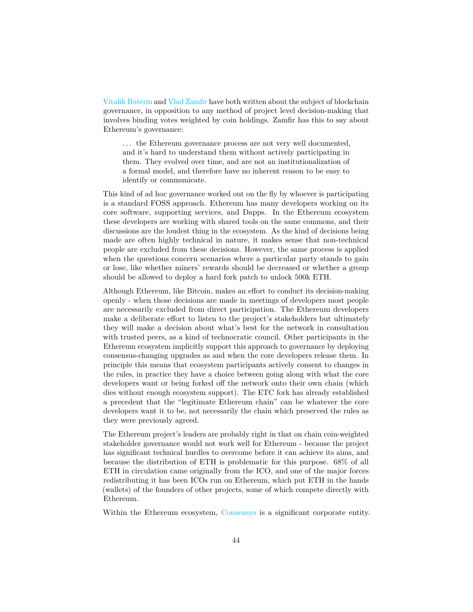[Vitalik Buterin](https://vitalik.ca/general/2018/03/28/plutocracy.html) and [Vlad Zamfir](https://medium.com/@Vlad_Zamfir/against-on-chain-governance-a4ceacd040ca) have both written about the subject of blockchain governance, in opposition to any method of project level decision-making that involves binding votes weighted by coin holdings. Zamfir has this to say about Ethereum's governance:

... the Ethereum governance process are not very well documented, and it's hard to understand them without actively participating in them. They evolved over time, and are not an institutionalization of a formal model, and therefore have no inherent reason to be easy to identify or communicate.

This kind of ad hoc governance worked out on the fly by whoever is participating is a standard FOSS approach. Ethereum has many developers working on its core software, supporting services, and Dapps. In the Ethereum ecosystem these developers are working with shared tools on the same commons, and their discussions are the loudest thing in the ecosystem. As the kind of decisions being made are often highly technical in nature, it makes sense that non-technical people are excluded from these decisions. However, the same process is applied when the questions concern scenarios where a particular party stands to gain or lose, like whether miners' rewards should be decreased or whether a group should be allowed to deploy a hard fork patch to unlock 500k ETH.

Although Ethereum, like Bitcoin, makes an effort to conduct its decision-making openly - when those decisions are made in meetings of developers most people are necessarily excluded from direct participation. The Ethereum developers make a deliberate effort to listen to the project's stakeholders but ultimately they will make a decision about what's best for the network in consultation with trusted peers, as a kind of technocratic council. Other participants in the Ethereum ecosystem implicitly support this approach to governance by deploying consensus-changing upgrades as and when the core developers release them. In principle this means that ecosystem participants actively consent to changes in the rules, in practice they have a choice between going along with what the core developers want or being forked off the network onto their own chain (which dies without enough ecosystem support). The ETC fork has already established a precedent that the "legitimate Ethereum chain" can be whatever the core developers want it to be, not necessarily the chain which preserved the rules as they were previously agreed.

The Ethereum project's leaders are probably right in that on chain coin-weighted stakeholder governance would not work well for Ethereum - because the project has significant technical hurdles to overcome before it can achieve its aims, and because the distribution of ETH is problematic for this purpose. 68% of all ETH in circulation came originally from the ICO, and one of the major forces redistributing it has been ICOs run on Ethereum, which put ETH in the hands (wallets) of the founders of other projects, some of which compete directly with Ethereum.

Within the Ethereum ecosystem, [Consensys](https://en.wikipedia.org/wiki/ConsenSys) is a significant corporate entity.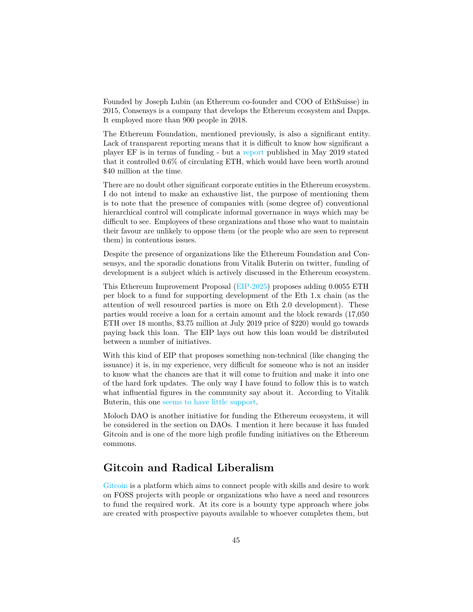Founded by Joseph Lubin (an Ethereum co-founder and COO of EthSuisse) in 2015, Consensys is a company that develops the Ethereum ecosystem and Dapps. It employed more than 900 people in 2018.

The Ethereum Foundation, mentioned previously, is also a significant entity. Lack of transparent reporting means that it is difficult to know how significant a player EF is in terms of funding - but a [report](https://blog.ethereum.org/2019/05/21/ethereum-foundation-spring-2019-update/) published in May 2019 stated that it controlled 0.6% of circulating ETH, which would have been worth around \$40 million at the time.

There are no doubt other significant corporate entities in the Ethereum ecosystem. I do not intend to make an exhaustive list, the purpose of mentioning them is to note that the presence of companies with (some degree of) conventional hierarchical control will complicate informal governance in ways which may be difficult to see. Employees of these organizations and those who want to maintain their favour are unlikely to oppose them (or the people who are seen to represent them) in contentious issues.

Despite the presence of organizations like the Ethereum Foundation and Consensys, and the sporadic donations from Vitalik Buterin on twitter, funding of development is a subject which is actively discussed in the Ethereum ecosystem.

This Ethereum Improvement Proposal [\(EIP-2025\)](https://github.com/ethereum/EIPs/blob/master/EIPS/eip-2025.md) proposes adding 0.0055 ETH per block to a fund for supporting development of the Eth 1.x chain (as the attention of well resourced parties is more on Eth 2.0 development). These parties would receive a loan for a certain amount and the block rewards (17,050 ETH over 18 months, \$3.75 million at July 2019 price of \$220) would go towards paying back this loan. The EIP lays out how this loan would be distributed between a number of initiatives.

With this kind of EIP that proposes something non-technical (like changing the issuance) it is, in my experience, very difficult for someone who is not an insider to know what the chances are that it will come to fruition and make it into one of the hard fork updates. The only way I have found to follow this is to watch what influential figures in the community say about it. According to Vitalik Buterin, this one [seems to have little support.](https://twitter.com/VitalikButerin/status/1154733914881179648)

Moloch DAO is another initiative for funding the Ethereum ecosystem, it will be considered in the section on DAOs. I mention it here because it has funded Gitcoin and is one of the more high profile funding initiatives on the Ethereum commons.

#### **Gitcoin and Radical Liberalism**

[Gitcoin](https://gitcoin.co/) is a platform which aims to connect people with skills and desire to work on FOSS projects with people or organizations who have a need and resources to fund the required work. At its core is a bounty type approach where jobs are created with prospective payouts available to whoever completes them, but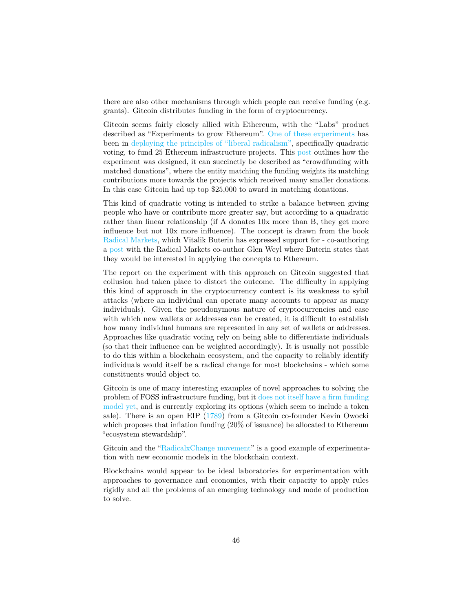there are also other mechanisms through which people can receive funding (e.g. grants). Gitcoin distributes funding in the form of cryptocurrency.

Gitcoin seems fairly closely allied with Ethereum, with the "Labs" product described as "Experiments to grow Ethereum". [One of these experiments](https://gitcoin.co/blog/radical-results-gitcoins-25k-match/) has been in [deploying the principles of "liberal radicalism",](https://papers.ssrn.com/sol3/papers.cfm?abstract_id=3243656) specifically quadratic voting, to fund 25 Ethereum infrastructure projects. This [post](https://medium.com/gitcoin/experiments-with-liberal-radicalism-ad68e02efd4) outlines how the experiment was designed, it can succinctly be described as "crowdfunding with matched donations", where the entity matching the funding weights its matching contributions more towards the projects which received many smaller donations. In this case Gitcoin had up top \$25,000 to award in matching donations.

This kind of quadratic voting is intended to strike a balance between giving people who have or contribute more greater say, but according to a quadratic rather than linear relationship (if A donates 10x more than B, they get more influence but not 10x more influence). The concept is drawn from the book [Radical Markets,](http://radicalmarkets.com/) which Vitalik Buterin has expressed support for - co-authoring a [post](https://medium.com/@VitalikButerin/liberation-through-radical-decentralization-22fc4bedc2ac) with the Radical Markets co-author Glen Weyl where Buterin states that they would be interested in applying the concepts to Ethereum.

The report on the experiment with this approach on Gitcoin suggested that collusion had taken place to distort the outcome. The difficulty in applying this kind of approach in the cryptocurrency context is its weakness to sybil attacks (where an individual can operate many accounts to appear as many individuals). Given the pseudonymous nature of cryptocurrencies and ease with which new wallets or addresses can be created, it is difficult to establish how many individual humans are represented in any set of wallets or addresses. Approaches like quadratic voting rely on being able to differentiate individuals (so that their influence can be weighted accordingly). It is usually not possible to do this within a blockchain ecosystem, and the capacity to reliably identify individuals would itself be a radical change for most blockchains - which some constituents would object to.

Gitcoin is one of many interesting examples of novel approaches to solving the problem of FOSS infrastructure funding, but it [does not itself have a firm funding](https://gitcoin.co/not_a_token) [model yet,](https://gitcoin.co/not_a_token) and is currently exploring its options (which seem to include a token sale). There is an open EIP [\(1789\)](https://github.com/ethereum/EIPs/issues/1789) from a Gitcoin co-founder Kevin Owocki which proposes that inflation funding (20% of issuance) be allocated to Ethereum "ecosystem stewardship".

Gitcoin and the ["RadicalxChange movement"](https://www.coindesk.com/understanding-the-radicalxchange-movement-and-its-cypherpunk-appeal) is a good example of experimentation with new economic models in the blockchain context.

Blockchains would appear to be ideal laboratories for experimentation with approaches to governance and economics, with their capacity to apply rules rigidly and all the problems of an emerging technology and mode of production to solve.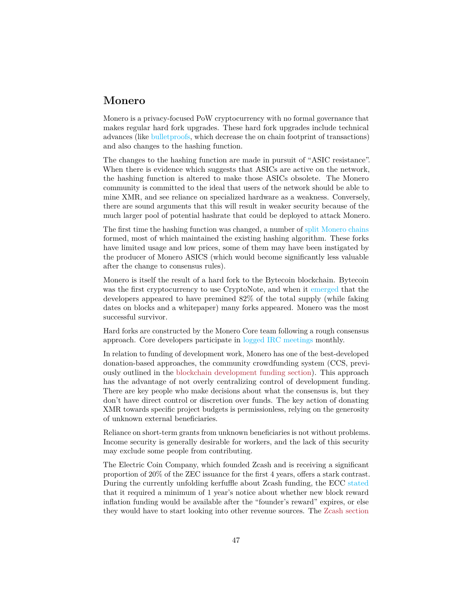#### **Monero**

Monero is a privacy-focused PoW cryptocurrency with no formal governance that makes regular hard fork upgrades. These hard fork upgrades include technical advances (like [bulletproofs,](https://www.ccn.com/monero-forks-bulletproofs-integration-kicks-off-new-era-of-privacy-speed/) which decrease the on chain footprint of transactions) and also changes to the hashing function.

The changes to the hashing function are made in pursuit of "ASIC resistance". When there is evidence which suggests that ASICs are active on the network, the hashing function is altered to make those ASICs obsolete. The Monero community is committed to the ideal that users of the network should be able to mine XMR, and see reliance on specialized hardware as a weakness. Conversely, there are sound arguments that this will result in weaker security because of the much larger pool of potential hashrate that could be deployed to attack Monero.

The first time the hashing function was changed, a number of [split Monero chains](https://monero.org/forks/) formed, most of which maintained the existing hashing algorithm. These forks have limited usage and low prices, some of them may have been instigated by the producer of Monero ASICS (which would become significantly less valuable after the change to consensus rules).

Monero is itself the result of a hard fork to the Bytecoin blockchain. Bytecoin was the first cryptocurrency to use CryptoNote, and when it [emerged](https://bitcointalk.org/index.php?topic=740112.0) that the developers appeared to have premined 82% of the total supply (while faking dates on blocks and a whitepaper) many forks appeared. Monero was the most successful survivor.

Hard forks are constructed by the Monero Core team following a rough consensus approach. Core developers participate in [logged IRC meetings](https://web.getmonero.org/blog/tags/dev%20diaries.html) monthly.

In relation to funding of development work, Monero has one of the best-developed donation-based approaches, the community crowdfunding system (CCS, previously outlined in the [blockchain development funding section\)](#page-0-0). This approach has the advantage of not overly centralizing control of development funding. There are key people who make decisions about what the consensus is, but they don't have direct control or discretion over funds. The key action of donating XMR towards specific project budgets is permissionless, relying on the generosity of unknown external beneficiaries.

Reliance on short-term grants from unknown beneficiaries is not without problems. Income security is generally desirable for workers, and the lack of this security may exclude some people from contributing.

The Electric Coin Company, which founded Zcash and is receiving a significant proportion of 20% of the ZEC issuance for the first 4 years, offers a stark contrast. During the currently unfolding kerfuffle about Zcash funding, the ECC [stated](https://finance.yahoo.com/news/zooko-wilcox-gives-zcash-community-154140125.html) that it required a minimum of 1 year's notice about whether new block reward inflation funding would be available after the "founder's reward" expires, or else they would have to start looking into other revenue sources. The [Zcash section](#page-0-0)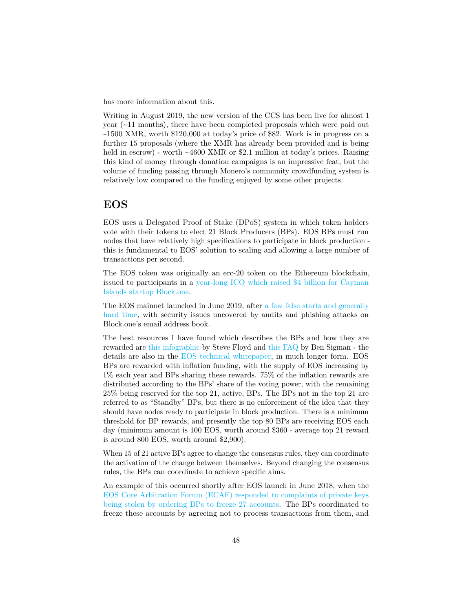has more information about this.

Writing in August 2019, the new version of the CCS has been live for almost 1 year  $(\sim 11$  months), there have been completed proposals which were paid out  $\sim$ 1500 XMR, worth \$120,000 at today's price of \$82. Work is in progress on a further 15 proposals (where the XMR has already been provided and is being held in escrow) - worth ~4600 XMR or \$2.1 million at today's prices. Raising this kind of money through donation campaigns is an impressive feat, but the volume of funding passing through Monero's community crowdfunding system is relatively low compared to the funding enjoyed by some other projects.

#### **EOS**

EOS uses a Delegated Proof of Stake (DPoS) system in which token holders vote with their tokens to elect 21 Block Producers (BPs). EOS BPs must run nodes that have relatively high specifications to participate in block production this is fundamental to EOS' solution to scaling and allowing a large number of transactions per second.

The EOS token was originally an erc-20 token on the Ethereum blockchain, issued to participants in a [year-long ICO which raised \\$4 billion for Cayman](https://cointelegraph.com/news/eos-about-to-secure-a-record-4-bln-in-year-long-ico) [Islands startup Block.one.](https://cointelegraph.com/news/eos-about-to-secure-a-record-4-bln-in-year-long-ico)

The EOS mainnet launched in June 2019, after [a few false starts and generally](https://thenextweb.com/hardfork/2018/06/08/eos-mainnet-nightmare/) [hard time,](https://thenextweb.com/hardfork/2018/06/08/eos-mainnet-nightmare/) with security issues uncovered by audits and phishing attacks on Block.one's email address book.

The best resources I have found which describes the BPs and how they are rewarded are [this infographic](https://medium.com/eostribe/how-eos-block-producers-are-paid-7b2a1216eb2b) by Steve Floyd and [this FAQ](https://medium.com/@bensig/eos-block-producer-faq-8ba0299c2896) by Ben Sigman - the details are also in the [EOS technical whitepaper,](https://github.com/EOSIO/Documentation/blob/master/TechnicalWhitePaper.md) in much longer form. EOS BPs are rewarded with inflation funding, with the supply of EOS increasing by 1% each year and BPs sharing these rewards. 75% of the inflation rewards are distributed according to the BPs' share of the voting power, with the remaining 25% being reserved for the top 21, active, BPs. The BPs not in the top 21 are referred to as "Standby" BPs, but there is no enforcement of the idea that they should have nodes ready to participate in block production. There is a minimum threshold for BP rewards, and presently the top 80 BPs are receiving EOS each day (minimum amount is 100 EOS, worth around \$360 - average top 21 reward is around 800 EOS, worth around \$2,900).

When 15 of 21 active BPs agree to change the consensus rules, they can coordinate the activation of the change between themselves. Beyond changing the consensus rules, the BPs can coordinate to achieve specific aims.

An example of this occurred shortly after EOS launch in June 2018, when the [EOS Core Arbitration Forum \(ECAF\) responded to complaints of private keys](https://www.coindesk.com/eos-blockchain-arbitrator-orders-freeze-of-27-accounts) [being stolen by ordering BPs to freeze 27 accounts.](https://www.coindesk.com/eos-blockchain-arbitrator-orders-freeze-of-27-accounts) The BPs coordinated to freeze these accounts by agreeing not to process transactions from them, and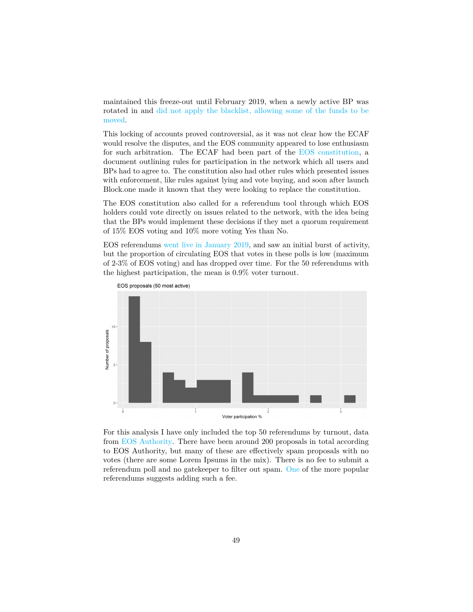maintained this freeze-out until February 2019, when a newly active BP was rotated in and [did not apply the blacklist, allowing some of the funds to be](https://medium.com/@eos42/proposed-solution-for-a-broken-blacklist-ce1c18bdf81c) [moved.](https://medium.com/@eos42/proposed-solution-for-a-broken-blacklist-ce1c18bdf81c)

This locking of accounts proved controversial, as it was not clear how the ECAF would resolve the disputes, and the EOS community appeared to lose enthusiasm for such arbitration. The ECAF had been part of the [EOS constitution,](https://github.com/EOSIO/eos/blob/5068823fbc8a8f7d29733309c0496438c339f7dc/constitution.md) a document outlining rules for participation in the network which all users and BPs had to agree to. The constitution also had other rules which presented issues with enforcement, like rules against lying and vote buying, and soon after launch Block.one made it known that they were looking to replace the constitution.

The EOS constitution also called for a referendum tool through which EOS holders could vote directly on issues related to the network, with the idea being that the BPs would implement these decisions if they met a quorum requirement of 15% EOS voting and 10% more voting Yes than No.

EOS referendums [went live in January 2019,](https://medium.com/hkeos/what-you-missed-in-eos-1-7-2019-1-20-2019-3ab666d4eb01) and saw an initial burst of activity, but the proportion of circulating EOS that votes in these polls is low (maximum of 2-3% of EOS voting) and has dropped over time. For the 50 referendums with the highest participation, the mean is 0.9% voter turnout.



For this analysis I have only included the top 50 referendums by turnout, data from [EOS Authority.](https://eosauthority.com/polls) There have been around 200 proposals in total according to EOS Authority, but many of these are effectively spam proposals with no votes (there are some Lorem Ipsums in the mix). There is no fee to submit a referendum poll and no gatekeeper to filter out spam. [One](https://eosauthority.com/polls_details?proposal=proposalcost_20190112) of the more popular referendums suggests adding such a fee.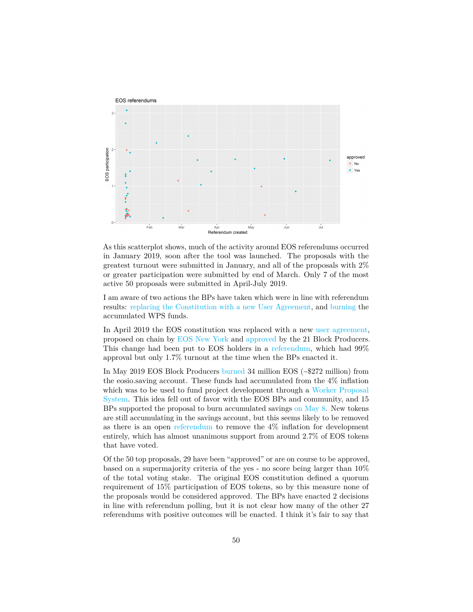

As this scatterplot shows, much of the activity around EOS referendums occurred in January 2019, soon after the tool was launched. The proposals with the greatest turnout were submitted in January, and all of the proposals with 2% or greater participation were submitted by end of March. Only 7 of the most active 50 proposals were submitted in April-July 2019.

I am aware of two actions the BPs have taken which were in line with referendum results: [replacing the Constitution with a new User Agreement,](https://www.eoswriter.io/841_eos-passes-new-constitution.eos) and [burning](https://www.reddit.com/r/eos/comments/bm75ih/the_mainnet_34m_eos_accumulated_4_inflation_is) the accumulated WPS funds.

In April 2019 the EOS constitution was replaced with a new [user agreement,](https://github.com/eosnewyork/eosuseragreement/blob/master/README.md) proposed on chain by [EOS New York](https://medium.com/eos-new-york/the-eos-user-agreement-has-been-proposed-on-chain-61bf3760b604) and [approved](https://eosauthority.com/approval/view?scope=eosnewyorkio&name=eosuseragree&lnc=en) by the 21 Block Producers. This change had been put to EOS holders in a [referendum,](https://eosauthority.com/polls_details?proposal=eosuseragree_20190207&lnc=en) which had 99% approval but only 1.7% turnout at the time when the BPs enacted it.

In May 2019 EOS Block Producers [burned](https://www.reddit.com/r/eos/comments/bm75ih/the_mainnet_34m_eos_accumulated_4_inflation_is/) 34 million EOS (~\$272 million) from the eosio.saving account. These funds had accumulated from the 4% inflation which was to be used to fund project development through a [Worker Proposal](https://medium.com/eosys/eos-worker-proposal-system-announcement-6addcfb0134c) [System.](https://medium.com/eosys/eos-worker-proposal-system-announcement-6addcfb0134c) This idea fell out of favor with the EOS BPs and community, and 15 BPs supported the proposal to burn accumulated savings [on May 8.](https://www.eosx.io/tx/26ca16319febafc0942a8c6e3be26c16b84846b7cfe5f6ade906a0b86a6c2bb7?listView=actions) New tokens are still accumulating in the savings account, but this seems likely to be removed as there is an open [referendum](https://eosauthority.com/polls_details?proposal=inflation_20190307&prev=search) to remove the 4% inflation for development entirely, which has almost unanimous support from around 2.7% of EOS tokens that have voted.

Of the 50 top proposals, 29 have been "approved" or are on course to be approved, based on a supermajority criteria of the yes - no score being larger than 10% of the total voting stake. The original EOS constitution defined a quorum requirement of 15% participation of EOS tokens, so by this measure none of the proposals would be considered approved. The BPs have enacted 2 decisions in line with referendum polling, but it is not clear how many of the other 27 referendums with positive outcomes will be enacted. I think it's fair to say that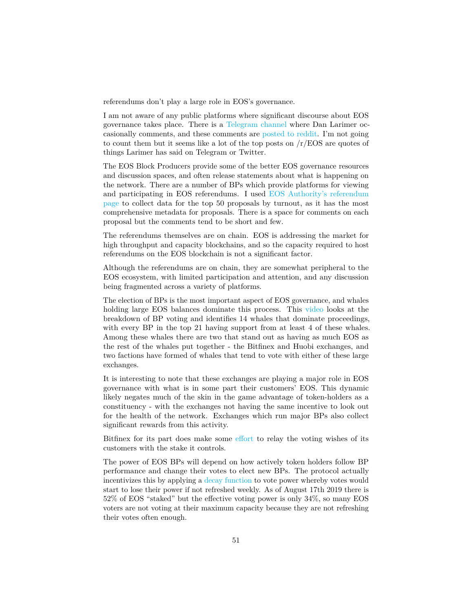referendums don't play a large role in EOS's governance.

I am not aware of any public platforms where significant discourse about EOS governance takes place. There is a [Telegram channel](https://t.me/EOSGov) where Dan Larimer occasionally comments, and these comments are [posted](https://www.reddit.com/r/eos/comments/bl12m3/dan_larimer_strongly_supports_removal_of_4/) [to](https://www.reddit.com/r/eos/comments/8tezex/sorry_everybody_i_was_wrong_eos_tokens_and/) [reddit.](https://www.reddit.com/r/eos/comments/a141s4/dan_larimer_want_to_redesign_the_consensus/) I'm not going to count them but it seems like a lot of the top posts on  $/r/EOS$  are quotes of things Larimer has said on Telegram or Twitter.

The EOS Block Producers provide some of the better EOS governance resources and discussion spaces, and often release statements about what is happening on the network. There are a number of BPs which provide platforms for viewing and participating in EOS referendums. I used [EOS Authority's referendum](https://eosauthority.com/polls) [page](https://eosauthority.com/polls) to collect data for the top 50 proposals by turnout, as it has the most comprehensive metadata for proposals. There is a space for comments on each proposal but the comments tend to be short and few.

The referendums themselves are on chain. EOS is addressing the market for high throughput and capacity blockchains, and so the capacity required to host referendums on the EOS blockchain is not a significant factor.

Although the referendums are on chain, they are somewhat peripheral to the EOS ecosystem, with limited participation and attention, and any discussion being fragmented across a variety of platforms.

The election of BPs is the most important aspect of EOS governance, and whales holding large EOS balances dominate this process. This [video](https://www.youtube.com/watch?v=a6VjKg7vCig) looks at the breakdown of BP voting and identifies 14 whales that dominate proceedings, with every BP in the top 21 having support from at least 4 of these whales. Among these whales there are two that stand out as having as much EOS as the rest of the whales put together - the Bitfinex and Huobi exchanges, and two factions have formed of whales that tend to vote with either of these large exchanges.

It is interesting to note that these exchanges are playing a major role in EOS governance with what is in some part their customers' EOS. This dynamic likely negates much of the skin in the game advantage of token-holders as a constituency - with the exchanges not having the same incentive to look out for the health of the network. Exchanges which run major BPs also collect significant rewards from this activity.

Bitfinex for its part does make some [effort](https://support.bitfinex.com/hc/en-us/articles/360005324573-Bitfinex-Ballot-EOS-Block-Producer-Voting) to relay the voting wishes of its customers with the stake it controls.

The power of EOS BPs will depend on how actively token holders follow BP performance and change their votes to elect new BPs. The protocol actually incentivizes this by applying a [decay function](https://www.eoscanada.com/en/how-is-your-vote-strength-calculated-on-eos) to vote power whereby votes would start to lose their power if not refreshed weekly. As of August 17th 2019 there is 52% of EOS "staked" but the effective voting power is only 34%, so many EOS voters are not voting at their maximum capacity because they are not refreshing their votes often enough.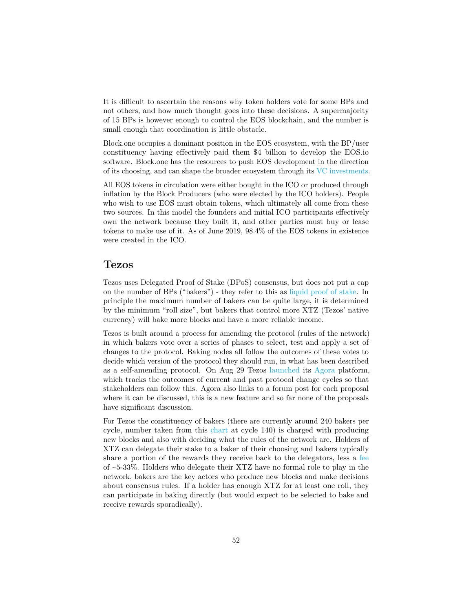It is difficult to ascertain the reasons why token holders vote for some BPs and not others, and how much thought goes into these decisions. A supermajority of 15 BPs is however enough to control the EOS blockchain, and the number is small enough that coordination is little obstacle.

Block.one occupies a dominant position in the EOS ecosystem, with the BP/user constituency having effectively paid them \$4 billion to develop the EOS.io software. Block.one has the resources to push EOS development in the direction of its choosing, and can shape the broader ecosystem through its [VC investments.](https://vc.eos.io/)

All EOS tokens in circulation were either bought in the ICO or produced through inflation by the Block Producers (who were elected by the ICO holders). People who wish to use EOS must obtain tokens, which ultimately all come from these two sources. In this model the founders and initial ICO participants effectively own the network because they built it, and other parties must buy or lease tokens to make use of it. As of June 2019, 98.4% of the EOS tokens in existence were created in the ICO.

#### **Tezos**

Tezos uses Delegated Proof of Stake (DPoS) consensus, but does not put a cap on the number of BPs ("bakers") - they refer to this as [liquid proof of stake.](https://medium.com/tezos/liquid-proof-of-stake-aec2f7ef1da7) In principle the maximum number of bakers can be quite large, it is determined by the minimum "roll size", but bakers that control more XTZ (Tezos' native currency) will bake more blocks and have a more reliable income.

Tezos is built around a process for amending the protocol (rules of the network) in which bakers vote over a series of phases to select, test and apply a set of changes to the protocol. Baking nodes all follow the outcomes of these votes to decide which version of the protocol they should run, in what has been described as a self-amending protocol. On Aug 29 Tezos [launched](https://medium.com/@tezosagora/enter-agora-c9e545ce4862) its [Agora](https://www.tezosagora.org/) platform, which tracks the outcomes of current and past protocol change cycles so that stakeholders can follow this. Agora also links to a forum post for each proposal where it can be discussed, this is a new feature and so far none of the proposals have significant discussion.

For Tezos the constituency of bakers (there are currently around 240 bakers per cycle, number taken from this [chart](https://tzscan.io/charts_bakers) at cycle 140) is charged with producing new blocks and also with deciding what the rules of the network are. Holders of XTZ can delegate their stake to a baker of their choosing and bakers typically share a portion of the rewards they receive back to the delegators, less a [fee](https://mytezosbaker.com/) of ~5-33%. Holders who delegate their XTZ have no formal role to play in the network, bakers are the key actors who produce new blocks and make decisions about consensus rules. If a holder has enough XTZ for at least one roll, they can participate in baking directly (but would expect to be selected to bake and receive rewards sporadically).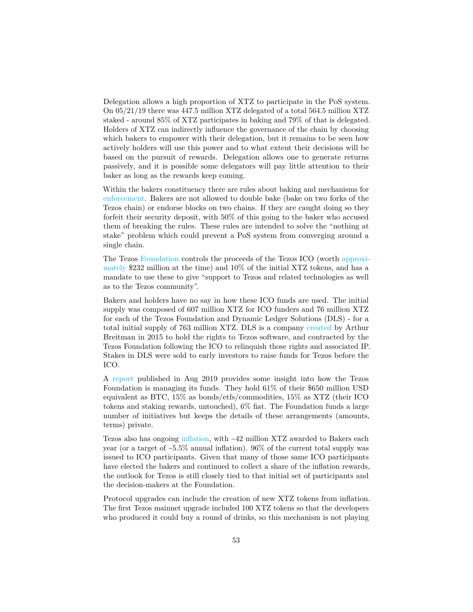Delegation allows a high proportion of XTZ to participate in the PoS system. On 05/21/19 there was 447.5 million XTZ delegated of a total 564.5 million XTZ staked - around 85% of XTZ participates in baking and 79% of that is delegated. Holders of XTZ can indirectly influence the governance of the chain by choosing which bakers to empower with their delegation, but it remains to be seen how actively holders will use this power and to what extent their decisions will be based on the pursuit of rewards. Delegation allows one to generate returns passively, and it is possible some delegators will pay little attention to their baker as long as the rewards keep coming.

Within the bakers constituency there are rules about baking and mechanisms for [enforcement.](https://medium.com/@Tezzigator/tezos-baking-your-bonds-their-risks-78d90d47296) Bakers are not allowed to double bake (bake on two forks of the Tezos chain) or endorse blocks on two chains. If they are caught doing so they forfeit their security deposit, with 50% of this going to the baker who accused them of breaking the rules. These rules are intended to solve the "nothing at stake" problem which could prevent a PoS system from converging around a single chain.

The Tezos [Foundation](https://tezos.foundation/) controls the proceeds of the Tezos ICO (worth [approxi](https://cointelegraph.com/news/the-history-of-tezos-the-infamous-ico-trying-to-rebound-amidst-lawsuits-and-disputes)[mately](https://cointelegraph.com/news/the-history-of-tezos-the-infamous-ico-trying-to-rebound-amidst-lawsuits-and-disputes) \$232 million at the time) and 10% of the initial XTZ tokens, and has a mandate to use these to give "support to Tezos and related technologies as well as to the Tezos community".

Bakers and holders have no say in how these ICO funds are used. The initial supply was composed of 607 million XTZ for ICO funders and 76 million XTZ for each of the Tezos Foundation and Dynamic Ledger Solutions (DLS) - for a total initial supply of 763 million XTZ. DLS is a company [created](https://cointelegraph.com/news/the-history-of-tezos-the-infamous-ico-trying-to-rebound-amidst-lawsuits-and-disputes) by Arthur Breitman in 2015 to hold the rights to Tezos software, and contracted by the Tezos Foundation following the ICO to relinquish those rights and associated IP. Stakes in DLS were sold to early investors to raise funds for Tezos before the ICO.

A [report](https://tezos.foundation/wp-content/uploads/2019/08/Tezos-Foundation-Biannual-Update-August-2019.pdf) published in Aug 2019 provides some insight into how the Tezos Foundation is managing its funds. They hold 61% of their \$650 million USD equivalent as BTC, 15% as bonds/etfs/commodities, 15% as XTZ (their ICO tokens and staking rewards, untouched), 6% fiat. The Foundation funds a large number of initiatives but keeps the details of these arrangements (amounts, terms) private.

Tezos also has ongoing [inflation,](https://messari.io/asset/tezos) with ~42 million XTZ awarded to Bakers each year (or a target of  $\sim 5.5\%$  annual inflation). 96% of the current total supply was issued to ICO participants. Given that many of those same ICO participants have elected the bakers and continued to collect a share of the inflation rewards, the outlook for Tezos is still closely tied to that initial set of participants and the decision-makers at the Foundation.

Protocol upgrades can include the creation of new XTZ tokens from inflation. The first Tezos mainnet upgrade included 100 XTZ tokens so that the developers who produced it could buy a round of drinks, so this mechanism is not playing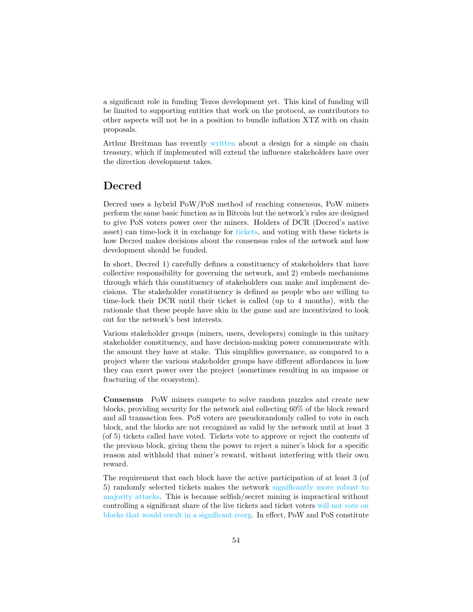a significant role in funding Tezos development yet. This kind of funding will be limited to supporting entities that work on the protocol, as contributors to other aspects will not be in a position to bundle inflation XTZ with on chain proposals.

Arthur Breitman has recently [written](https://medium.com/@arthurb/potential-design-for-a-simple-and-evolvable-on-chain-treasury-77cfe2176423) about a design for a simple on chain treasury, which if implemented will extend the influence stakeholders have over the direction development takes.

### **Decred**

Decred uses a hybrid PoW/PoS method of reaching consensus, PoW miners perform the same basic function as in Bitcoin but the network's rules are designed to give PoS voters power over the miners. Holders of DCR (Decred's native asset) can time-lock it in exchange for [tickets,](https://docs.decred.org/proof-of-stake/overview/) and voting with these tickets is how Decred makes decisions about the consensus rules of the network and how development should be funded.

In short, Decred 1) carefully defines a constituency of stakeholders that have collective responsibility for governing the network, and 2) embeds mechanisms through which this constituency of stakeholders can make and implement decisions. The stakeholder constituency is defined as people who are willing to time-lock their DCR until their ticket is called (up to 4 months), with the rationale that these people have skin in the game and are incentivized to look out for the network's best interests.

Various stakeholder groups (miners, users, developers) comingle in this unitary stakeholder constituency, and have decision-making power commensurate with the amount they have at stake. This simplifies governance, as compared to a project where the various stakeholder groups have different affordances in how they can exert power over the project (sometimes resulting in an impasse or fracturing of the ecosystem).

**Consensus** PoW miners compete to solve random puzzles and create new blocks, providing security for the network and collecting 60% of the block reward and all transaction fees. PoS voters are pseudorandomly called to vote in each block, and the blocks are not recognized as valid by the network until at least 3 (of 5) tickets called have voted. Tickets vote to approve or reject the contents of the previous block, giving them the power to reject a miner's block for a specific reason and withhold that miner's reward, without interfering with their own reward.

The requirement that each block have the active participation of at least 3 (of 5) randomly selected tickets makes the network [significantly more robust to](https://medium.com/decred/decreds-hybrid-protocol-a-superior-deterrent-to-majority-attacks-9421bf486292) [majority attacks.](https://medium.com/decred/decreds-hybrid-protocol-a-superior-deterrent-to-majority-attacks-9421bf486292) This is because selfish/secret mining is impractical without controlling a significant share of the live tickets and ticket voters [will not vote on](https://medium.com/@richardred/the-role-of-decred-voters-in-defending-against-majority-attacks-ec658af0a8fd) [blocks that would result in a significant reorg.](https://medium.com/@richardred/the-role-of-decred-voters-in-defending-against-majority-attacks-ec658af0a8fd) In effect, PoW and PoS constitute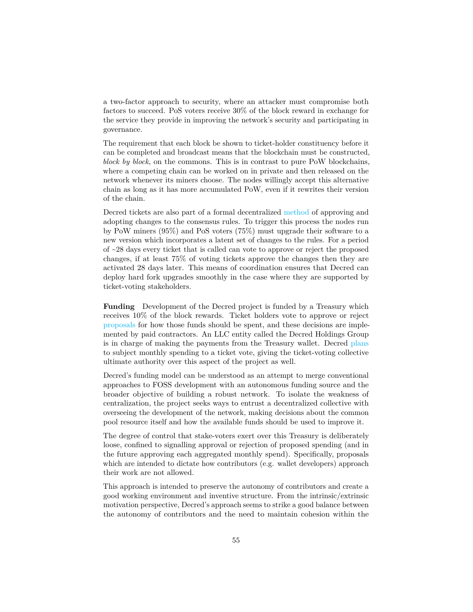a two-factor approach to security, where an attacker must compromise both factors to succeed. PoS voters receive 30% of the block reward in exchange for the service they provide in improving the network's security and participating in governance.

The requirement that each block be shown to ticket-holder constituency before it can be completed and broadcast means that the blockchain must be constructed, *block by block*, on the commons. This is in contrast to pure PoW blockchains, where a competing chain can be worked on in private and then released on the network whenever its miners choose. The nodes willingly accept this alternative chain as long as it has more accumulated PoW, even if it rewrites their version of the chain.

Decred tickets are also part of a formal decentralized [method](https://docs.decred.org/governance/consensus-rule-voting/overview/) of approving and adopting changes to the consensus rules. To trigger this process the nodes run by PoW miners (95%) and PoS voters (75%) must upgrade their software to a new version which incorporates a latent set of changes to the rules. For a period of ~28 days every ticket that is called can vote to approve or reject the proposed changes, if at least 75% of voting tickets approve the changes then they are activated 28 days later. This means of coordination ensures that Decred can deploy hard fork upgrades smoothly in the case where they are supported by ticket-voting stakeholders.

**Funding** Development of the Decred project is funded by a Treasury which receives 10% of the block rewards. Ticket holders vote to approve or reject [proposals](https://proposals.decred.org/) for how those funds should be spent, and these decisions are implemented by paid contractors. An LLC entity called the Decred Holdings Group is in charge of making the payments from the Treasury wallet. Decred [plans](https://proposals.decred.org/proposals/c96290a2478d0a1916284438ea2c59a1215fe768a87648d04d45f6b7ecb82c3f) to subject monthly spending to a ticket vote, giving the ticket-voting collective ultimate authority over this aspect of the project as well.

Decred's funding model can be understood as an attempt to merge conventional approaches to FOSS development with an autonomous funding source and the broader objective of building a robust network. To isolate the weakness of centralization, the project seeks ways to entrust a decentralized collective with overseeing the development of the network, making decisions about the common pool resource itself and how the available funds should be used to improve it.

The degree of control that stake-voters exert over this Treasury is deliberately loose, confined to signalling approval or rejection of proposed spending (and in the future approving each aggregated monthly spend). Specifically, proposals which are intended to dictate how contributors (e.g. wallet developers) approach their work are not allowed.

This approach is intended to preserve the autonomy of contributors and create a good working environment and inventive structure. From the intrinsic/extrinsic motivation perspective, Decred's approach seems to strike a good balance between the autonomy of contributors and the need to maintain cohesion within the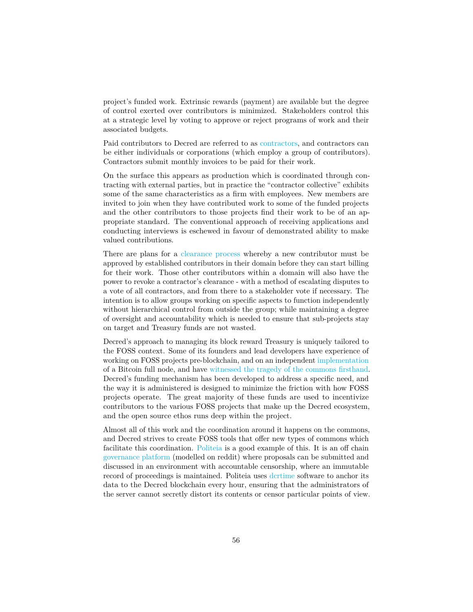project's funded work. Extrinsic rewards (payment) are available but the degree of control exerted over contributors is minimized. Stakeholders control this at a strategic level by voting to approve or reject programs of work and their associated budgets.

Paid contributors to Decred are referred to as [contractors,](https://docs.decred.org/contributing/contributor-compensation/) and contractors can be either individuals or corporations (which employ a group of contributors). Contractors submit monthly invoices to be paid for their work.

On the surface this appears as production which is coordinated through contracting with external parties, but in practice the "contractor collective" exhibits some of the same characteristics as a firm with employees. New members are invited to join when they have contributed work to some of the funded projects and the other contributors to those projects find their work to be of an appropriate standard. The conventional approach of receiving applications and conducting interviews is eschewed in favour of demonstrated ability to make valued contributions.

There are plans for a [clearance process](https://proposals.decred.org/proposals/fa38a3593d9a3f6cb2478a24c25114f5097c572f6dadf24c78bb521ed10992a4) whereby a new contributor must be approved by established contributors in their domain before they can start billing for their work. Those other contributors within a domain will also have the power to revoke a contractor's clearance - with a method of escalating disputes to a vote of all contractors, and from there to a stakeholder vote if necessary. The intention is to allow groups working on specific aspects to function independently without hierarchical control from outside the group; while maintaining a degree of oversight and accountability which is needed to ensure that sub-projects stay on target and Treasury funds are not wasted.

Decred's approach to managing its block reward Treasury is uniquely tailored to the FOSS context. Some of its founders and lead developers have experience of working on FOSS projects pre-blockchain, and on an independent [implementation](https://github.com/btcsuite/btcd) of a Bitcoin full node, and have [witnessed the tragedy of the commons firsthand.](https://blog.companyzero.com/2015/11/bitcoins-biggest-challenges/) Decred's funding mechanism has been developed to address a specific need, and the way it is administered is designed to minimize the friction with how FOSS projects operate. The great majority of these funds are used to incentivize contributors to the various FOSS projects that make up the Decred ecosystem, and the open source ethos runs deep within the project.

Almost all of this work and the coordination around it happens on the commons, and Decred strives to create FOSS tools that offer new types of commons which facilitate this coordination. [Politeia](https://docs.decred.org/governance/politeia/overview/) is a good example of this. It is an off chain [governance platform](https://proposals.decred.org/?tab=discussion) (modelled on reddit) where proposals can be submitted and discussed in an environment with accountable censorship, where an immutable record of proceedings is maintained. Politeia uses dertime software to anchor its data to the Decred blockchain every hour, ensuring that the administrators of the server cannot secretly distort its contents or censor particular points of view.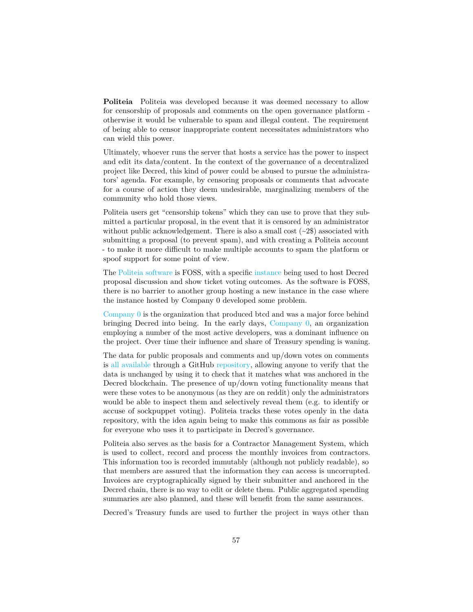**Politeia** Politeia was developed because it was deemed necessary to allow for censorship of proposals and comments on the open governance platform otherwise it would be vulnerable to spam and illegal content. The requirement of being able to censor inappropriate content necessitates administrators who can wield this power.

Ultimately, whoever runs the server that hosts a service has the power to inspect and edit its data/content. In the context of the governance of a decentralized project like Decred, this kind of power could be abused to pursue the administrators' agenda. For example, by censoring proposals or comments that advocate for a course of action they deem undesirable, marginalizing members of the community who hold those views.

Politeia users get "censorship tokens" which they can use to prove that they submitted a particular proposal, in the event that it is censored by an administrator without public acknowledgement. There is also a small cost  $({\sim}2\$ ) associated with submitting a proposal (to prevent spam), and with creating a Politeia account - to make it more difficult to make multiple accounts to spam the platform or spoof support for some point of view.

The [Politeia software](https://github.com/decred/politeia) is FOSS, with a specific [instance](https://proposals.decred.org) being used to host Decred proposal discussion and show ticket voting outcomes. As the software is FOSS, there is no barrier to another group hosting a new instance in the case where the instance hosted by Company 0 developed some problem.

[Company 0](https://www.companyzero.com/) is the organization that produced btcd and was a major force behind bringing Decred into being. In the early days, [Company 0,](https://www.companyzero.com/) an organization employing a number of the most active developers, was a dominant influence on the project. Over time their influence and share of Treasury spending is waning.

The data for public proposals and comments and up/down votes on comments is [all available](https://docs.decred.org/advanced/navigating-politeia-data/) through a GitHub [repository,](https://github.com/decred-proposals/mainnet) allowing anyone to verify that the data is unchanged by using it to check that it matches what was anchored in the Decred blockchain. The presence of up/down voting functionality means that were these votes to be anonymous (as they are on reddit) only the administrators would be able to inspect them and selectively reveal them (e.g. to identify or accuse of sockpuppet voting). Politeia tracks these votes openly in the data repository, with the idea again being to make this commons as fair as possible for everyone who uses it to participate in Decred's governance.

Politeia also serves as the basis for a Contractor Management System, which is used to collect, record and process the monthly invoices from contractors. This information too is recorded immutably (although not publicly readable), so that members are assured that the information they can access is uncorrupted. Invoices are cryptographically signed by their submitter and anchored in the Decred chain, there is no way to edit or delete them. Public aggregated spending summaries are also planned, and these will benefit from the same assurances.

Decred's Treasury funds are used to further the project in ways other than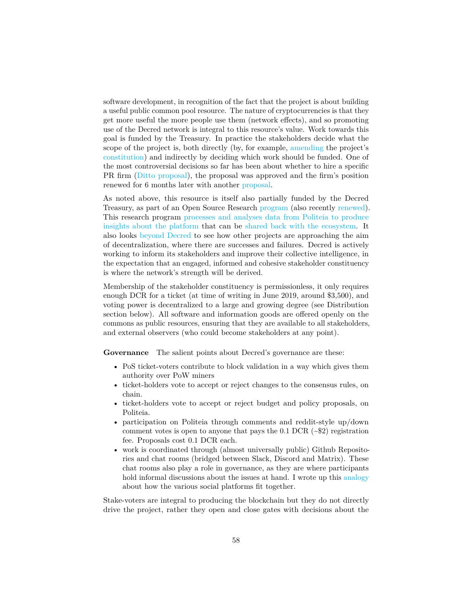software development, in recognition of the fact that the project is about building a useful public common pool resource. The nature of cryptocurrencies is that they get more useful the more people use them (network effects), and so promoting use of the Decred network is integral to this resource's value. Work towards this goal is funded by the Treasury. In practice the stakeholders decide what the scope of the project is, both directly (by, for example, [amending](https://proposals.decred.org/proposals/fd56bb79e0383f40fc2d92f4473634c59f1aa0abda7aabe29079216202c83114) the project's [constitution\)](https://docs.decred.org/governance/decred-constitution/) and indirectly by deciding which work should be funded. One of the most controversial decisions so far has been about whether to hire a specific PR firm [\(Ditto proposal\)](https://proposals.decred.org/proposals/27f87171d98b7923a1bd2bee6affed929fa2d2a6e178b5c80a9971a92a5c7f50), the proposal was approved and the firm's position renewed for 6 months later with another [proposal.](https://proposals.decred.org/proposals/52ea110ea061c72d3b31ed2f5635720b212ce5e3eaddf868d60f53a3d18b8c04)

As noted above, this resource is itself also partially funded by the Decred Treasury, as part of an Open Source Research [program](https://proposals.decred.org/proposals/c68bb790ba0843980bb9695de4628995e75e0d1f36c992951db49eca7b3b4bcd) (also recently [renewed\)](https://proposals.decred.org/proposals/67de0e901143400ae2f247391c4d5028719ffea8308fbc5854745ad859fb993f). This research program [processes and analyses data from Politeia to produce](https://github.com/RichardRed0x/pi-research) [insights about the platform](https://github.com/RichardRed0x/pi-research) that can be [shared back with the ecosystem.](https://github.com/RichardRed0x/politeia-digest) It also looks [beyond Decred](https://github.com/RichardRed0x/crypto-governance-research) to see how other projects are approaching the aim of decentralization, where there are successes and failures. Decred is actively working to inform its stakeholders and improve their collective intelligence, in the expectation that an engaged, informed and cohesive stakeholder constituency is where the network's strength will be derived.

Membership of the stakeholder constituency is permissionless, it only requires enough DCR for a ticket (at time of writing in June 2019, around \$3,500), and voting power is decentralized to a large and growing degree (see Distribution section below). All software and information goods are offered openly on the commons as public resources, ensuring that they are available to all stakeholders, and external observers (who could become stakeholders at any point).

**Governance** The salient points about Decred's governance are these:

- PoS ticket-voters contribute to block validation in a way which gives them authority over PoW miners
- ticket-holders vote to accept or reject changes to the consensus rules, on chain.
- ticket-holders vote to accept or reject budget and policy proposals, on Politeia.
- participation on Politeia through comments and reddit-style up/down comment votes is open to anyone that pays the 0.1 DCR  $(-\$2)$  registration fee. Proposals cost 0.1 DCR each.
- work is coordinated through (almost universally public) Github Repositories and chat rooms (bridged between Slack, Discord and Matrix). These chat rooms also play a role in governance, as they are where participants hold informal discussions about the issues at hand. I wrote up this [analogy](https://www.reddit.com/r/decred/comments/api7e7/decreds_community_spaces_a_crude_analogy/) about how the various social platforms fit together.

Stake-voters are integral to producing the blockchain but they do not directly drive the project, rather they open and close gates with decisions about the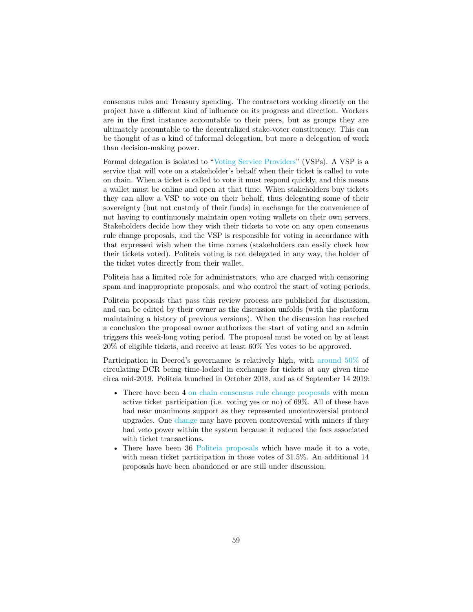consensus rules and Treasury spending. The contractors working directly on the project have a different kind of influence on its progress and direction. Workers are in the first instance accountable to their peers, but as groups they are ultimately accountable to the decentralized stake-voter constituency. This can be thought of as a kind of informal delegation, but more a delegation of work than decision-making power.

Formal delegation is isolated to ["Voting Service Providers"](https://docs.decred.org/proof-of-stake/how-to-stake/#pos-using-a-voting-service-provider-vsp) (VSPs). A VSP is a service that will vote on a stakeholder's behalf when their ticket is called to vote on chain. When a ticket is called to vote it must respond quickly, and this means a wallet must be online and open at that time. When stakeholders buy tickets they can allow a VSP to vote on their behalf, thus delegating some of their sovereignty (but not custody of their funds) in exchange for the convenience of not having to continuously maintain open voting wallets on their own servers. Stakeholders decide how they wish their tickets to vote on any open consensus rule change proposals, and the VSP is responsible for voting in accordance with that expressed wish when the time comes (stakeholders can easily check how their tickets voted). Politeia voting is not delegated in any way, the holder of the ticket votes directly from their wallet.

Politeia has a limited role for administrators, who are charged with censoring spam and inappropriate proposals, and who control the start of voting periods.

Politeia proposals that pass this review process are published for discussion, and can be edited by their owner as the discussion unfolds (with the platform maintaining a history of previous versions). When the discussion has reached a conclusion the proposal owner authorizes the start of voting and an admin triggers this week-long voting period. The proposal must be voted on by at least 20% of eligible tickets, and receive at least 60% Yes votes to be approved.

Participation in Decred's governance is relatively high, with [around 50%](https://explorer.dcrdata.org/charts?chart=stake-participation&zoom=ikd7pc00-jzxcow00&bin=day&axis=time) of circulating DCR being time-locked in exchange for tickets at any given time circa mid-2019. Politeia launched in October 2018, and as of September 14 2019:

- There have been 4 [on chain consensus rule change proposals](voting.decred.org) with mean active ticket participation (i.e. voting yes or no) of 69%. All of these have had near unanimous support as they represented uncontroversial protocol upgrades. One [change](https://github.com/decred/dcps/blob/master/dcp-0001/dcp-0001.mediawiki) may have proven controversial with miners if they had veto power within the system because it reduced the fees associated with ticket transactions.
- There have been 36 [Politeia proposals](https://github.com/nottrunner/crypto-governance-research/blob/master/governance-proposals/decred-proposals.csv) which have made it to a vote, with mean ticket participation in those votes of 31.5%. An additional 14 proposals have been abandoned or are still under discussion.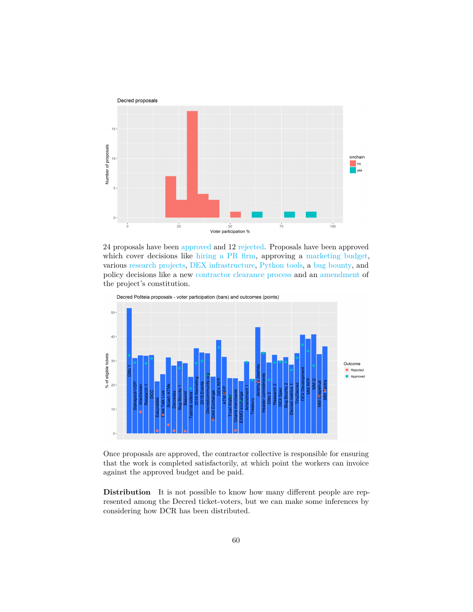

24 proposals have been [approved](https://proposals.decred.org/?tab=approved) and 12 [rejected.](https://proposals.decred.org/?tab=rejected) Proposals have been approved which cover decisions like [hiring a PR firm,](https://proposals.decred.org/proposals/27f87171d98b7923a1bd2bee6affed929fa2d2a6e178b5c80a9971a92a5c7f50) approving a [marketing budget,](https://proposals.decred.org/proposals/c84a76685e4437a15760033725044a15ad832f68f9d123eb837337060a09f86e) various [research](https://proposals.decred.org/proposals/c68bb790ba0843980bb9695de4628995e75e0d1f36c992951db49eca7b3b4bcd) [projects,](https://proposals.decred.org/proposals/78b50f218106f5de40f9bd7f604b048da168f2afbec32c8662722b70d62e4d36) [DEX infrastructure,](https://proposals.decred.org/proposals/417607aaedff2942ff3701cdb4eff76637eca4ed7f7ba816e5c0bd2e971602e1) [Python tools,](https://proposals.decred.org/proposals/20e967dad9e7398901decf3cfe0acf4e0853f6558a62607265c63fe791b8b124) a [bug bounty,](https://proposals.decred.org/proposals/d33a2667469b56942adf42453def6cc2292325251e4cf791e806939ea9efc9e1) and policy decisions like a new [contractor clearance process](https://proposals.decred.org/proposals/fa38a3593d9a3f6cb2478a24c25114f5097c572f6dadf24c78bb521ed10992a4) and an [amendment](https://proposals.decred.org/proposals/fd56bb79e0383f40fc2d92f4473634c59f1aa0abda7aabe29079216202c83114) of the project's constitution.



Decred Politeia proposals - voter participation (bars) and outcomes (points)

Once proposals are approved, the contractor collective is responsible for ensuring that the work is completed satisfactorily, at which point the workers can invoice against the approved budget and be paid.

**Distribution** It is not possible to know how many different people are represented among the Decred ticket-voters, but we can make some inferences by considering how DCR has been distributed.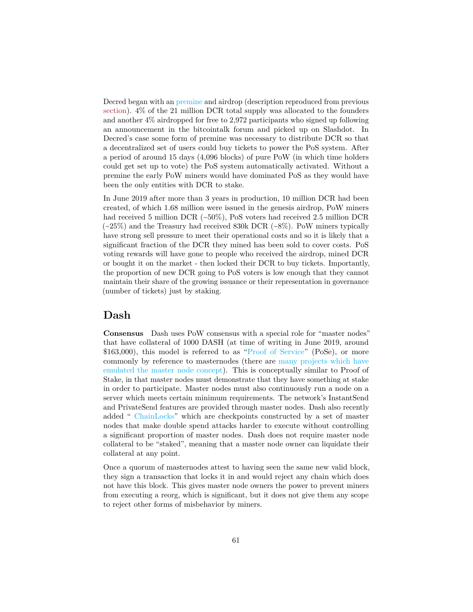Decred began with an [premine](https://docs.decred.org/advanced/premine/) and airdrop (description reproduced from previous [section\)](#page-0-0). 4% of the 21 million DCR total supply was allocated to the founders and another 4% airdropped for free to 2,972 participants who signed up following an announcement in the bitcointalk forum and picked up on Slashdot. In Decred's case some form of premine was necessary to distribute DCR so that a decentralized set of users could buy tickets to power the PoS system. After a period of around 15 days (4,096 blocks) of pure PoW (in which time holders could get set up to vote) the PoS system automatically activated. Without a premine the early PoW miners would have dominated PoS as they would have been the only entities with DCR to stake.

In June 2019 after more than 3 years in production, 10 million DCR had been created, of which 1.68 million were issued in the genesis airdrop, PoW miners had received 5 million DCR (~50%), PoS voters had received 2.5 million DCR  $(\sim 25\%)$  and the Treasury had received 830k DCR  $(\sim 8\%)$ . PoW miners typically have strong sell pressure to meet their operational costs and so it is likely that a significant fraction of the DCR they mined has been sold to cover costs. PoS voting rewards will have gone to people who received the airdrop, mined DCR or bought it on the market - then locked their DCR to buy tickets. Importantly, the proportion of new DCR going to PoS voters is low enough that they cannot maintain their share of the growing issuance or their representation in governance (number of tickets) just by staking.

## **Dash**

**Consensus** Dash uses PoW consensus with a special role for "master nodes" that have collateral of 1000 DASH (at time of writing in June 2019, around \$163,000), this model is referred to as ["Proof of Service"](https://docs.dash.org/en/stable/masternodes/understanding.html#proof-of-service) (PoSe), or more commonly by reference to masternodes (there are [many projects which have](https://masternodes.online/) [emulated the master node concept\)](https://masternodes.online/). This is conceptually similar to Proof of Stake, in that master nodes must demonstrate that they have something at stake in order to participate. Master nodes must also continuously run a node on a server which meets certain minimum requirements. The network's InstantSend and PrivateSend features are provided through master nodes. Dash also recently added " [ChainLocks"](https://blog.dash.org/mitigating-51-attacks-with-llmq-based-chainlocks-7266aa648ec9) which are checkpoints constructed by a set of master nodes that make double spend attacks harder to execute without controlling a significant proportion of master nodes. Dash does not require master node collateral to be "staked", meaning that a master node owner can liquidate their collateral at any point.

Once a quorum of masternodes attest to having seen the same new valid block, they sign a transaction that locks it in and would reject any chain which does not have this block. This gives master node owners the power to prevent miners from executing a reorg, which is significant, but it does not give them any scope to reject other forms of misbehavior by miners.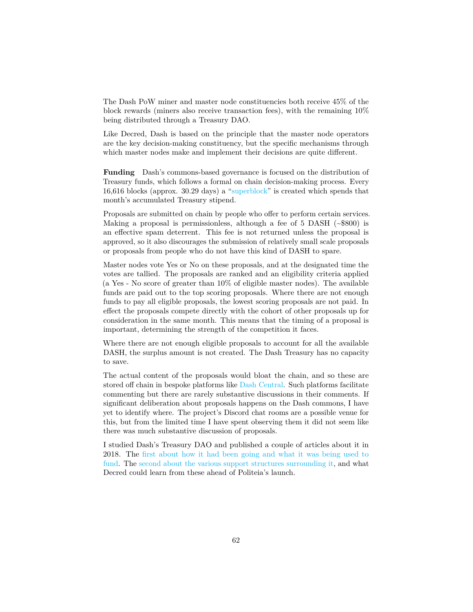The Dash PoW miner and master node constituencies both receive 45% of the block rewards (miners also receive transaction fees), with the remaining 10% being distributed through a Treasury DAO.

Like Decred, Dash is based on the principle that the master node operators are the key decision-making constituency, but the specific mechanisms through which master nodes make and implement their decisions are quite different.

**Funding** Dash's commons-based governance is focused on the distribution of Treasury funds, which follows a formal on chain decision-making process. Every 16,616 blocks (approx. 30.29 days) a ["superblock"](https://docs.dash.org/en/stable/governance/using.html) is created which spends that month's accumulated Treasury stipend.

Proposals are submitted on chain by people who offer to perform certain services. Making a proposal is permissionless, although a fee of 5 DASH  $(\sim$800)$  is an effective spam deterrent. This fee is not returned unless the proposal is approved, so it also discourages the submission of relatively small scale proposals or proposals from people who do not have this kind of DASH to spare.

Master nodes vote Yes or No on these proposals, and at the designated time the votes are tallied. The proposals are ranked and an eligibility criteria applied (a Yes - No score of greater than 10% of eligible master nodes). The available funds are paid out to the top scoring proposals. Where there are not enough funds to pay all eligible proposals, the lowest scoring proposals are not paid. In effect the proposals compete directly with the cohort of other proposals up for consideration in the same month. This means that the timing of a proposal is important, determining the strength of the competition it faces.

Where there are not enough eligible proposals to account for all the available DASH, the surplus amount is not created. The Dash Treasury has no capacity to save.

The actual content of the proposals would bloat the chain, and so these are stored off chain in bespoke platforms like [Dash Central.](https://www.dashcentral.org/budget) Such platforms facilitate commenting but there are rarely substantive discussions in their comments. If significant deliberation about proposals happens on the Dash commons, I have yet to identify where. The project's Discord chat rooms are a possible venue for this, but from the limited time I have spent observing them it did not seem like there was much substantive discussion of proposals.

I studied Dash's Treasury DAO and published a couple of articles about it in 2018. The [first about how it had been going and what it was being used to](https://medium.com/@richardred/observations-of-the-dash-treasury-dao-c94231b2b5c4) [fund.](https://medium.com/@richardred/observations-of-the-dash-treasury-dao-c94231b2b5c4) The [second about the various support structures surrounding it,](https://medium.com/@richardred/decentralized-autonomous-funding-of-blockchain-projects-3c0c233ae4ad) and what Decred could learn from these ahead of Politeia's launch.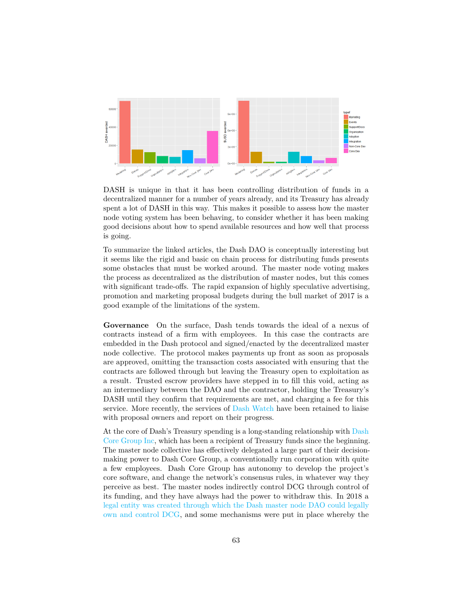

DASH is unique in that it has been controlling distribution of funds in a decentralized manner for a number of years already, and its Treasury has already spent a lot of DASH in this way. This makes it possible to assess how the master node voting system has been behaving, to consider whether it has been making good decisions about how to spend available resources and how well that process is going.

To summarize the linked articles, the Dash DAO is conceptually interesting but it seems like the rigid and basic on chain process for distributing funds presents some obstacles that must be worked around. The master node voting makes the process as decentralized as the distribution of master nodes, but this comes with significant trade-offs. The rapid expansion of highly speculative advertising, promotion and marketing proposal budgets during the bull market of 2017 is a good example of the limitations of the system.

**Governance** On the surface, Dash tends towards the ideal of a nexus of contracts instead of a firm with employees. In this case the contracts are embedded in the Dash protocol and signed/enacted by the decentralized master node collective. The protocol makes payments up front as soon as proposals are approved, omitting the transaction costs associated with ensuring that the contracts are followed through but leaving the Treasury open to exploitation as a result. Trusted escrow providers have stepped in to fill this void, acting as an intermediary between the DAO and the contractor, holding the Treasury's DASH until they confirm that requirements are met, and charging a fee for this service. More recently, the services of [Dash Watch](https://dashwatch.org/) have been retained to liaise with proposal owners and report on their progress.

At the core of Dash's Treasury spending is a long-standing relationship with [Dash](https://www.dash.org/team/) [Core Group Inc,](https://www.dash.org/team/) which has been a recipient of Treasury funds since the beginning. The master node collective has effectively delegated a large part of their decisionmaking power to Dash Core Group, a conventionally run corporation with quite a few employees. Dash Core Group has autonomy to develop the project's core software, and change the network's consensus rules, in whatever way they perceive as best. The master nodes indirectly control DCG through control of its funding, and they have always had the power to withdraw this. In 2018 a [legal entity was created through which the Dash master node DAO could legally](https://dashnews.org/dash-core-group-becomes-first-legally-dao-owned-entity/) [own and control DCG,](https://dashnews.org/dash-core-group-becomes-first-legally-dao-owned-entity/) and some mechanisms were put in place whereby the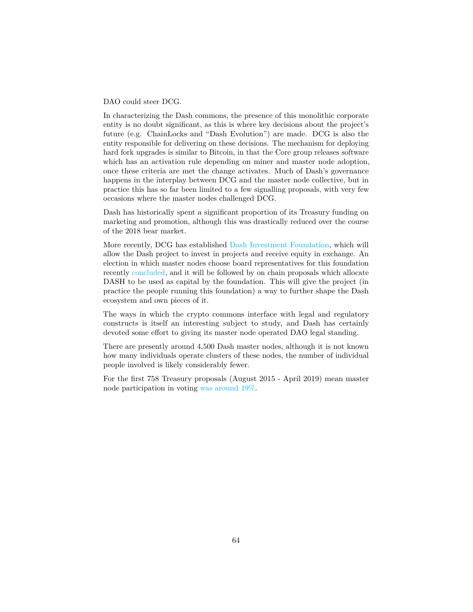#### DAO could steer DCG.

In characterizing the Dash commons, the presence of this monolithic corporate entity is no doubt significant, as this is where key decisions about the project's future (e.g. ChainLocks and "Dash Evolution") are made. DCG is also the entity responsible for delivering on these decisions. The mechanism for deploying hard fork upgrades is similar to Bitcoin, in that the Core group releases software which has an activation rule depending on miner and master node adoption, once these criteria are met the change activates. Much of Dash's governance happens in the interplay between DCG and the master node collective, but in practice this has so far been limited to a few signalling proposals, with very few occasions where the master nodes challenged DCG.

Dash has historically spent a significant proportion of its Treasury funding on marketing and promotion, although this was drastically reduced over the course of the 2018 bear market.

More recently, DCG has established [Dash Investment Foundation,](https://dashnews.org/dash-launches-dash-investment-foundation-to-expand-growth-opportunities/) which will allow the Dash project to invest in projects and receive equity in exchange. An election in which master nodes choose board representatives for this foundation recently [concluded,](https://dashnews.org/dash-investment-foundation-enable-more-expansive-network-investments/) and it will be followed by on chain proposals which allocate DASH to be used as capital by the foundation. This will give the project (in practice the people running this foundation) a way to further shape the Dash ecosystem and own pieces of it.

The ways in which the crypto commons interface with legal and regulatory constructs is itself an interesting subject to study, and Dash has certainly devoted some effort to giving its master node operated DAO legal standing.

There are presently around 4,500 Dash master nodes, although it is not known how many individuals operate clusters of these nodes, the number of individual people involved is likely considerably fewer.

For the first 758 Treasury proposals (August 2015 - April 2019) mean master node participation in voting [was around 19%.](https://github.com/RichardRed0x/crypto-governance-research/tree/master/governance-proposals)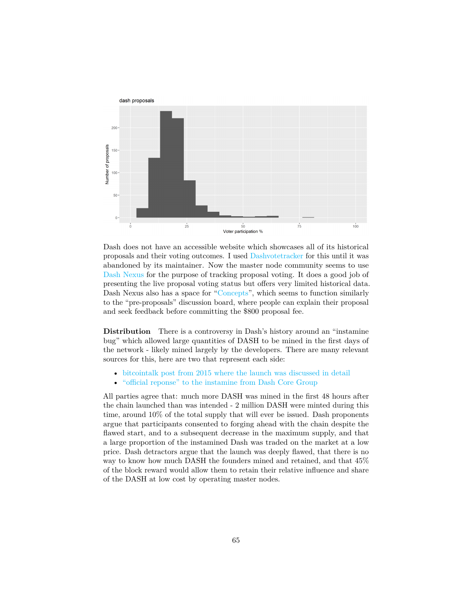

Dash does not have an accessible website which showcases all of its historical proposals and their voting outcomes. I used [Dashvotetracker](http://dashvotetracker.com/past.php) for this until it was abandoned by its maintainer. Now the master node community seems to use [Dash Nexus](https://app.dashnexus.org/proposals/leaderboard) for the purpose of tracking proposal voting. It does a good job of presenting the live proposal voting status but offers very limited historical data. Dash Nexus also has a space for ["Concepts"](https://app.dashnexus.org/proposals/concepts), which seems to function similarly to the "pre-proposals" discussion board, where people can explain their proposal and seek feedback before committing the \$800 proposal fee.

**Distribution** There is a controversy in Dash's history around an "instamine" bug" which allowed large quantities of DASH to be mined in the first days of the network - likely mined largely by the developers. There are many relevant sources for this, here are two that represent each side:

- [bitcointalk post from 2015 where the launch was discussed in detail](https://bitcointalk.org/index.php?topic=1043923.0)
- ["official reponse" to the instamine from Dash Core Group](https://dashpay.atlassian.net/wiki/spaces/OC/pages/19759164/Dash+Instamine+Issue+Clarification)

All parties agree that: much more DASH was mined in the first 48 hours after the chain launched than was intended - 2 million DASH were minted during this time, around 10% of the total supply that will ever be issued. Dash proponents argue that participants consented to forging ahead with the chain despite the flawed start, and to a subsequent decrease in the maximum supply, and that a large proportion of the instamined Dash was traded on the market at a low price. Dash detractors argue that the launch was deeply flawed, that there is no way to know how much DASH the founders mined and retained, and that 45% of the block reward would allow them to retain their relative influence and share of the DASH at low cost by operating master nodes.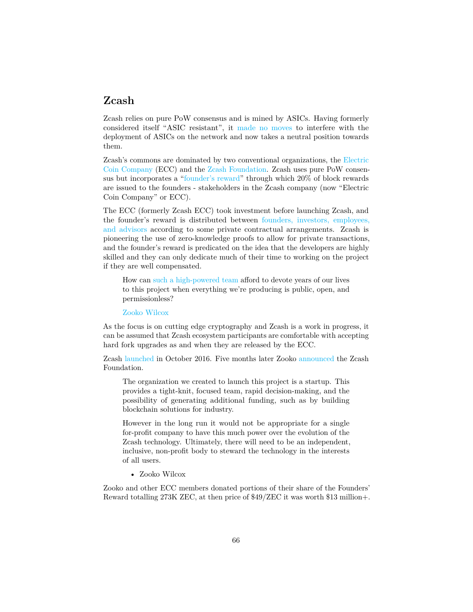#### **Zcash**

Zcash relies on pure PoW consensus and is mined by ASICs. Having formerly considered itself "ASIC resistant", it [made no moves](https://cointelegraph.com/news/zcash-exercises-restraint-as-the-antminer-z11-release-approaches) to interfere with the deployment of ASICs on the network and now takes a neutral position towards them.

Zcash's commons are dominated by two conventional organizations, the [Electric](https://electriccoin.co/) [Coin Company](https://electriccoin.co/) (ECC) and the [Zcash Foundation.](https://www.zfnd.org/) Zcash uses pure PoW consensus but incorporates a ["founder's reward"](https://electriccoin.co/blog/funding/) through which 20% of block rewards are issued to the founders - stakeholders in the Zcash company (now "Electric Coin Company" or ECC).

The ECC (formerly Zcash ECC) took investment before launching Zcash, and the founder's reward is distributed between [founders, investors, employees,](https://z.cash/team.html) [and advisors](https://z.cash/team.html) according to some private contractual arrangements. Zcash is pioneering the use of zero-knowledge proofs to allow for private transactions, and the founder's reward is predicated on the idea that the developers are highly skilled and they can only dedicate much of their time to working on the project if they are well compensated.

How can [such a high-powered team](https://z.cash/team.html) afford to devote years of our lives to this project when everything we're producing is public, open, and permissionless?

[Zooko Wilcox](https://electriccoin.co/blog/funding/)

As the focus is on cutting edge cryptography and Zcash is a work in progress, it can be assumed that Zcash ecosystem participants are comfortable with accepting hard fork upgrades as and when they are released by the ECC.

Zcash [launched](https://z.cash/support/faq/) in October 2016. Five months later Zooko [announced](https://electriccoin.co/blog/announcing-the-zcash-foundation/) the Zcash Foundation.

The organization we created to launch this project is a startup. This provides a tight-knit, focused team, rapid decision-making, and the possibility of generating additional funding, such as by building blockchain solutions for industry.

However in the long run it would not be appropriate for a single for-profit company to have this much power over the evolution of the Zcash technology. Ultimately, there will need to be an independent, inclusive, non-profit body to steward the technology in the interests of all users.

• Zooko Wilcox

Zooko and other ECC members donated portions of their share of the Founders' Reward totalling 273K ZEC, at then price of \$49/ZEC it was worth \$13 million+.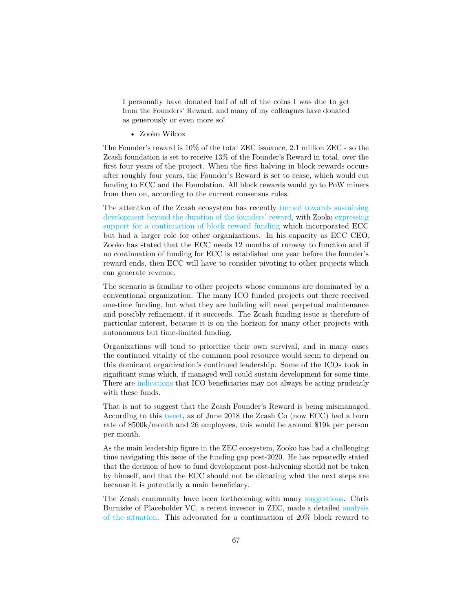I personally have donated half of all of the coins I was due to get from the Founders' Reward, and many of my colleagues have donated as generously or even more so!

• Zooko Wilcox

The Founder's reward is 10% of the total ZEC issuance, 2.1 million ZEC - so the Zcash foundation is set to receive 13% of the Founder's Reward in total, over the first four years of the project. When the first halving in block rewards occurs after roughly four years, the Founder's Reward is set to cease, which would cut funding to ECC and the Foundation. All block rewards would go to PoW miners from then on, according to the current consensus rules.

The attention of the Zcash ecosystem has recently [turned towards sustaining](https://finance.yahoo.com/news/zooko-wilcox-gives-zcash-community-154140125.html) [development beyond the duration of the founders' reward,](https://finance.yahoo.com/news/zooko-wilcox-gives-zcash-community-154140125.html) with Zooko [expressing](https://medium.com/@zooko_25893/a-personal-letter-about-the-possibility-of-a-new-zcash-dev-fund-f6d30df64392) [support for a continuation of block reward funding](https://medium.com/@zooko_25893/a-personal-letter-about-the-possibility-of-a-new-zcash-dev-fund-f6d30df64392) which incorporated ECC but had a larger role for other organizations. In his capacity as ECC CEO, Zooko has stated that the ECC needs 12 months of runway to function and if no continuation of funding for ECC is established one year before the founder's reward ends, then ECC will have to consider pivoting to other projects which can generate revenue.

The scenario is familiar to other projects whose commons are dominated by a conventional organization. The many ICO funded projects out there received one-time funding, but what they are building will need perpetual maintenance and possibly refinement, if it succeeds. The Zcash funding issue is therefore of particular interest, because it is on the horizon for many other projects with autonomous but time-limited funding.

Organizations will tend to prioritize their own survival, and in many cases the continued vitality of the common pool resource would seem to depend on this dominant organization's continued leadership. Some of the ICOs took in significant sums which, if managed well could sustain development for some time. There are [indications](https://thenextweb.com/hardfork/2019/07/25/justin-sun-tron-marketing-buffett-lunch-cancelled/) that ICO beneficiaries may not always be acting prudently with these funds.

That is not to suggest that the Zcash Founder's Reward is being mismanaged. According to this [tweet,](https://twitter.com/bcrypt/status/1011602573873336320?s=20) as of June 2018 the Zcash Co (now ECC) had a burn rate of \$500k/month and 26 employees, this would be around \$19k per person per month.

As the main leadership figure in the ZEC ecosystem, Zooko has had a challenging time navigating this issue of the funding gap post-2020. He has repeatedly stated that the decision of how to fund development post-halvening should not be taken by himself, and that the ECC should not be dictating what the next steps are because it is potentially a main beneficiary.

The Zcash community have been forthcoming with many [suggestions.](https://forum.zcashcommunity.com/t/future-of-zcash-dev-funding-megathread-everything-in-one-place/34063) Chris Burniske of Placeholder VC, a recent investor in ZEC, made a detailed [analysis](https://forum.zcashcommunity.com/t/placeholder-considerations-resources-governance-and-legitimacy-in-nu4/34045) [of the situation.](https://forum.zcashcommunity.com/t/placeholder-considerations-resources-governance-and-legitimacy-in-nu4/34045) This advocated for a continuation of 20% block reward to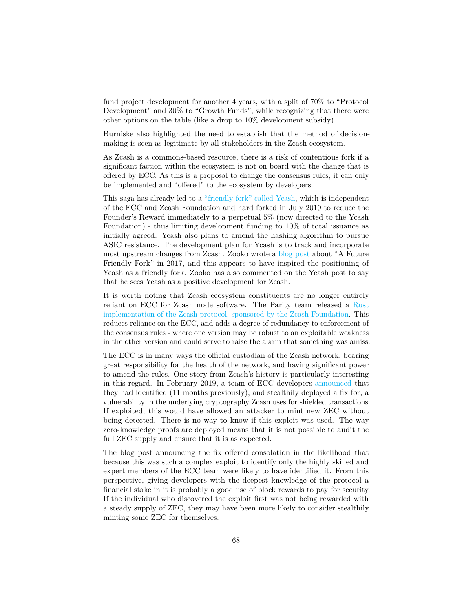fund project development for another 4 years, with a split of 70% to "Protocol Development" and 30% to "Growth Funds", while recognizing that there were other options on the table (like a drop to 10% development subsidy).

Burniske also highlighted the need to establish that the method of decisionmaking is seen as legitimate by all stakeholders in the Zcash ecosystem.

As Zcash is a commons-based resource, there is a risk of contentious fork if a significant faction within the ecosystem is not on board with the change that is offered by ECC. As this is a proposal to change the consensus rules, it can only be implemented and "offered" to the ecosystem by developers.

This saga has already led to a ["friendly fork" called Ycash,](https://medium.com/@YcashFoundation/announcing-ycash-the-first-friendly-fork-of-the-zcash-blockchain-ac386ed6368c) which is independent of the ECC and Zcash Foundation and hard forked in July 2019 to reduce the Founder's Reward immediately to a perpetual 5% (now directed to the Ycash Foundation) - thus limiting development funding to 10% of total issuance as initially agreed. Ycash also plans to amend the hashing algorithm to pursue ASIC resistance. The development plan for Ycash is to track and incorporate most upstream changes from Zcash. Zooko wrote a [blog post](https://z.cash/blog/future-friendly-fork/) about "A Future Friendly Fork" in 2017, and this appears to have inspired the positioning of Ycash as a friendly fork. Zooko has also commented on the Ycash post to say that he sees Ycash as a positive development for Zcash.

It is worth noting that Zcash ecosystem constituents are no longer entirely reliant on ECC for Zcash node software. The Parity team released a [Rust](https://github.com/paritytech/parity-zcash) [implementation of the Zcash protocol,](https://github.com/paritytech/parity-zcash) [sponsored by the Zcash Foundation.](https://www.parity.io/parity-teams-up-with-zcash-foundation-for-parity-zcash-client/) This reduces reliance on the ECC, and adds a degree of redundancy to enforcement of the consensus rules - where one version may be robust to an exploitable weakness in the other version and could serve to raise the alarm that something was amiss.

The ECC is in many ways the official custodian of the Zcash network, bearing great responsibility for the health of the network, and having significant power to amend the rules. One story from Zcash's history is particularly interesting in this regard. In February 2019, a team of ECC developers [announced](https://z.cash/blog/zcash-counterfeiting-vulnerability-successfully-remediated/) that they had identified (11 months previously), and stealthily deployed a fix for, a vulnerability in the underlying cryptography Zcash uses for shielded transactions. If exploited, this would have allowed an attacker to mint new ZEC without being detected. There is no way to know if this exploit was used. The way zero-knowledge proofs are deployed means that it is not possible to audit the full ZEC supply and ensure that it is as expected.

The blog post announcing the fix offered consolation in the likelihood that because this was such a complex exploit to identify only the highly skilled and expert members of the ECC team were likely to have identified it. From this perspective, giving developers with the deepest knowledge of the protocol a financial stake in it is probably a good use of block rewards to pay for security. If the individual who discovered the exploit first was not being rewarded with a steady supply of ZEC, they may have been more likely to consider stealthily minting some ZEC for themselves.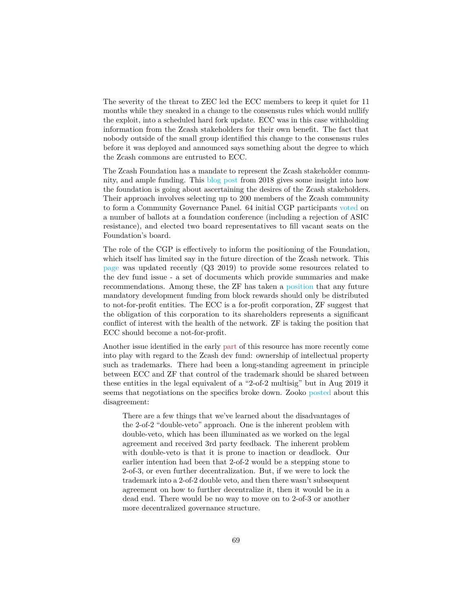The severity of the threat to ZEC led the ECC members to keep it quiet for 11 months while they sneaked in a change to the consensus rules which would nullify the exploit, into a scheduled hard fork update. ECC was in this case withholding information from the Zcash stakeholders for their own benefit. The fact that nobody outside of the small group identified this change to the consensus rules before it was deployed and announced says something about the degree to which the Zcash commons are entrusted to ECC.

The Zcash Foundation has a mandate to represent the Zcash stakeholder community, and ample funding. This [blog post](https://www.zfnd.org/blog/governance-results/) from 2018 gives some insight into how the foundation is going about ascertaining the desires of the Zcash stakeholders. Their approach involves selecting up to 200 members of the Zcash community to form a Community Governance Panel. 64 initial CGP participants [voted](https://vote.heliosvoting.org/helios/elections/cdc15aa6-6f75-11e8-b5e0-0e48ec97cebb/view) on a number of ballots at a foundation conference (including a rejection of ASIC resistance), and elected two board representatives to fill vacant seats on the Foundation's board.

The role of the CGP is effectively to inform the positioning of the Foundation, which itself has limited say in the future direction of the Zcash network. This [page](https://www.zfnd.org/governance/) was updated recently (Q3 2019) to provide some resources related to the dev fund issue - a set of documents which provide summaries and make recommendations. Among these, the ZF has taken a [position](https://www.zfnd.org/blog/dev-fund-guidance-and-timeline/) that any future mandatory development funding from block rewards should only be distributed to not-for-profit entities. The ECC is a for-profit corporation, ZF suggest that the obligation of this corporation to its shareholders represents a significant conflict of interest with the health of the network. ZF is taking the position that ECC should become a not-for-profit.

Another issue identified in the early [part](#page-0-0) of this resource has more recently come into play with regard to the Zcash dev fund: ownership of intellectual property such as trademarks. There had been a long-standing agreement in principle between ECC and ZF that control of the trademark should be shared between these entities in the legal equivalent of a "2-of-2 multisig" but in Aug 2019 it seems that negotiations on the specifics broke down. Zooko [posted](https://forum.zcashcommunity.com/t/note-about-trademark-strategy/34807) about this disagreement:

There are a few things that we've learned about the disadvantages of the 2-of-2 "double-veto" approach. One is the inherent problem with double-veto, which has been illuminated as we worked on the legal agreement and received 3rd party feedback. The inherent problem with double-veto is that it is prone to inaction or deadlock. Our earlier intention had been that 2-of-2 would be a stepping stone to 2-of-3, or even further decentralization. But, if we were to lock the trademark into a 2-of-2 double veto, and then there wasn't subsequent agreement on how to further decentralize it, then it would be in a dead end. There would be no way to move on to 2-of-3 or another more decentralized governance structure.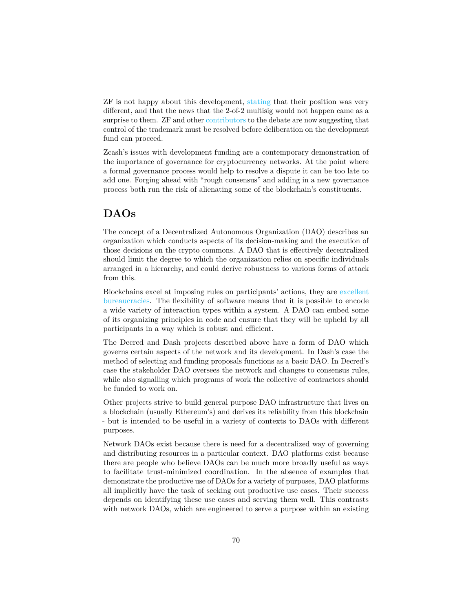ZF is not happy about this development, [stating](https://www.zfnd.org/blog/zcash-trademark-update/) that their position was very different, and that the news that the 2-of-2 multisig would not happen came as a surprise to them. ZF and other [contributors](https://twitter.com/_prestwich/status/1165390624171986944) to the debate are now suggesting that control of the trademark must be resolved before deliberation on the development fund can proceed.

Zcash's issues with development funding are a contemporary demonstration of the importance of governance for cryptocurrency networks. At the point where a formal governance process would help to resolve a dispute it can be too late to add one. Forging ahead with "rough consensus" and adding in a new governance process both run the risk of alienating some of the blockchain's constituents.

## **DAOs**

The concept of a Decentralized Autonomous Organization (DAO) describes an organization which conducts aspects of its decision-making and the execution of those decisions on the crypto commons. A DAO that is effectively decentralized should limit the degree to which the organization relies on specific individuals arranged in a hierarchy, and could derive robustness to various forms of attack from this.

Blockchains excel at imposing rules on participants' actions, they are [excellent](https://medium.com/@mariolaul/blockchains-are-bureaucracies-par-excellence-db39cfda7ea9) [bureaucracies.](https://medium.com/@mariolaul/blockchains-are-bureaucracies-par-excellence-db39cfda7ea9) The flexibility of software means that it is possible to encode a wide variety of interaction types within a system. A DAO can embed some of its organizing principles in code and ensure that they will be upheld by all participants in a way which is robust and efficient.

The Decred and Dash projects described above have a form of DAO which governs certain aspects of the network and its development. In Dash's case the method of selecting and funding proposals functions as a basic DAO. In Decred's case the stakeholder DAO oversees the network and changes to consensus rules, while also signalling which programs of work the collective of contractors should be funded to work on.

Other projects strive to build general purpose DAO infrastructure that lives on a blockchain (usually Ethereum's) and derives its reliability from this blockchain - but is intended to be useful in a variety of contexts to DAOs with different purposes.

Network DAOs exist because there is need for a decentralized way of governing and distributing resources in a particular context. DAO platforms exist because there are people who believe DAOs can be much more broadly useful as ways to facilitate trust-minimized coordination. In the absence of examples that demonstrate the productive use of DAOs for a variety of purposes, DAO platforms all implicitly have the task of seeking out productive use cases. Their success depends on identifying these use cases and serving them well. This contrasts with network DAOs, which are engineered to serve a purpose within an existing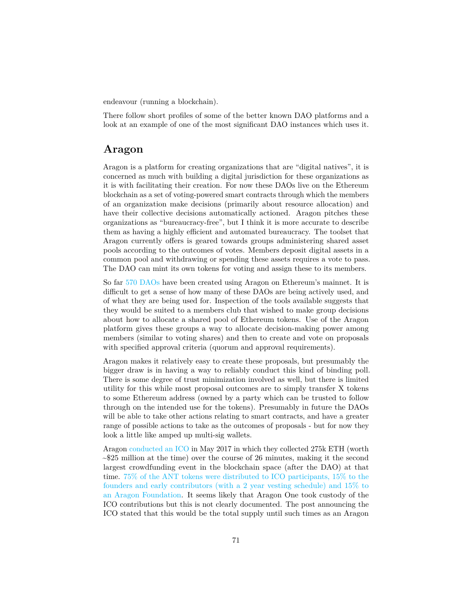endeavour (running a blockchain).

There follow short profiles of some of the better known DAO platforms and a look at an example of one of the most significant DAO instances which uses it.

#### **Aragon**

Aragon is a platform for creating organizations that are "digital natives", it is concerned as much with building a digital jurisdiction for these organizations as it is with facilitating their creation. For now these DAOs live on the Ethereum blockchain as a set of voting-powered smart contracts through which the members of an organization make decisions (primarily about resource allocation) and have their collective decisions automatically actioned. Aragon pitches these organizations as "bureaucracy-free", but I think it is more accurate to describe them as having a highly efficient and automated bureaucracy. The toolset that Aragon currently offers is geared towards groups administering shared asset pools according to the outcomes of votes. Members deposit digital assets in a common pool and withdrawing or spending these assets requires a vote to pass. The DAO can mint its own tokens for voting and assign these to its members.

So far [570 DAOs](https://daolist.io/) have been created using Aragon on Ethereum's mainnet. It is difficult to get a sense of how many of these DAOs are being actively used, and of what they are being used for. Inspection of the tools available suggests that they would be suited to a members club that wished to make group decisions about how to allocate a shared pool of Ethereum tokens. Use of the Aragon platform gives these groups a way to allocate decision-making power among members (similar to voting shares) and then to create and vote on proposals with specified approval criteria (quorum and approval requirements).

Aragon makes it relatively easy to create these proposals, but presumably the bigger draw is in having a way to reliably conduct this kind of binding poll. There is some degree of trust minimization involved as well, but there is limited utility for this while most proposal outcomes are to simply transfer X tokens to some Ethereum address (owned by a party which can be trusted to follow through on the intended use for the tokens). Presumably in future the DAOs will be able to take other actions relating to smart contracts, and have a greater range of possible actions to take as the outcomes of proposals - but for now they look a little like amped up multi-sig wallets.

Aragon [conducted an ICO](https://blog.aragon.org/the-aragon-token-sale-the-numbers-12d03c8b97d3/) in May 2017 in which they collected 275k ETH (worth  $\sim$ \$25 million at the time) over the course of 26 minutes, making it the second largest crowdfunding event in the blockchain space (after the DAO) at that time. [75% of the ANT tokens were distributed to ICO participants, 15% to the](https://blog.aragon.org/aragon-network-token-sale-terms-8998f63a3429/) [founders and early contributors \(with a 2 year vesting schedule\) and 15% to](https://blog.aragon.org/aragon-network-token-sale-terms-8998f63a3429/) [an Aragon Foundation.](https://blog.aragon.org/aragon-network-token-sale-terms-8998f63a3429/) It seems likely that Aragon One took custody of the ICO contributions but this is not clearly documented. The post announcing the ICO stated that this would be the total supply until such times as an Aragon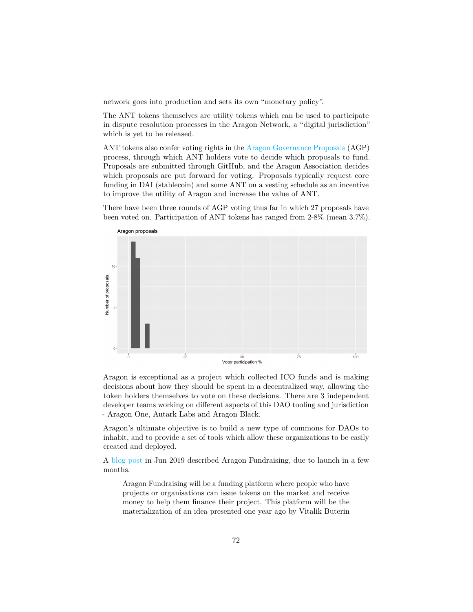network goes into production and sets its own "monetary policy".

The ANT tokens themselves are utility tokens which can be used to participate in dispute resolution processes in the Aragon Network, a "digital jurisdiction" which is yet to be released.

ANT tokens also confer voting rights in the [Aragon Governance Proposals](https://github.com/aragon/AGPs/blob/master/AGPs/AGP-1.md) (AGP) process, through which ANT holders vote to decide which proposals to fund. Proposals are submitted through GitHub, and the Aragon Association decides which proposals are put forward for voting. Proposals typically request core funding in DAI (stablecoin) and some ANT on a vesting schedule as an incentive to improve the utility of Aragon and increase the value of ANT.

There have been three rounds of AGP voting thus far in which 27 proposals have been voted on. Participation of ANT tokens has ranged from 2-8% (mean 3.7%).



Aragon is exceptional as a project which collected ICO funds and is making decisions about how they should be spent in a decentralized way, allowing the token holders themselves to vote on these decisions. There are 3 independent developer teams working on different aspects of this DAO tooling and jurisdiction - Aragon One, Autark Labs and Aragon Black.

Aragon's ultimate objective is to build a new type of commons for DAOs to inhabit, and to provide a set of tools which allow these organizations to be easily created and deployed.

A [blog post](https://blog.aragon.black/aragon-fundraising-the-return-of-the-commons/) in Jun 2019 described Aragon Fundraising, due to launch in a few months.

Aragon Fundraising will be a funding platform where people who have projects or organisations can issue tokens on the market and receive money to help them finance their project. This platform will be the materialization of an idea presented one year ago by Vitalik Buterin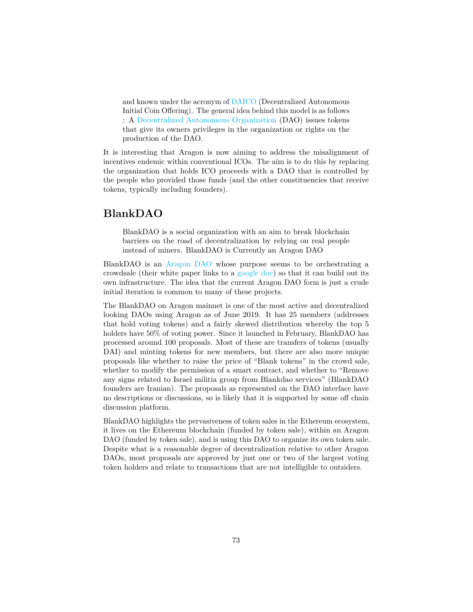and known under the acronym of [DAICO](https://ethresear.ch/t/explanation-of-daicos/465) (Decentralized Autonomous Initial Coin Offering). The general idea behind this model is as follows : A [Decentralized Autonomous Organization](https://en.wikipedia.org/wiki/Decentralized_autonomous_organization) (DAO) issues tokens that give its owners privileges in the organization or rights on the production of the DAO.

It is interesting that Aragon is now aiming to address the misalignment of incentives endemic within conventional ICOs. The aim is to do this by replacing the organization that holds ICO proceeds with a DAO that is controlled by the people who provided those funds (and the other constituencies that receive tokens, typically including founders).

## **BlankDAO**

BlankDAO is a social organization with an aim to break blockchain barriers on the road of decentralization by relying on real people instead of miners. BlankDAO is Currently an Aragon DAO

BlankDAO is an [Aragon DAO](https://mainnet.aragon.org/#/blankdao/) whose purpose seems to be orchestrating a crowdsale (their white paper links to a [google doc\)](https://docs.google.com/document/d/1mAGAZ5TAbJoTJoNCAwMUKLhEHD-WW-tzc0dHhbsl1gU/edit) so that it can build out its own infrastructure. The idea that the current Aragon DAO form is just a crude initial iteration is common to many of these projects.

The BlankDAO on Aragon mainnet is one of the most active and decentralized looking DAOs using Aragon as of June 2019. It has 25 members (addresses that hold voting tokens) and a fairly skewed distribution whereby the top 5 holders have  $50\%$  of voting power. Since it launched in February, BlankDAO has processed around 100 proposals. Most of these are transfers of tokens (usually DAI) and minting tokens for new members, but there are also more unique proposals like whether to raise the price of "Blank tokens" in the crowd sale, whether to modify the permission of a smart contract, and whether to "Remove any signs related to Israel militia group from Blankdao services" (BlankDAO founders are Iranian). The proposals as represented on the DAO interface have no descriptions or discussions, so is likely that it is supported by some off chain discussion platform.

BlankDAO highlights the pervasiveness of token sales in the Ethereum ecosystem, it lives on the Ethereum blockchain (funded by token sale), within an Aragon DAO (funded by token sale), and is using this DAO to organize its own token sale. Despite what is a reasonable degree of decentralization relative to other Aragon DAOs, most proposals are approved by just one or two of the largest voting token holders and relate to transactions that are not intelligible to outsiders.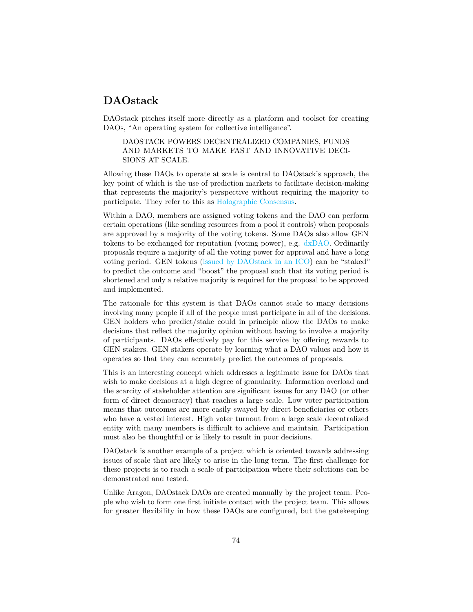### **DAOstack**

DAOstack pitches itself more directly as a platform and toolset for creating DAOs, "An operating system for collective intelligence".

DAOSTACK POWERS DECENTRALIZED COMPANIES, FUNDS AND MARKETS TO MAKE FAST AND INNOVATIVE DECI-SIONS AT SCALE.

Allowing these DAOs to operate at scale is central to DAOstack's approach, the key point of which is the use of prediction markets to facilitate decision-making that represents the majority's perspective without requiring the majority to participate. They refer to this as [Holographic Consensus.](https://medium.com/daostack/holographic-consensus-part-2-4fd461e8dcde)

Within a DAO, members are assigned voting tokens and the DAO can perform certain operations (like sending resources from a pool it controls) when proposals are approved by a majority of the voting tokens. Some DAOs also allow GEN tokens to be exchanged for reputation (voting power), e.g. [dxDAO.](https://dxdao.daostack.io/stake-for-your-vote) Ordinarily proposals require a majority of all the voting power for approval and have a long voting period. GEN tokens [\(issued by DAOstack in an ICO\)](https://medium.com/daostack/daostack-token-sale-successfully-concluded-ec813e7adc6b) can be "staked" to predict the outcome and "boost" the proposal such that its voting period is shortened and only a relative majority is required for the proposal to be approved and implemented.

The rationale for this system is that DAOs cannot scale to many decisions involving many people if all of the people must participate in all of the decisions. GEN holders who predict/stake could in principle allow the DAOs to make decisions that reflect the majority opinion without having to involve a majority of participants. DAOs effectively pay for this service by offering rewards to GEN stakers. GEN stakers operate by learning what a DAO values and how it operates so that they can accurately predict the outcomes of proposals.

This is an interesting concept which addresses a legitimate issue for DAOs that wish to make decisions at a high degree of granularity. Information overload and the scarcity of stakeholder attention are significant issues for any DAO (or other form of direct democracy) that reaches a large scale. Low voter participation means that outcomes are more easily swayed by direct beneficiaries or others who have a vested interest. High voter turnout from a large scale decentralized entity with many members is difficult to achieve and maintain. Participation must also be thoughtful or is likely to result in poor decisions.

DAOstack is another example of a project which is oriented towards addressing issues of scale that are likely to arise in the long term. The first challenge for these projects is to reach a scale of participation where their solutions can be demonstrated and tested.

Unlike Aragon, DAOstack DAOs are created manually by the project team. People who wish to form one first initiate contact with the project team. This allows for greater flexibility in how these DAOs are configured, but the gatekeeping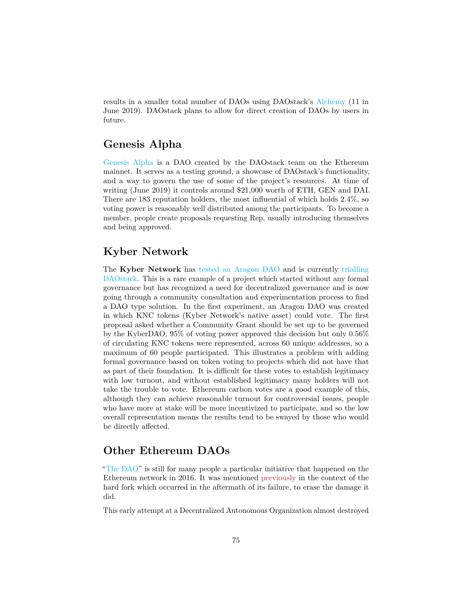results in a smaller total number of DAOs using DAOstack's [Alchemy](https://alchemy.daostack.io/) (11 in June 2019). DAOstack plans to allow for direct creation of DAOs by users in future.

## **Genesis Alpha**

[Genesis Alpha](https://alchemy.daostack.io/dao/0x294f999356ed03347c7a23bcbcf8d33fa41dc830/proposals/0x28c5b9efd5bdec2c69c613d2df4b5e1b92e44a2d3c2f5092fb45187570029009) is a DAO created by the DAOstack team on the Ethereum mainnet. It serves as a testing ground, a showcase of DAOstack's functionality, and a way to govern the use of some of the project's resources. At time of writing (June 2019) it controls around \$21,000 worth of ETH, GEN and DAI. There are 183 reputation holders, the most influential of which holds 2.4%, so voting power is reasonably well distributed among the participants. To become a member, people create proposals requesting Rep, usually introducing themselves and being approved.

## **Kyber Network**

The **Kyber Network** has [tested an Aragon DAO](https://blog.kyber.network/kyberdao-experiment-1-review-and-summary-of-discussions-87e1c1d8f45) and is currently [trialling](https://blog.kyber.network/kyberdao-experiment-2-on-daostack-d1caca6caf35) [DAOstack.](https://blog.kyber.network/kyberdao-experiment-2-on-daostack-d1caca6caf35) This is a rare example of a project which started without any formal governance but has recognized a need for decentralized governance and is now going through a community consultation and experimentation process to find a DAO type solution. In the first experiment, an Aragon DAO was created in which KNC tokens (Kyber Network's native asset) could vote. The first proposal asked whether a Community Grant should be set up to be governed by the KyberDAO, 95% of voting power approved this decision but only 0.56% of circulating KNC tokens were represented, across 60 unique addresses, so a maximum of 60 people participated. This illustrates a problem with adding formal governance based on token voting to projects which did not have that as part of their foundation. It is difficult for these votes to establish legitimacy with low turnout, and without established legitimacy many holders will not take the trouble to vote. Ethereum carbon votes are a good example of this, although they can achieve reasonable turnout for controversial issues, people who have more at stake will be more incentivized to participate, and so the low overall representation means the results tend to be swayed by those who would be directly affected.

# **Other Ethereum DAOs**

["The DAO"](https://en.wikipedia.org/wiki/The_DAO_(organization)) is still for many people a particular initiative that happened on the Ethereum network in 2016. It was mentioned [previously](#page-0-0) in the context of the hard fork which occurred in the aftermath of its failure, to erase the damage it did.

This early attempt at a Decentralized Autonomous Organization almost destroyed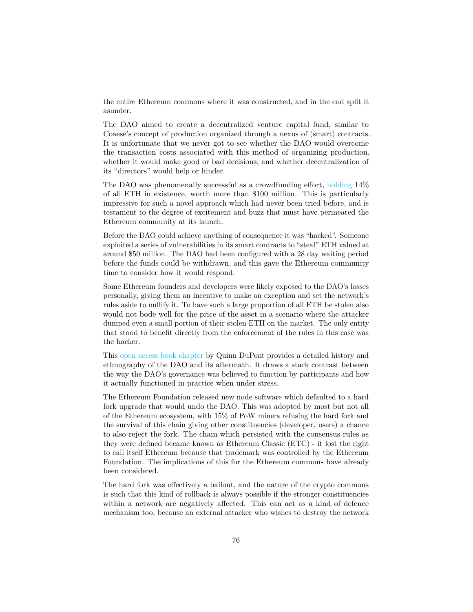the entire Ethereum commons where it was constructed, and in the end split it asunder.

The DAO aimed to create a decentralized venture capital fund, similar to Coaese's concept of production organized through a nexus of (smart) contracts. It is unfortunate that we never got to see whether the DAO would overcome the transaction costs associated with this method of organizing production, whether it would make good or bad decisions, and whether decentralization of its "directors" would help or hinder.

The DAO was phenomenally successful as a crowdfunding effort, [holding](https://fortune.com/2016/05/15/leaderless-blockchain-vc-fund/) 14% of all ETH in existence, worth more than \$100 million. This is particularly impressive for such a novel approach which had never been tried before, and is testament to the degree of excitement and buzz that must have permeated the Ethereum community at its launch.

Before the DAO could achieve anything of consequence it was "hacked". Someone exploited a series of vulnerabilities in its smart contracts to "steal" ETH valued at around \$50 million. The DAO had been configured with a 28 day waiting period before the funds could be withdrawn, and this gave the Ethereum community time to consider how it would respond.

Some Ethereum founders and developers were likely exposed to the DAO's losses personally, giving them an incentive to make an exception and set the network's rules aside to nullify it. To have such a large proportion of all ETH be stolen also would not bode well for the price of the asset in a scenario where the attacker dumped even a small portion of their stolen ETH on the market. The only entity that stood to benefit directly from the enforcement of the rules in this case was the hacker.

This [open access book chapter](https://www.taylorfrancis.com/books/e/9781315211909/chapters/10.4324/9781315211909-8) by Quinn DuPont provides a detailed history and ethnography of the DAO and its aftermath. It draws a stark contrast between the way the DAO's governance was believed to function by participants and how it actually functioned in practice when under stress.

The Ethereum Foundation released new node software which defaulted to a hard fork upgrade that would undo the DAO. This was adopted by most but not all of the Ethereum ecosystem, with 15% of PoW miners refusing the hard fork and the survival of this chain giving other constituencies (developer, users) a chance to also reject the fork. The chain which persisted with the consensus rules as they were defined became known as Ethereum Classic (ETC) - it lost the right to call itself Ethereum because that trademark was controlled by the Ethereum Foundation. The implications of this for the Ethereum commons have already been considered.

The hard fork was effectively a bailout, and the nature of the crypto commons is such that this kind of rollback is always possible if the stronger constituencies within a network are negatively affected. This can act as a kind of defence mechanism too, because an external attacker who wishes to destroy the network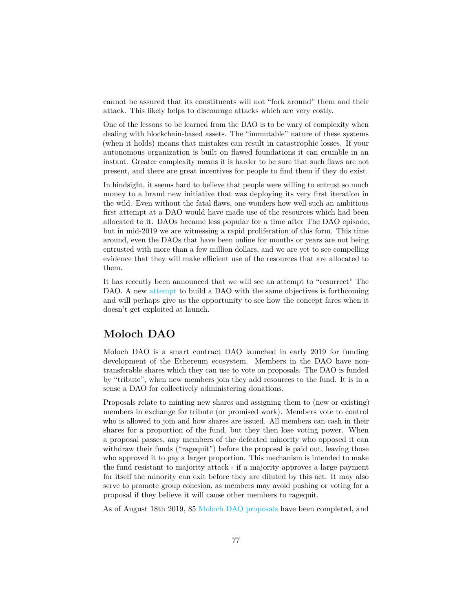cannot be assured that its constituents will not "fork around" them and their attack. This likely helps to discourage attacks which are very costly.

One of the lessons to be learned from the DAO is to be wary of complexity when dealing with blockchain-based assets. The "immutable" nature of these systems (when it holds) means that mistakes can result in catastrophic losses. If your autonomous organization is built on flawed foundations it can crumble in an instant. Greater complexity means it is harder to be sure that such flaws are not present, and there are great incentives for people to find them if they do exist.

In hindsight, it seems hard to believe that people were willing to entrust so much money to a brand new initiative that was deploying its very first iteration in the wild. Even without the fatal flaws, one wonders how well such an ambitious first attempt at a DAO would have made use of the resources which had been allocated to it. DAOs became less popular for a time after The DAO episode, but in mid-2019 we are witnessing a rapid proliferation of this form. This time around, even the DAOs that have been online for months or years are not being entrusted with more than a few million dollars, and we are yet to see compelling evidence that they will make efficient use of the resources that are allocated to them.

It has recently been announced that we will see an attempt to "resurrect" The DAO. A new [attempt](https://github.com/the-dao/whitepaper) to build a DAO with the same objectives is forthcoming and will perhaps give us the opportunity to see how the concept fares when it doesn't get exploited at launch.

### **Moloch DAO**

Moloch DAO is a smart contract DAO launched in early 2019 for funding development of the Ethereum ecosystem. Members in the DAO have nontransferable shares which they can use to vote on proposals. The DAO is funded by "tribute", when new members join they add resources to the fund. It is in a sense a DAO for collectively administering donations.

Proposals relate to minting new shares and assigning them to (new or existing) members in exchange for tribute (or promised work). Members vote to control who is allowed to join and how shares are issued. All members can cash in their shares for a proportion of the fund, but they then lose voting power. When a proposal passes, any members of the defeated minority who opposed it can withdraw their funds ("ragequit") before the proposal is paid out, leaving those who approved it to pay a larger proportion. This mechanism is intended to make the fund resistant to majority attack - if a majority approves a large payment for itself the minority can exit before they are diluted by this act. It may also serve to promote group cohesion, as members may avoid pushing or voting for a proposal if they believe it will cause other members to ragequit.

As of August 18th 2019, 85 [Moloch DAO proposals](https://molochdao.com/proposals) have been completed, and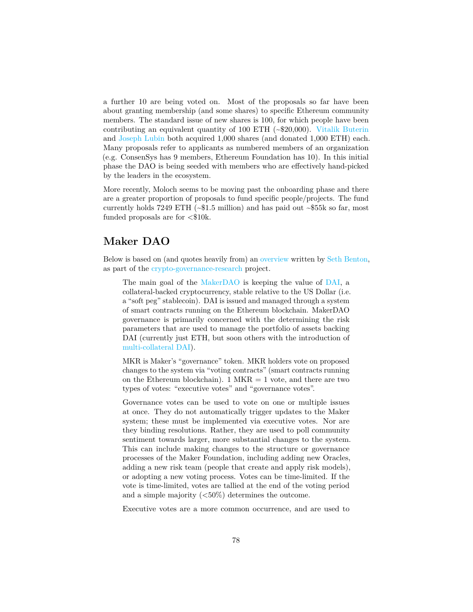a further 10 are being voted on. Most of the proposals so far have been about granting membership (and some shares) to specific Ethereum community members. The standard issue of new shares is 100, for which people have been contributing an equivalent quantity of 100 ETH (~\$20,000). [Vitalik Buterin](https://molochdao.com/proposals/50) and [Joseph Lubin](https://molochdao.com/proposals/46) both acquired 1,000 shares (and donated 1,000 ETH) each. Many proposals refer to applicants as numbered members of an organization (e.g. ConsenSys has 9 members, Ethereum Foundation has 10). In this initial phase the DAO is being seeded with members who are effectively hand-picked by the leaders in the ecosystem.

More recently, Moloch seems to be moving past the onboarding phase and there are a greater proportion of proposals to fund specific people/projects. The fund currently holds 7249 ETH  $({}_{\sim$}\$1.5$  million) and has paid out  $\sim$55$ k so far, most funded proposals are for  $\langle \$10\mathrm{k}.\rangle$ 

# **Maker DAO**

Below is based on (and quotes heavily from) an [overview](https://github.com/RichardRed0x/crypto-governance-research/blob/master/answers/Maker.md) written by [Seth Benton,](https://medium.com/@seth.benton) as part of the [crypto-governance-research](https://github.com/RichardRed0x/crypto-governance-research) project.

The main goal of the [MakerDAO](https://makerdao.com/) is keeping the value of [DAI,](https://coinmarketcap.com/currencies/dai/) a collateral-backed cryptocurrency, stable relative to the US Dollar (i.e. a "soft peg" stablecoin). DAI is issued and managed through a system of smart contracts running on the Ethereum blockchain. MakerDAO governance is primarily concerned with the determining the risk parameters that are used to manage the portfolio of assets backing DAI (currently just ETH, but soon others with the introduction of [multi-collateral DAI\)](https://medium.com/pov-crypto/the-role-of-ether-in-multi-collateral-dai-cfc8b43ab50c).

MKR is Maker's "governance" token. MKR holders vote on proposed changes to the system via "voting contracts" (smart contracts running on the Ethereum blockchain). 1 MKR  $=$  1 vote, and there are two types of votes: "executive votes" and "governance votes".

Governance votes can be used to vote on one or multiple issues at once. They do not automatically trigger updates to the Maker system; these must be implemented via executive votes. Nor are they binding resolutions. Rather, they are used to poll community sentiment towards larger, more substantial changes to the system. This can include making changes to the structure or governance processes of the Maker Foundation, including adding new Oracles, adding a new risk team (people that create and apply risk models), or adopting a new voting process. Votes can be time-limited. If the vote is time-limited, votes are tallied at the end of the voting period and a simple majority (<50%) determines the outcome.

Executive votes are a more common occurrence, and are used to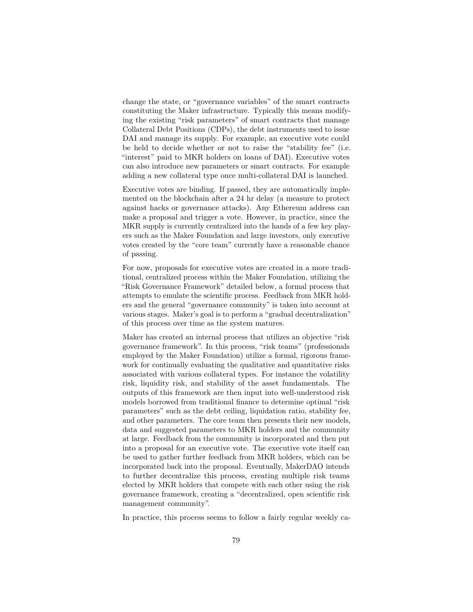change the state, or "governance variables" of the smart contracts constituting the Maker infrastructure. Typically this means modifying the existing "risk parameters" of smart contracts that manage Collateral Debt Positions (CDPs), the debt instruments used to issue DAI and manage its supply. For example, an executive vote could be held to decide whether or not to raise the "stability fee" (i.e. "interest" paid to MKR holders on loans of DAI). Executive votes can also introduce new parameters or smart contracts. For example adding a new collateral type once multi-collateral DAI is launched.

Executive votes are binding. If passed, they are automatically implemented on the blockchain after a 24 hr delay (a measure to protect against hacks or governance attacks). Any Ethereum address can make a proposal and trigger a vote. However, in practice, since the MKR supply is currently centralized into the hands of a few key players such as the Maker Foundation and large investors, only executive votes created by the "core team" currently have a reasonable chance of passing.

For now, proposals for executive votes are created in a more traditional, centralized process within the Maker Foundation, utilizing the "Risk Governance Framework" detailed below, a formal process that attempts to emulate the scientific process. Feedback from MKR holders and the general "governance community" is taken into account at various stages. Maker's goal is to perform a "gradual decentralization" of this process over time as the system matures.

Maker has created an internal process that utilizes an objective "risk governance framework". In this process, "risk teams" (professionals employed by the Maker Foundation) utilize a formal, rigorous framework for continually evaluating the qualitative and quantitative risks associated with various collateral types. For instance the volatility risk, liquidity risk, and stability of the asset fundamentals. The outputs of this framework are then input into well-understood risk models borrowed from traditional finance to determine optimal "risk parameters" such as the debt ceiling, liquidation ratio, stability fee, and other parameters. The core team then presents their new models, data and suggested parameters to MKR holders and the community at large. Feedback from the community is incorporated and then put into a proposal for an executive vote. The executive vote itself can be used to gather further feedback from MKR holders, which can be incorporated back into the proposal. Eventually, MakerDAO intends to further decentralize this process, creating multiple risk teams elected by MKR holders that compete with each other using the risk governance framework, creating a "decentralized, open scientific risk management community".

In practice, this process seems to follow a fairly regular weekly ca-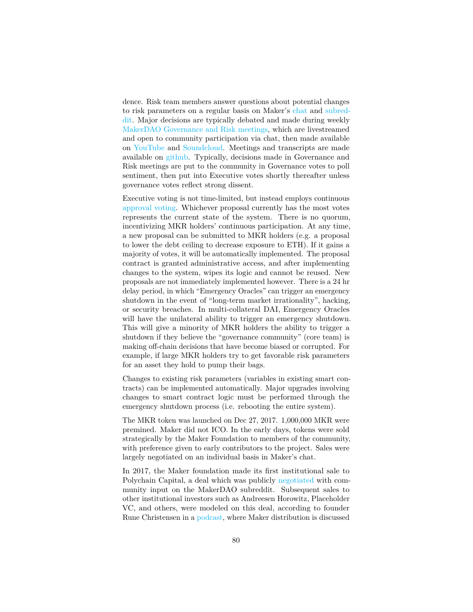dence. Risk team members answer questions about potential changes to risk parameters on a regular basis on Maker's [chat](https://chat.makerdao.com/) and [subred](https://www.reddit.com/r/MakerDAO)[dit.](https://www.reddit.com/r/MakerDAO) Major decisions are typically debated and made during weekly [MakerDAO Governance and Risk meetings,](https://calendar.google.com/calendar/embed?src=makerdao.com_3efhm2ghipksegl009ktniomdk%40group.calendar.google.com&ctz=America%2FLos_Angeles) which are livestreamed and open to community participation via chat, then made available on [YouTube](https://www.youtube.com/playlist?list=PLLzkWCj8ywWNq5-90-Id6VPSsrk4OWVan) and [Soundcloud.](https://soundcloud.com/makerdao/sets/governance-and-risk) Meetings and transcripts are made available on [github.](https://github.com/scottrepreneur/maker-minutes) Typically, decisions made in Governance and Risk meetings are put to the community in Governance votes to poll sentiment, then put into Executive votes shortly thereafter unless governance votes reflect strong dissent.

Executive voting is not time-limited, but instead employs continuous [approval voting.](https://en.wikipedia.org/wiki/Approval_voting) Whichever proposal currently has the most votes represents the current state of the system. There is no quorum, incentivizing MKR holders' continuous participation. At any time, a new proposal can be submitted to MKR holders (e.g. a proposal to lower the debt ceiling to decrease exposure to ETH). If it gains a majority of votes, it will be automatically implemented. The proposal contract is granted administrative access, and after implementing changes to the system, wipes its logic and cannot be reused. New proposals are not immediately implemented however. There is a 24 hr delay period, in which "Emergency Oracles" can trigger an emergency shutdown in the event of "long-term market irrationality", hacking, or security breaches. In multi-collateral DAI, Emergency Oracles will have the unilateral ability to trigger an emergency shutdown. This will give a minority of MKR holders the ability to trigger a shutdown if they believe the "governance community" (core team) is making off-chain decisions that have become biased or corrupted. For example, if large MKR holders try to get favorable risk parameters for an asset they hold to pump their bags.

Changes to existing risk parameters (variables in existing smart contracts) can be implemented automatically. Major upgrades involving changes to smart contract logic must be performed through the emergency shutdown process (i.e. rebooting the entire system).

The MKR token was launched on Dec 27, 2017. 1,000,000 MKR were premined. Maker did not ICO. In the early days, tokens were sold strategically by the Maker Foundation to members of the community, with preference given to early contributors to the project. Sales were largely negotiated on an individual basis in Maker's chat.

In 2017, the Maker foundation made its first institutional sale to Polychain Capital, a deal which was publicly [negotiated](https://www.reddit.com/r/MakerDAO/comments/5mxwxw/polychain_capital_proposal_to_makerdao/) with community input on the MakerDAO subreddit. Subsequent sales to other institutional investors such as Andreesen Horowitz, Placeholder VC, and others, were modeled on this deal, according to founder Rune Christensen in a [podcast,](https://unchainedpodcast.com/rune-christensen-of-makerdao-part-1-how-to-keep-a-crypto-collateralized-stablecoin-afloat/) where Maker distribution is discussed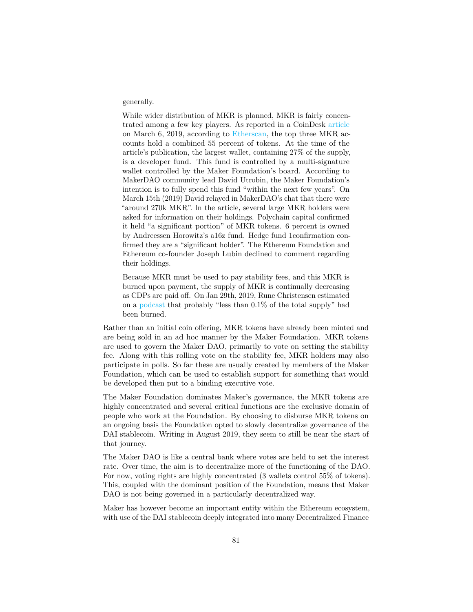#### generally.

While wider distribution of MKR is planned, MKR is fairly concentrated among a few key players. As reported in a CoinDesk [article](https://www.coindesk.com/makerdao-dai-fee-hike-vote) on March 6, 2019, according to [Etherscan,](https://etherscan.io/token/0x9f8f72aa9304c8b593d555f12ef6589cc3a579a2#balances) the top three MKR accounts hold a combined 55 percent of tokens. At the time of the article's publication, the largest wallet, containing 27% of the supply, is a developer fund. This fund is controlled by a multi-signature wallet controlled by the Maker Foundation's board. According to MakerDAO community lead David Utrobin, the Maker Foundation's intention is to fully spend this fund "within the next few years". On March 15th (2019) David relayed in MakerDAO's chat that there were "around 270k MKR". In the article, several large MKR holders were asked for information on their holdings. Polychain capital confirmed it held "a significant portion" of MKR tokens. 6 percent is owned by Andreessen Horowitz's a16z fund. Hedge fund 1confirmation confirmed they are a "significant holder". The Ethereum Foundation and Ethereum co-founder Joseph Lubin declined to comment regarding their holdings.

Because MKR must be used to pay stability fees, and this MKR is burned upon payment, the supply of MKR is continually decreasing as CDPs are paid off. On Jan 29th, 2019, Rune Christensen estimated on a [podcast](https://unchainedpodcast.com/rune-christensen-of-makerdao-part-1-how-to-keep-a-crypto-collateralized-stablecoin-afloat/) that probably "less than 0.1% of the total supply" had been burned.

Rather than an initial coin offering, MKR tokens have already been minted and are being sold in an ad hoc manner by the Maker Foundation. MKR tokens are used to govern the Maker DAO, primarily to vote on setting the stability fee. Along with this rolling vote on the stability fee, MKR holders may also participate in polls. So far these are usually created by members of the Maker Foundation, which can be used to establish support for something that would be developed then put to a binding executive vote.

The Maker Foundation dominates Maker's governance, the MKR tokens are highly concentrated and several critical functions are the exclusive domain of people who work at the Foundation. By choosing to disburse MKR tokens on an ongoing basis the Foundation opted to slowly decentralize governance of the DAI stablecoin. Writing in August 2019, they seem to still be near the start of that journey.

The Maker DAO is like a central bank where votes are held to set the interest rate. Over time, the aim is to decentralize more of the functioning of the DAO. For now, voting rights are highly concentrated (3 wallets control 55% of tokens). This, coupled with the dominant position of the Foundation, means that Maker DAO is not being governed in a particularly decentralized way.

Maker has however become an important entity within the Ethereum ecosystem, with use of the DAI stablecoin deeply integrated into many Decentralized Finance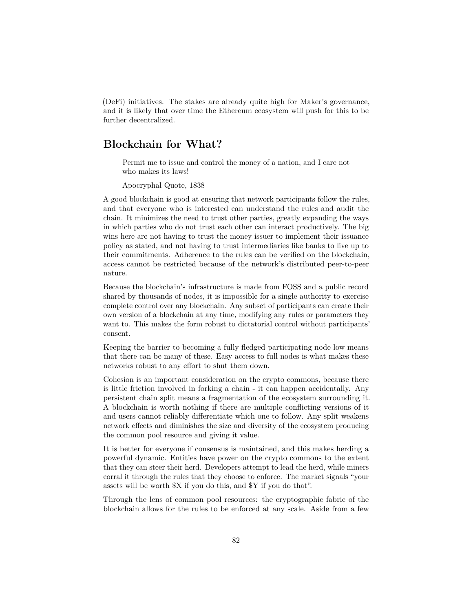(DeFi) initiatives. The stakes are already quite high for Maker's governance, and it is likely that over time the Ethereum ecosystem will push for this to be further decentralized.

## **Blockchain for What?**

Permit me to issue and control the money of a nation, and I care not who makes its laws!

Apocryphal Quote, 1838

A good blockchain is good at ensuring that network participants follow the rules, and that everyone who is interested can understand the rules and audit the chain. It minimizes the need to trust other parties, greatly expanding the ways in which parties who do not trust each other can interact productively. The big wins here are not having to trust the money issuer to implement their issuance policy as stated, and not having to trust intermediaries like banks to live up to their commitments. Adherence to the rules can be verified on the blockchain, access cannot be restricted because of the network's distributed peer-to-peer nature.

Because the blockchain's infrastructure is made from FOSS and a public record shared by thousands of nodes, it is impossible for a single authority to exercise complete control over any blockchain. Any subset of participants can create their own version of a blockchain at any time, modifying any rules or parameters they want to. This makes the form robust to dictatorial control without participants' consent.

Keeping the barrier to becoming a fully fledged participating node low means that there can be many of these. Easy access to full nodes is what makes these networks robust to any effort to shut them down.

Cohesion is an important consideration on the crypto commons, because there is little friction involved in forking a chain - it can happen accidentally. Any persistent chain split means a fragmentation of the ecosystem surrounding it. A blockchain is worth nothing if there are multiple conflicting versions of it and users cannot reliably differentiate which one to follow. Any split weakens network effects and diminishes the size and diversity of the ecosystem producing the common pool resource and giving it value.

It is better for everyone if consensus is maintained, and this makes herding a powerful dynamic. Entities have power on the crypto commons to the extent that they can steer their herd. Developers attempt to lead the herd, while miners corral it through the rules that they choose to enforce. The market signals "your assets will be worth \$X if you do this, and \$Y if you do that".

Through the lens of common pool resources: the cryptographic fabric of the blockchain allows for the rules to be enforced at any scale. Aside from a few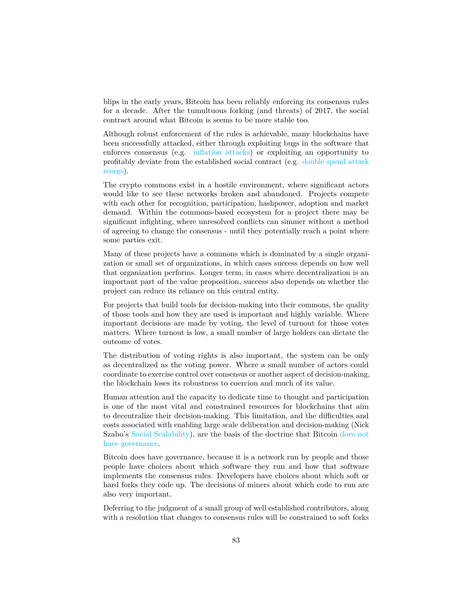blips in the early years, Bitcoin has been reliably enforcing its consensus rules for a decade. After the tumultuous forking (and threats) of 2017, the social contract around what Bitcoin is seems to be more stable too.

Although robust enforcement of the rules is achievable, many blockchains have been successfully attacked, either through exploiting bugs in the software that enforces consensus (e.g. [inflation attacks\)](https://medium.com/@dev.pivx/report-wrapped-serials-attack-5f4bf7b51701) or exploiting an opportunity to profitably deviate from the established social contract (e.g. [double spend attack](https://www.technologyreview.com/s/612974/once-hailed-as-unhackable-blockchains-are-now-getting-hacked/) [reorgs\)](https://www.technologyreview.com/s/612974/once-hailed-as-unhackable-blockchains-are-now-getting-hacked/).

The crypto commons exist in a hostile environment, where significant actors would like to see these networks broken and abandoned. Projects compete with each other for recognition, participation, hashpower, adoption and market demand. Within the commons-based ecosystem for a project there may be significant infighting, where unresolved conflicts can simmer without a method of agreeing to change the consensus - until they potentially reach a point where some parties exit.

Many of these projects have a commons which is dominated by a single organization or small set of organizations, in which cases success depends on how well that organization performs. Longer term, in cases where decentralization is an important part of the value proposition, success also depends on whether the project can reduce its reliance on this central entity.

For projects that build tools for decision-making into their commons, the quality of those tools and how they are used is important and highly variable. Where important decisions are made by voting, the level of turnout for those votes matters. Where turnout is low, a small number of large holders can dictate the outcome of votes.

The distribution of voting rights is also important, the system can be only as decentralized as the voting power. Where a small number of actors could coordinate to exercise control over consensus or another aspect of decision-making, the blockchain loses its robustness to coercion and much of its value.

Human attention and the capacity to dedicate time to thought and participation is one of the most vital and constrained resources for blockchains that aim to decentralize their decision-making. This limitation, and the difficulties and costs associated with enabling large scale deliberation and decision-making (Nick Szabo's [Social Scalability\)](https://unenumerated.blogspot.com/2017/02/money-blockchains-and-social-scalability.html), are the basis of the doctrine that Bitcoin [does not](https://twitter.com/adam3us/status/1132416277258145794) [have governance.](https://twitter.com/adam3us/status/1132416277258145794)

Bitcoin does have governance, because it is a network run by people and those people have choices about which software they run and how that software implements the consensus rules. Developers have choices about which soft or hard forks they code up. The decisions of miners about which code to run are also very important.

Deferring to the judgment of a small group of well established contributors, along with a resolution that changes to consensus rules will be constrained to soft forks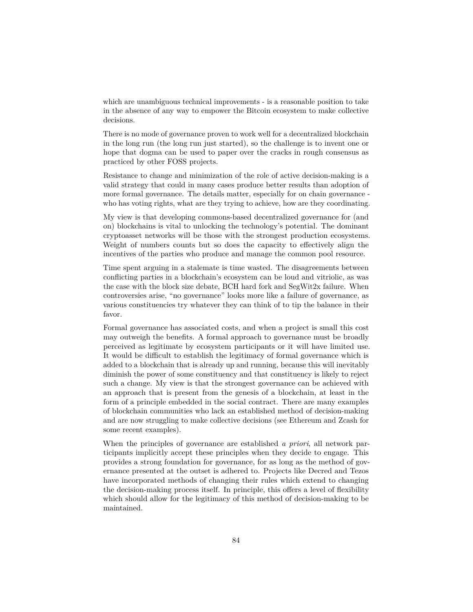which are unambiguous technical improvements - is a reasonable position to take in the absence of any way to empower the Bitcoin ecosystem to make collective decisions.

There is no mode of governance proven to work well for a decentralized blockchain in the long run (the long run just started), so the challenge is to invent one or hope that dogma can be used to paper over the cracks in rough consensus as practiced by other FOSS projects.

Resistance to change and minimization of the role of active decision-making is a valid strategy that could in many cases produce better results than adoption of more formal governance. The details matter, especially for on chain governance who has voting rights, what are they trying to achieve, how are they coordinating.

My view is that developing commons-based decentralized governance for (and on) blockchains is vital to unlocking the technology's potential. The dominant cryptoasset networks will be those with the strongest production ecosystems. Weight of numbers counts but so does the capacity to effectively align the incentives of the parties who produce and manage the common pool resource.

Time spent arguing in a stalemate is time wasted. The disagreements between conflicting parties in a blockchain's ecosystem can be loud and vitriolic, as was the case with the block size debate, BCH hard fork and SegWit2x failure. When controversies arise, "no governance" looks more like a failure of governance, as various constituencies try whatever they can think of to tip the balance in their favor.

Formal governance has associated costs, and when a project is small this cost may outweigh the benefits. A formal approach to governance must be broadly perceived as legitimate by ecosystem participants or it will have limited use. It would be difficult to establish the legitimacy of formal governance which is added to a blockchain that is already up and running, because this will inevitably diminish the power of some constituency and that constituency is likely to reject such a change. My view is that the strongest governance can be achieved with an approach that is present from the genesis of a blockchain, at least in the form of a principle embedded in the social contract. There are many examples of blockchain communities who lack an established method of decision-making and are now struggling to make collective decisions (see Ethereum and Zcash for some recent examples).

When the principles of governance are established *a priori*, all network participants implicitly accept these principles when they decide to engage. This provides a strong foundation for governance, for as long as the method of governance presented at the outset is adhered to. Projects like Decred and Tezos have incorporated methods of changing their rules which extend to changing the decision-making process itself. In principle, this offers a level of flexibility which should allow for the legitimacy of this method of decision-making to be maintained.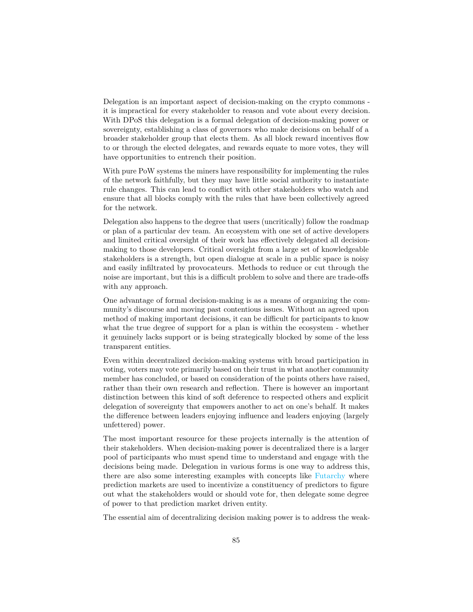Delegation is an important aspect of decision-making on the crypto commons it is impractical for every stakeholder to reason and vote about every decision. With DPoS this delegation is a formal delegation of decision-making power or sovereignty, establishing a class of governors who make decisions on behalf of a broader stakeholder group that elects them. As all block reward incentives flow to or through the elected delegates, and rewards equate to more votes, they will have opportunities to entrench their position.

With pure PoW systems the miners have responsibility for implementing the rules of the network faithfully, but they may have little social authority to instantiate rule changes. This can lead to conflict with other stakeholders who watch and ensure that all blocks comply with the rules that have been collectively agreed for the network.

Delegation also happens to the degree that users (uncritically) follow the roadmap or plan of a particular dev team. An ecosystem with one set of active developers and limited critical oversight of their work has effectively delegated all decisionmaking to those developers. Critical oversight from a large set of knowledgeable stakeholders is a strength, but open dialogue at scale in a public space is noisy and easily infiltrated by provocateurs. Methods to reduce or cut through the noise are important, but this is a difficult problem to solve and there are trade-offs with any approach.

One advantage of formal decision-making is as a means of organizing the community's discourse and moving past contentious issues. Without an agreed upon method of making important decisions, it can be difficult for participants to know what the true degree of support for a plan is within the ecosystem - whether it genuinely lacks support or is being strategically blocked by some of the less transparent entities.

Even within decentralized decision-making systems with broad participation in voting, voters may vote primarily based on their trust in what another community member has concluded, or based on consideration of the points others have raised, rather than their own research and reflection. There is however an important distinction between this kind of soft deference to respected others and explicit delegation of sovereignty that empowers another to act on one's behalf. It makes the difference between leaders enjoying influence and leaders enjoying (largely unfettered) power.

The most important resource for these projects internally is the attention of their stakeholders. When decision-making power is decentralized there is a larger pool of participants who must spend time to understand and engage with the decisions being made. Delegation in various forms is one way to address this, there are also some interesting examples with concepts like [Futarchy](https://en.wikipedia.org/wiki/Futarchy) where prediction markets are used to incentivize a constituency of predictors to figure out what the stakeholders would or should vote for, then delegate some degree of power to that prediction market driven entity.

The essential aim of decentralizing decision making power is to address the weak-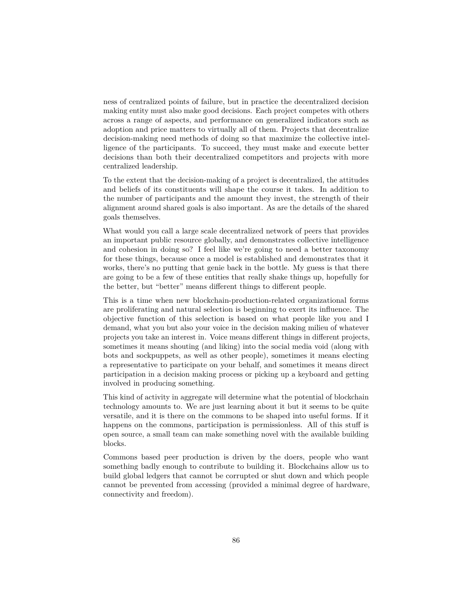ness of centralized points of failure, but in practice the decentralized decision making entity must also make good decisions. Each project competes with others across a range of aspects, and performance on generalized indicators such as adoption and price matters to virtually all of them. Projects that decentralize decision-making need methods of doing so that maximize the collective intelligence of the participants. To succeed, they must make and execute better decisions than both their decentralized competitors and projects with more centralized leadership.

To the extent that the decision-making of a project is decentralized, the attitudes and beliefs of its constituents will shape the course it takes. In addition to the number of participants and the amount they invest, the strength of their alignment around shared goals is also important. As are the details of the shared goals themselves.

What would you call a large scale decentralized network of peers that provides an important public resource globally, and demonstrates collective intelligence and cohesion in doing so? I feel like we're going to need a better taxonomy for these things, because once a model is established and demonstrates that it works, there's no putting that genie back in the bottle. My guess is that there are going to be a few of these entities that really shake things up, hopefully for the better, but "better" means different things to different people.

This is a time when new blockchain-production-related organizational forms are proliferating and natural selection is beginning to exert its influence. The objective function of this selection is based on what people like you and I demand, what you but also your voice in the decision making milieu of whatever projects you take an interest in. Voice means different things in different projects, sometimes it means shouting (and liking) into the social media void (along with bots and sockpuppets, as well as other people), sometimes it means electing a representative to participate on your behalf, and sometimes it means direct participation in a decision making process or picking up a keyboard and getting involved in producing something.

This kind of activity in aggregate will determine what the potential of blockchain technology amounts to. We are just learning about it but it seems to be quite versatile, and it is there on the commons to be shaped into useful forms. If it happens on the commons, participation is permissionless. All of this stuff is open source, a small team can make something novel with the available building blocks.

Commons based peer production is driven by the doers, people who want something badly enough to contribute to building it. Blockchains allow us to build global ledgers that cannot be corrupted or shut down and which people cannot be prevented from accessing (provided a minimal degree of hardware, connectivity and freedom).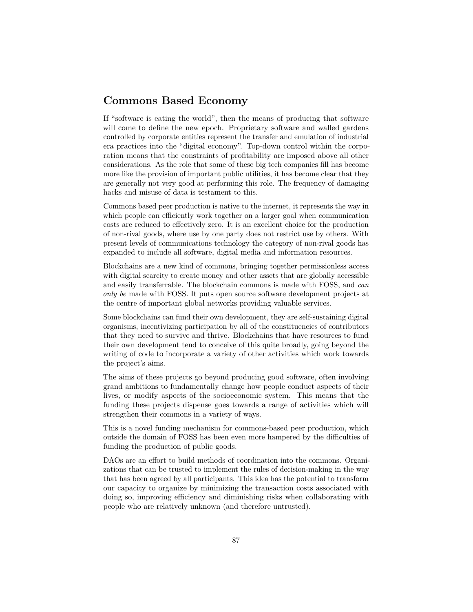## **Commons Based Economy**

If "software is eating the world", then the means of producing that software will come to define the new epoch. Proprietary software and walled gardens controlled by corporate entities represent the transfer and emulation of industrial era practices into the "digital economy". Top-down control within the corporation means that the constraints of profitability are imposed above all other considerations. As the role that some of these big tech companies fill has become more like the provision of important public utilities, it has become clear that they are generally not very good at performing this role. The frequency of damaging hacks and misuse of data is testament to this.

Commons based peer production is native to the internet, it represents the way in which people can efficiently work together on a larger goal when communication costs are reduced to effectively zero. It is an excellent choice for the production of non-rival goods, where use by one party does not restrict use by others. With present levels of communications technology the category of non-rival goods has expanded to include all software, digital media and information resources.

Blockchains are a new kind of commons, bringing together permissionless access with digital scarcity to create money and other assets that are globally accessible and easily transferrable. The blockchain commons is made with FOSS, and *can only be* made with FOSS. It puts open source software development projects at the centre of important global networks providing valuable services.

Some blockchains can fund their own development, they are self-sustaining digital organisms, incentivizing participation by all of the constituencies of contributors that they need to survive and thrive. Blockchains that have resources to fund their own development tend to conceive of this quite broadly, going beyond the writing of code to incorporate a variety of other activities which work towards the project's aims.

The aims of these projects go beyond producing good software, often involving grand ambitions to fundamentally change how people conduct aspects of their lives, or modify aspects of the socioeconomic system. This means that the funding these projects dispense goes towards a range of activities which will strengthen their commons in a variety of ways.

This is a novel funding mechanism for commons-based peer production, which outside the domain of FOSS has been even more hampered by the difficulties of funding the production of public goods.

DAOs are an effort to build methods of coordination into the commons. Organizations that can be trusted to implement the rules of decision-making in the way that has been agreed by all participants. This idea has the potential to transform our capacity to organize by minimizing the transaction costs associated with doing so, improving efficiency and diminishing risks when collaborating with people who are relatively unknown (and therefore untrusted).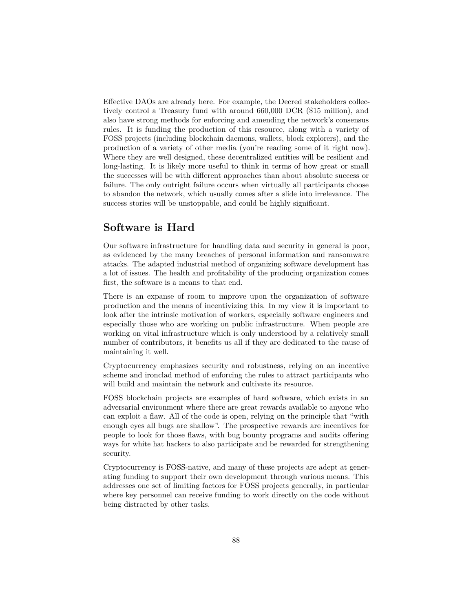Effective DAOs are already here. For example, the Decred stakeholders collectively control a Treasury fund with around 660,000 DCR (\$15 million), and also have strong methods for enforcing and amending the network's consensus rules. It is funding the production of this resource, along with a variety of FOSS projects (including blockchain daemons, wallets, block explorers), and the production of a variety of other media (you're reading some of it right now). Where they are well designed, these decentralized entities will be resilient and long-lasting. It is likely more useful to think in terms of how great or small the successes will be with different approaches than about absolute success or failure. The only outright failure occurs when virtually all participants choose to abandon the network, which usually comes after a slide into irrelevance. The success stories will be unstoppable, and could be highly significant.

## **Software is Hard**

Our software infrastructure for handling data and security in general is poor, as evidenced by the many breaches of personal information and ransomware attacks. The adapted industrial method of organizing software development has a lot of issues. The health and profitability of the producing organization comes first, the software is a means to that end.

There is an expanse of room to improve upon the organization of software production and the means of incentivizing this. In my view it is important to look after the intrinsic motivation of workers, especially software engineers and especially those who are working on public infrastructure. When people are working on vital infrastructure which is only understood by a relatively small number of contributors, it benefits us all if they are dedicated to the cause of maintaining it well.

Cryptocurrency emphasizes security and robustness, relying on an incentive scheme and ironclad method of enforcing the rules to attract participants who will build and maintain the network and cultivate its resource.

FOSS blockchain projects are examples of hard software, which exists in an adversarial environment where there are great rewards available to anyone who can exploit a flaw. All of the code is open, relying on the principle that "with enough eyes all bugs are shallow". The prospective rewards are incentives for people to look for those flaws, with bug bounty programs and audits offering ways for white hat hackers to also participate and be rewarded for strengthening security.

Cryptocurrency is FOSS-native, and many of these projects are adept at generating funding to support their own development through various means. This addresses one set of limiting factors for FOSS projects generally, in particular where key personnel can receive funding to work directly on the code without being distracted by other tasks.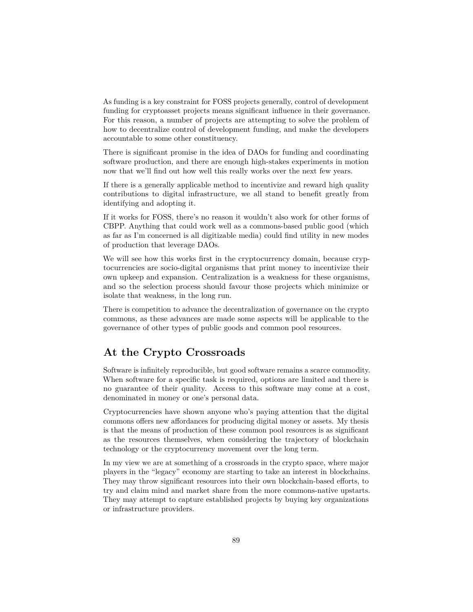As funding is a key constraint for FOSS projects generally, control of development funding for cryptoasset projects means significant influence in their governance. For this reason, a number of projects are attempting to solve the problem of how to decentralize control of development funding, and make the developers accountable to some other constituency.

There is significant promise in the idea of DAOs for funding and coordinating software production, and there are enough high-stakes experiments in motion now that we'll find out how well this really works over the next few years.

If there is a generally applicable method to incentivize and reward high quality contributions to digital infrastructure, we all stand to benefit greatly from identifying and adopting it.

If it works for FOSS, there's no reason it wouldn't also work for other forms of CBPP. Anything that could work well as a commons-based public good (which as far as I'm concerned is all digitizable media) could find utility in new modes of production that leverage DAOs.

We will see how this works first in the cryptocurrency domain, because cryptocurrencies are socio-digital organisms that print money to incentivize their own upkeep and expansion. Centralization is a weakness for these organisms, and so the selection process should favour those projects which minimize or isolate that weakness, in the long run.

There is competition to advance the decentralization of governance on the crypto commons, as these advances are made some aspects will be applicable to the governance of other types of public goods and common pool resources.

# **At the Crypto Crossroads**

Software is infinitely reproducible, but good software remains a scarce commodity. When software for a specific task is required, options are limited and there is no guarantee of their quality. Access to this software may come at a cost, denominated in money or one's personal data.

Cryptocurrencies have shown anyone who's paying attention that the digital commons offers new affordances for producing digital money or assets. My thesis is that the means of production of these common pool resources is as significant as the resources themselves, when considering the trajectory of blockchain technology or the cryptocurrency movement over the long term.

In my view we are at something of a crossroads in the crypto space, where major players in the "legacy" economy are starting to take an interest in blockchains. They may throw significant resources into their own blockchain-based efforts, to try and claim mind and market share from the more commons-native upstarts. They may attempt to capture established projects by buying key organizations or infrastructure providers.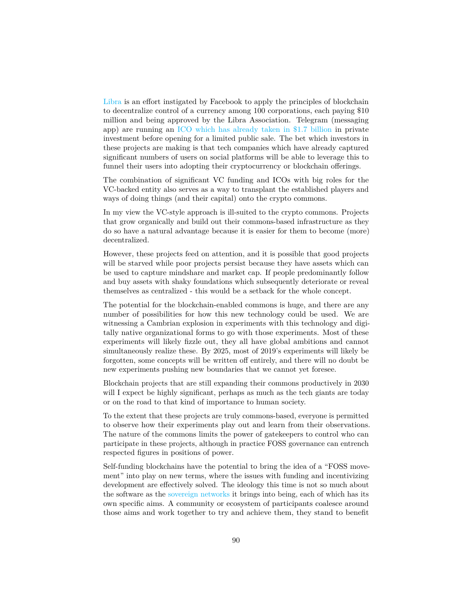[Libra](https://libra.org/en-US/white-paper/) is an effort instigated by Facebook to apply the principles of blockchain to decentralize control of a currency among 100 corporations, each paying \$10 million and being approved by the Libra Association. Telegram (messaging app) are running an [ICO which has already taken in \\$1.7 billion](https://www.coindesk.com/telegram-doubles-amount-raised-in-ico-to-1-7-billion) in private investment before opening for a limited public sale. The bet which investors in these projects are making is that tech companies which have already captured significant numbers of users on social platforms will be able to leverage this to funnel their users into adopting their cryptocurrency or blockchain offerings.

The combination of significant VC funding and ICOs with big roles for the VC-backed entity also serves as a way to transplant the established players and ways of doing things (and their capital) onto the crypto commons.

In my view the VC-style approach is ill-suited to the crypto commons. Projects that grow organically and build out their commons-based infrastructure as they do so have a natural advantage because it is easier for them to become (more) decentralized.

However, these projects feed on attention, and it is possible that good projects will be starved while poor projects persist because they have assets which can be used to capture mindshare and market cap. If people predominantly follow and buy assets with shaky foundations which subsequently deteriorate or reveal themselves as centralized - this would be a setback for the whole concept.

The potential for the blockchain-enabled commons is huge, and there are any number of possibilities for how this new technology could be used. We are witnessing a Cambrian explosion in experiments with this technology and digitally native organizational forms to go with those experiments. Most of these experiments will likely fizzle out, they all have global ambitions and cannot simultaneously realize these. By 2025, most of 2019's experiments will likely be forgotten, some concepts will be written off entirely, and there will no doubt be new experiments pushing new boundaries that we cannot yet foresee.

Blockchain projects that are still expanding their commons productively in 2030 will I expect be highly significant, perhaps as much as the tech giants are today or on the road to that kind of importance to human society.

To the extent that these projects are truly commons-based, everyone is permitted to observe how their experiments play out and learn from their observations. The nature of the commons limits the power of gatekeepers to control who can participate in these projects, although in practice FOSS governance can entrench respected figures in positions of power.

Self-funding blockchains have the potential to bring the idea of a "FOSS movement" into play on new terms, where the issues with funding and incentivizing development are effectively solved. The ideology this time is not so much about the software as the [sovereign networks](https://www.placeholder.vc/blog/2019/7/31/lvhpfydo4m3uoezhwhicyxo06og0mn) it brings into being, each of which has its own specific aims. A community or ecosystem of participants coalesce around those aims and work together to try and achieve them, they stand to benefit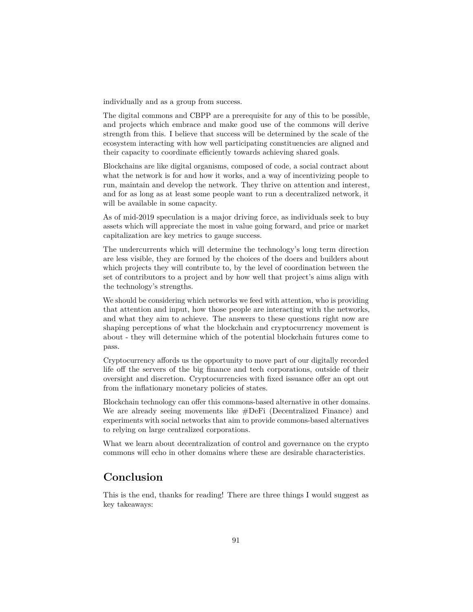individually and as a group from success.

The digital commons and CBPP are a prerequisite for any of this to be possible, and projects which embrace and make good use of the commons will derive strength from this. I believe that success will be determined by the scale of the ecosystem interacting with how well participating constituencies are aligned and their capacity to coordinate efficiently towards achieving shared goals.

Blockchains are like digital organisms, composed of code, a social contract about what the network is for and how it works, and a way of incentivizing people to run, maintain and develop the network. They thrive on attention and interest, and for as long as at least some people want to run a decentralized network, it will be available in some capacity.

As of mid-2019 speculation is a major driving force, as individuals seek to buy assets which will appreciate the most in value going forward, and price or market capitalization are key metrics to gauge success.

The undercurrents which will determine the technology's long term direction are less visible, they are formed by the choices of the doers and builders about which projects they will contribute to, by the level of coordination between the set of contributors to a project and by how well that project's aims align with the technology's strengths.

We should be considering which networks we feed with attention, who is providing that attention and input, how those people are interacting with the networks, and what they aim to achieve. The answers to these questions right now are shaping perceptions of what the blockchain and cryptocurrency movement is about - they will determine which of the potential blockchain futures come to pass.

Cryptocurrency affords us the opportunity to move part of our digitally recorded life off the servers of the big finance and tech corporations, outside of their oversight and discretion. Cryptocurrencies with fixed issuance offer an opt out from the inflationary monetary policies of states.

Blockchain technology can offer this commons-based alternative in other domains. We are already seeing movements like #DeFi (Decentralized Finance) and experiments with social networks that aim to provide commons-based alternatives to relying on large centralized corporations.

What we learn about decentralization of control and governance on the crypto commons will echo in other domains where these are desirable characteristics.

# **Conclusion**

This is the end, thanks for reading! There are three things I would suggest as key takeaways: